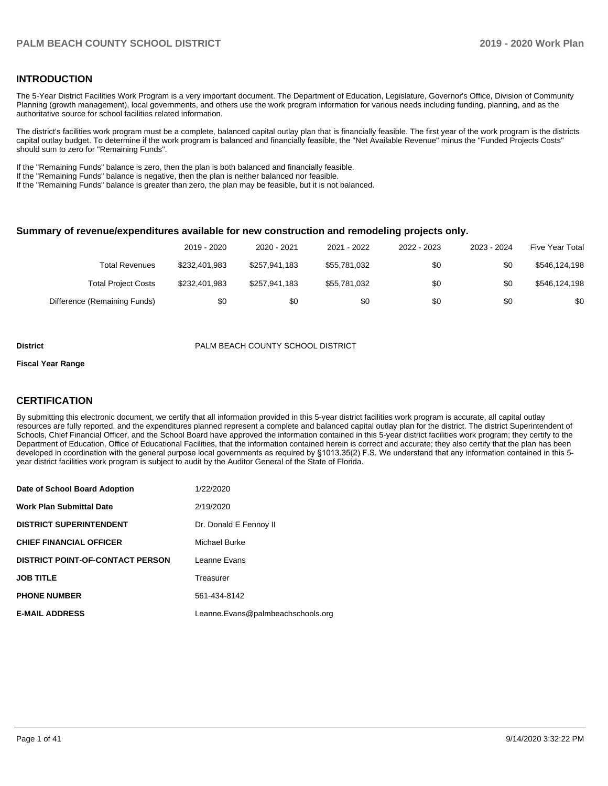#### **INTRODUCTION**

The 5-Year District Facilities Work Program is a very important document. The Department of Education, Legislature, Governor's Office, Division of Community Planning (growth management), local governments, and others use the work program information for various needs including funding, planning, and as the authoritative source for school facilities related information.

The district's facilities work program must be a complete, balanced capital outlay plan that is financially feasible. The first year of the work program is the districts capital outlay budget. To determine if the work program is balanced and financially feasible, the "Net Available Revenue" minus the "Funded Projects Costs" should sum to zero for "Remaining Funds".

If the "Remaining Funds" balance is zero, then the plan is both balanced and financially feasible.

If the "Remaining Funds" balance is negative, then the plan is neither balanced nor feasible.

If the "Remaining Funds" balance is greater than zero, the plan may be feasible, but it is not balanced.

#### **Summary of revenue/expenditures available for new construction and remodeling projects only.**

| <b>Five Year Total</b> | 2023 - 2024 | 2022 - 2023 | 2021 - 2022  | 2020 - 2021   | 2019 - 2020   |                              |
|------------------------|-------------|-------------|--------------|---------------|---------------|------------------------------|
| \$546,124,198          | \$0         | \$0         | \$55,781,032 | \$257.941.183 | \$232,401.983 | Total Revenues               |
| \$546,124,198          | \$0         | \$0         | \$55,781,032 | \$257.941.183 | \$232,401.983 | <b>Total Project Costs</b>   |
| \$0                    | \$0         | \$0         | \$0          | \$0           | \$0           | Difference (Remaining Funds) |

#### **District** PALM BEACH COUNTY SCHOOL DISTRICT

#### **Fiscal Year Range**

#### **CERTIFICATION**

By submitting this electronic document, we certify that all information provided in this 5-year district facilities work program is accurate, all capital outlay resources are fully reported, and the expenditures planned represent a complete and balanced capital outlay plan for the district. The district Superintendent of Schools, Chief Financial Officer, and the School Board have approved the information contained in this 5-year district facilities work program; they certify to the Department of Education, Office of Educational Facilities, that the information contained herein is correct and accurate; they also certify that the plan has been developed in coordination with the general purpose local governments as required by §1013.35(2) F.S. We understand that any information contained in this 5 year district facilities work program is subject to audit by the Auditor General of the State of Florida.

| Date of School Board Adoption           | 1/22/2020                         |
|-----------------------------------------|-----------------------------------|
| <b>Work Plan Submittal Date</b>         | 2/19/2020                         |
| <b>DISTRICT SUPERINTENDENT</b>          | Dr. Donald E Fennoy II            |
| <b>CHIEF FINANCIAL OFFICER</b>          | Michael Burke                     |
| <b>DISTRICT POINT-OF-CONTACT PERSON</b> | Leanne Evans                      |
| <b>JOB TITLE</b>                        | Treasurer                         |
| <b>PHONE NUMBER</b>                     | 561-434-8142                      |
| <b>E-MAIL ADDRESS</b>                   | Leanne.Evans@palmbeachschools.org |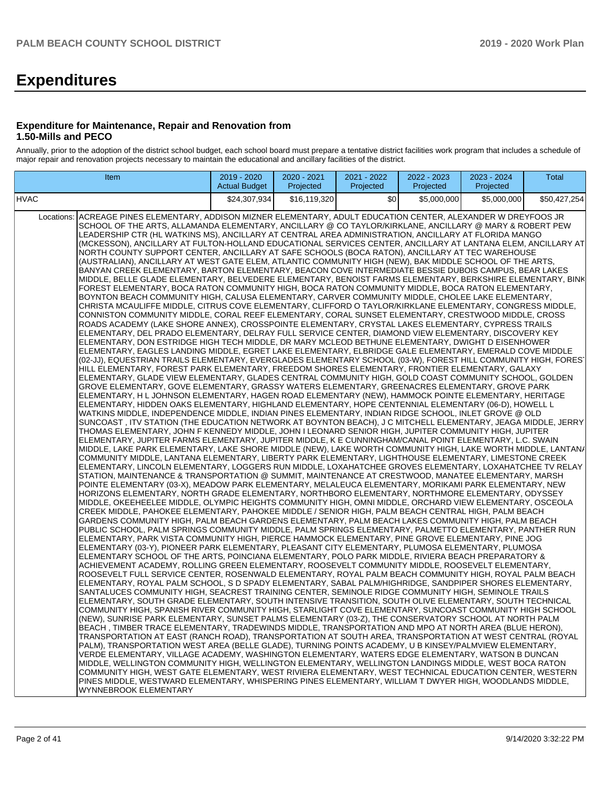# **Expenditures**

#### **Expenditure for Maintenance, Repair and Renovation from 1.50-Mills and PECO**

Annually, prior to the adoption of the district school budget, each school board must prepare a tentative district facilities work program that includes a schedule of major repair and renovation projects necessary to maintain the educational and ancillary facilities of the district.

| <b>Actual Budget</b><br>Projected<br>Projected<br>Projected<br>Projected                                                                                                                                                                                                                                                                                                                                                                                                                                                                                                                                                                                                                                                                                                                                                                                                                                                                                                                                                                                                                                                                                                                                                                                                                                                                                                                                                                                                                                                                                                                                                                                                                                                                                                                                                                                                                                                                                                                                                                                                                                                                                                                                                                                                                                                                                                                                                                                                                                                                                                                                                                                                                                                                                                                                                                                                                                                                                                                                                                                                                                                                                                                                                                                                                                                                                                                                                                                                                                                                                                                                                                                                                                                                                                                                                                                                                                                                                                                                                                                                                                                                                                                                                                                                                                                                                                                                                                                                                                                                                                                                                                                                                                                                                                                                                                                                                                                                                                                                                                                                                                                                                                                                                                                                                                                                                                                                                                                                                                                                                                                                                                                                                                                                                                                                                |
|-------------------------------------------------------------------------------------------------------------------------------------------------------------------------------------------------------------------------------------------------------------------------------------------------------------------------------------------------------------------------------------------------------------------------------------------------------------------------------------------------------------------------------------------------------------------------------------------------------------------------------------------------------------------------------------------------------------------------------------------------------------------------------------------------------------------------------------------------------------------------------------------------------------------------------------------------------------------------------------------------------------------------------------------------------------------------------------------------------------------------------------------------------------------------------------------------------------------------------------------------------------------------------------------------------------------------------------------------------------------------------------------------------------------------------------------------------------------------------------------------------------------------------------------------------------------------------------------------------------------------------------------------------------------------------------------------------------------------------------------------------------------------------------------------------------------------------------------------------------------------------------------------------------------------------------------------------------------------------------------------------------------------------------------------------------------------------------------------------------------------------------------------------------------------------------------------------------------------------------------------------------------------------------------------------------------------------------------------------------------------------------------------------------------------------------------------------------------------------------------------------------------------------------------------------------------------------------------------------------------------------------------------------------------------------------------------------------------------------------------------------------------------------------------------------------------------------------------------------------------------------------------------------------------------------------------------------------------------------------------------------------------------------------------------------------------------------------------------------------------------------------------------------------------------------------------------------------------------------------------------------------------------------------------------------------------------------------------------------------------------------------------------------------------------------------------------------------------------------------------------------------------------------------------------------------------------------------------------------------------------------------------------------------------------------------------------------------------------------------------------------------------------------------------------------------------------------------------------------------------------------------------------------------------------------------------------------------------------------------------------------------------------------------------------------------------------------------------------------------------------------------------------------------------------------------------------------------------------------------------------------------------------------------------------------------------------------------------------------------------------------------------------------------------------------------------------------------------------------------------------------------------------------------------------------------------------------------------------------------------------------------------------------------------------------------------------------------------------------------------------------------------------------------------------------------------------------------------------------------------------------------------------------------------------------------------------------------------------------------------------------------------------------------------------------------------------------------------------------------------------------------------------------------------------------------------------------------------------------------------------------------------------------------------------------------------------------------------------------------------------------------------------------------------------------------------------------------------------------------------------------------------------------------------------------------------------------------------------------------------------------------------------------------------------------------------------------------------------------------------------------------------------------------------------------------------------|
| <b>HVAC</b><br>\$24,307,934<br>\$16.119.320<br>\$0<br>\$5,000,000<br>\$5,000,000<br>\$50,427,254                                                                                                                                                                                                                                                                                                                                                                                                                                                                                                                                                                                                                                                                                                                                                                                                                                                                                                                                                                                                                                                                                                                                                                                                                                                                                                                                                                                                                                                                                                                                                                                                                                                                                                                                                                                                                                                                                                                                                                                                                                                                                                                                                                                                                                                                                                                                                                                                                                                                                                                                                                                                                                                                                                                                                                                                                                                                                                                                                                                                                                                                                                                                                                                                                                                                                                                                                                                                                                                                                                                                                                                                                                                                                                                                                                                                                                                                                                                                                                                                                                                                                                                                                                                                                                                                                                                                                                                                                                                                                                                                                                                                                                                                                                                                                                                                                                                                                                                                                                                                                                                                                                                                                                                                                                                                                                                                                                                                                                                                                                                                                                                                                                                                                                                        |
| Locations: ACREAGE PINES ELEMENTARY, ADDISON MIZNER ELEMENTARY, ADULT EDUCATION CENTER, ALEXANDER W DREYFOOS JR<br>SCHOOL OF THE ARTS, ALLAMANDA ELEMENTARY, ANCILLARY @ CO TAYLOR/KIRKLANE, ANCILLARY @ MARY & ROBERT PEW<br>LEADERSHIP CTR (HL WATKINS MS), ANCILLARY AT CENTRAL AREA ADMINISTRATION, ANCILLARY AT FLORIDA MANGO<br>(MCKESSON), ANCILLARY AT FULTON-HOLLAND EDUCATIONAL SERVICES CENTER, ANCILLARY AT LANTANA ELEM, ANCILLARY AT<br>NORTH COUNTY SUPPORT CENTER, ANCILLARY AT SAFE SCHOOLS (BOCA RATON), ANCILLARY AT TEC WAREHOUSE<br>(AUSTRALIAN), ANCILLARY AT WEST GATE ELEM, ATLANTIC COMMUNITY HIGH (NEW), BAK MIDDLE SCHOOL OF THE ARTS,<br>BANYAN CREEK ELEMENTARY, BARTON ELEMENTARY, BEACON COVE INTERMEDIATE BESSIE DUBOIS CAMPUS, BEAR LAKES<br>MIDDLE, BELLE GLADE ELEMENTARY, BELVEDERE ELEMENTARY, BENOIST FARMS ELEMENTARY, BERKSHIRE ELEMENTARY, BINK<br>FOREST ELEMENTARY, BOCA RATON COMMUNITY HIGH, BOCA RATON COMMUNITY MIDDLE, BOCA RATON ELEMENTARY,<br>BOYNTON BEACH COMMUNITY HIGH, CALUSA ELEMENTARY, CARVER COMMUNITY MIDDLE, CHOLEE LAKE ELEMENTARY,<br>CHRISTA MCAULIFFE MIDDLE, CITRUS COVE ELEMENTARY, CLIFFORD O TAYLOR/KIRKLANE ELEMENTARY, CONGRESS MIDDLE,<br>CONNISTON COMMUNITY MIDDLE, CORAL REEF ELEMENTARY, CORAL SUNSET ELEMENTARY, CRESTWOOD MIDDLE, CROSS<br>ROADS ACADEMY (LAKE SHORE ANNEX), CROSSPOINTE ELEMENTARY, CRYSTAL LAKES ELEMENTARY, CYPRESS TRAILS<br>ELEMENTARY, DEL PRADO ELEMENTARY, DELRAY FULL SERVICE CENTER, DIAMOND VIEW ELEMENTARY, DISCOVERY KEY<br>ELEMENTARY, DON ESTRIDGE HIGH TECH MIDDLE, DR MARY MCLEOD BETHUNE ELEMENTARY, DWIGHT D EISENHOWER<br>ELEMENTARY, EAGLES LANDING MIDDLE, EGRET LAKE ELEMENTARY, ELBRIDGE GALE ELEMENTARY, EMERALD COVE MIDDLE<br>(02-JJ), EQUESTRIAN TRAILS ELEMENTARY, EVERGLADES ELEMENTARY SCHOOL (03-W), FOREST HILL COMMUNITY HIGH, FORES'<br>HILL ELEMENTARY, FOREST PARK ELEMENTARY, FREEDOM SHORES ELEMENTARY, FRONTIER ELEMENTARY, GALAXY<br>ELEMENTARY, GLADE VIEW ELEMENTARY, GLADES CENTRAL COMMUNITY HIGH, GOLD COAST COMMUNITY SCHOOL, GOLDEN<br>GROVE ELEMENTARY, GOVE ELEMENTARY, GRASSY WATERS ELEMENTARY, GREENACRES ELEMENTARY, GROVE PARK<br>ELEMENTARY, H L JOHNSON ELEMENTARY, HAGEN ROAD ELEMENTARY (NEW), HAMMOCK POINTE ELEMENTARY, HERITAGE<br>ELEMENTARY, HIDDEN OAKS ELEMENTARY, HIGHLAND ELEMENTARY, HOPE CENTENNIAL ELEMENTARY (06-D), HOWELL L<br>WATKINS MIDDLE, INDEPENDENCE MIDDLE, INDIAN PINES ELEMENTARY, INDIAN RIDGE SCHOOL, INLET GROVE @ OLD<br>SUNCOAST, ITV STATION (THE EDUCATION NETWORK AT BOYNTON BEACH), J C MITCHELL ELEMENTARY, JEAGA MIDDLE, JERRY<br>THOMAS ELEMENTARY, JOHN F KENNEDY MIDDLE, JOHN I LEONARD SENIOR HIGH, JUPITER COMMUNITY HIGH, JUPITER<br>ELEMENTARY, JUPITER FARMS ELEMENTARY, JUPITER MIDDLE, K E CUNNINGHAM/CANAL POINT ELEMENTARY, L.C. SWAIN<br>MIDDLE, LAKE PARK ELEMENTARY, LAKE SHORE MIDDLE (NEW), LAKE WORTH COMMUNITY HIGH, LAKE WORTH MIDDLE, LANTAN/<br>COMMUNITY MIDDLE, LANTANA ELEMENTARY, LIBERTY PARK ELEMENTARY, LIGHTHOUSE ELEMENTARY, LIMESTONE CREEK<br>ELEMENTARY, LINCOLN ELEMENTARY, LOGGERS RUN MIDDLE, LOXAHATCHEE GROVES ELEMENTARY, LOXAHATCHEE TV RELAY<br>STATION, MAINTENANCE & TRANSPORTATION @ SUMMIT, MAINTENANCE AT CRESTWOOD, MANATEE ELEMENTARY, MARSH<br>POINTE ELEMENTARY (03-X), MEADOW PARK ELEMENTARY, MELALEUCA ELEMENTARY, MORIKAMI PARK ELEMENTARY, NEW<br>HORIZONS ELEMENTARY, NORTH GRADE ELEMENTARY, NORTHBORO ELEMENTARY, NORTHMORE ELEMENTARY, ODYSSEY<br>MIDDLE, OKEEHEELEE MIDDLE, OLYMPIC HEIGHTS COMMUNITY HIGH, OMNI MIDDLE, ORCHARD VIEW ELEMENTARY, OSCEOLA<br>CREEK MIDDLE, PAHOKEE ELEMENTARY, PAHOKEE MIDDLE / SENIOR HIGH, PALM BEACH CENTRAL HIGH, PALM BEACH<br>GARDENS COMMUNITY HIGH, PALM BEACH GARDENS ELEMENTARY, PALM BEACH LAKES COMMUNITY HIGH, PALM BEACH<br>PUBLIC SCHOOL, PALM SPRINGS COMMUNITY MIDDLE, PALM SPRINGS ELEMENTARY, PALMETTO ELEMENTARY, PANTHER RUN<br>ELEMENTARY, PARK VISTA COMMUNITY HIGH, PIERCE HAMMOCK ELEMENTARY, PINE GROVE ELEMENTARY, PINE JOG<br>ELEMENTARY (03-Y), PIONEER PARK ELEMENTARY, PLEASANT CITY ELEMENTARY, PLUMOSA ELEMENTARY, PLUMOSA<br>ELEMENTARY SCHOOL OF THE ARTS, POINCIANA ELEMENTARY, POLO PARK MIDDLE, RIVIERA BEACH PREPARATORY &<br>ACHIEVEMENT ACADEMY, ROLLING GREEN ELEMENTARY, ROOSEVELT COMMUNITY MIDDLE, ROOSEVELT ELEMENTARY,<br>ROOSEVELT FULL SERVICE CENTER, ROSENWALD ELEMENTARY, ROYAL PALM BEACH COMMUNITY HIGH, ROYAL PALM BEACH<br>ELEMENTARY, ROYAL PALM SCHOOL, S D SPADY ELEMENTARY, SABAL PALM/HIGHRIDGE, SANDPIPER SHORES ELEMENTARY,<br>SANTALUCES COMMUNITY HIGH, SEACREST TRAINING CENTER, SEMINOLE RIDGE COMMUNITY HIGH, SEMINOLE TRAILS<br>ELEMENTARY, SOUTH GRADE ELEMENTARY, SOUTH INTENSIVE TRANSITION, SOUTH OLIVE ELEMENTARY, SOUTH TECHNICAL<br>COMMUNITY HIGH, SPANISH RIVER COMMUNITY HIGH, STARLIGHT COVE ELEMENTARY, SUNCOAST COMMUNITY HIGH SCHOOL<br>(NEW), SUNRISE PARK ELEMENTARY, SUNSET PALMS ELEMENTARY (03-Z), THE CONSERVATORY SCHOOL AT NORTH PALM<br>BEACH, TIMBER TRACE ELEMENTARY, TRADEWINDS MIDDLE, TRANSPORTATION AND MPO AT NORTH AREA (BLUE HERON),<br>TRANSPORTATION AT EAST (RANCH ROAD). TRANSPORTATION AT SOUTH AREA. TRANSPORTATION AT WEST CENTRAL (ROYAL<br>PALM), TRANSPORTATION WEST AREA (BELLE GLADE), TURNING POINTS ACADEMY, U B KINSEY/PALMVIEW ELEMENTARY,<br>VERDE ELEMENTARY, VILLAGE ACADEMY, WASHINGTON ELEMENTARY, WATERS EDGE ELEMENTARY, WATSON B DUNCAN<br>MIDDLE, WELLINGTON COMMUNITY HIGH, WELLINGTON ELEMENTARY, WELLINGTON LANDINGS MIDDLE, WEST BOCA RATON<br>COMMUNITY HIGH, WEST GATE ELEMENTARY, WEST RIVIERA ELEMENTARY, WEST TECHNICAL EDUCATION CENTER, WESTERN<br>PINES MIDDLE, WESTWARD ELEMENTARY, WHISPERING PINES ELEMENTARY, WILLIAM T DWYER HIGH, WOODLANDS MIDDLE,<br>WYNNEBROOK ELEMENTARY |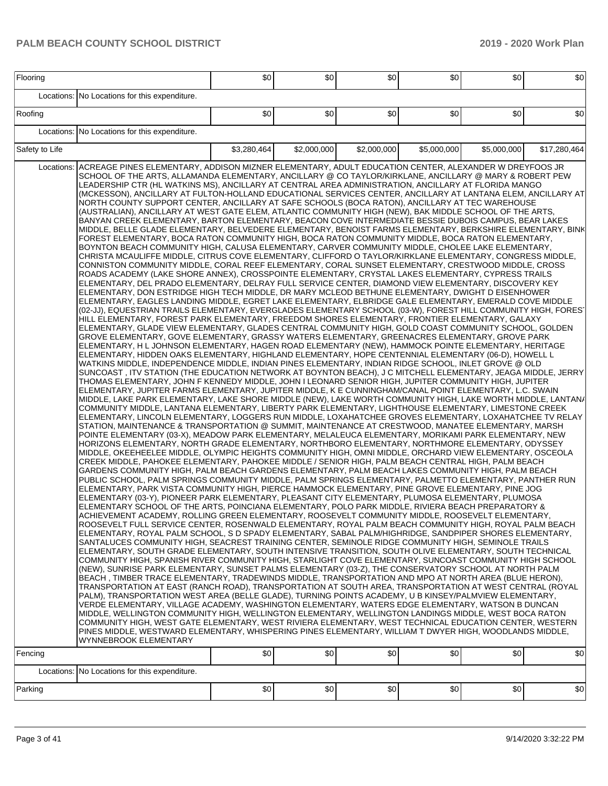| Flooring              |                                                                                                                                                                                                                                                                                                                                                                                                                                                                                                                                                                                                                                                                                                                                                                                                                                                                                                                                                                                                                                                                                                                                                                                                                                                                                                                                                                                                                                                                                                                                                                                                                                                                                                                                                                                                                                                                                                                                                                                                                                                                                                                                                                                                                                                                                                                                                                                                                                                                                                                                                                                                                                                                                                                                                                                                                                                                                                                                                                                                                                                                                                                                                                                                                                                                                                                                                                                                                                                                                                                                                                                                                                                                                                                                                                                                                                                                                                                                                                                                                                                                                                                                                                                                                                                                                                                                                                                                                                                                                                                                                                                                                                                                                                                                                                                                                                                                                                                                                                                                                                                                                                                                                                                                                                                                                                                                                                                                                                                                                                                                                                                                                                                                                                                                                                                                              | \$0         | \$0         | \$0         | \$0         | \$0         | \$0          |
|-----------------------|--------------------------------------------------------------------------------------------------------------------------------------------------------------------------------------------------------------------------------------------------------------------------------------------------------------------------------------------------------------------------------------------------------------------------------------------------------------------------------------------------------------------------------------------------------------------------------------------------------------------------------------------------------------------------------------------------------------------------------------------------------------------------------------------------------------------------------------------------------------------------------------------------------------------------------------------------------------------------------------------------------------------------------------------------------------------------------------------------------------------------------------------------------------------------------------------------------------------------------------------------------------------------------------------------------------------------------------------------------------------------------------------------------------------------------------------------------------------------------------------------------------------------------------------------------------------------------------------------------------------------------------------------------------------------------------------------------------------------------------------------------------------------------------------------------------------------------------------------------------------------------------------------------------------------------------------------------------------------------------------------------------------------------------------------------------------------------------------------------------------------------------------------------------------------------------------------------------------------------------------------------------------------------------------------------------------------------------------------------------------------------------------------------------------------------------------------------------------------------------------------------------------------------------------------------------------------------------------------------------------------------------------------------------------------------------------------------------------------------------------------------------------------------------------------------------------------------------------------------------------------------------------------------------------------------------------------------------------------------------------------------------------------------------------------------------------------------------------------------------------------------------------------------------------------------------------------------------------------------------------------------------------------------------------------------------------------------------------------------------------------------------------------------------------------------------------------------------------------------------------------------------------------------------------------------------------------------------------------------------------------------------------------------------------------------------------------------------------------------------------------------------------------------------------------------------------------------------------------------------------------------------------------------------------------------------------------------------------------------------------------------------------------------------------------------------------------------------------------------------------------------------------------------------------------------------------------------------------------------------------------------------------------------------------------------------------------------------------------------------------------------------------------------------------------------------------------------------------------------------------------------------------------------------------------------------------------------------------------------------------------------------------------------------------------------------------------------------------------------------------------------------------------------------------------------------------------------------------------------------------------------------------------------------------------------------------------------------------------------------------------------------------------------------------------------------------------------------------------------------------------------------------------------------------------------------------------------------------------------------------------------------------------------------------------------------------------------------------------------------------------------------------------------------------------------------------------------------------------------------------------------------------------------------------------------------------------------------------------------------------------------------------------------------------------------------------------------------------------------------------------------------------------------------------------------------|-------------|-------------|-------------|-------------|-------------|--------------|
| Locations:            | No Locations for this expenditure.                                                                                                                                                                                                                                                                                                                                                                                                                                                                                                                                                                                                                                                                                                                                                                                                                                                                                                                                                                                                                                                                                                                                                                                                                                                                                                                                                                                                                                                                                                                                                                                                                                                                                                                                                                                                                                                                                                                                                                                                                                                                                                                                                                                                                                                                                                                                                                                                                                                                                                                                                                                                                                                                                                                                                                                                                                                                                                                                                                                                                                                                                                                                                                                                                                                                                                                                                                                                                                                                                                                                                                                                                                                                                                                                                                                                                                                                                                                                                                                                                                                                                                                                                                                                                                                                                                                                                                                                                                                                                                                                                                                                                                                                                                                                                                                                                                                                                                                                                                                                                                                                                                                                                                                                                                                                                                                                                                                                                                                                                                                                                                                                                                                                                                                                                                           |             |             |             |             |             |              |
| Roofing               |                                                                                                                                                                                                                                                                                                                                                                                                                                                                                                                                                                                                                                                                                                                                                                                                                                                                                                                                                                                                                                                                                                                                                                                                                                                                                                                                                                                                                                                                                                                                                                                                                                                                                                                                                                                                                                                                                                                                                                                                                                                                                                                                                                                                                                                                                                                                                                                                                                                                                                                                                                                                                                                                                                                                                                                                                                                                                                                                                                                                                                                                                                                                                                                                                                                                                                                                                                                                                                                                                                                                                                                                                                                                                                                                                                                                                                                                                                                                                                                                                                                                                                                                                                                                                                                                                                                                                                                                                                                                                                                                                                                                                                                                                                                                                                                                                                                                                                                                                                                                                                                                                                                                                                                                                                                                                                                                                                                                                                                                                                                                                                                                                                                                                                                                                                                                              | \$0         | \$0         | \$0         | \$0         | \$0         | \$0          |
| Locations:            | No Locations for this expenditure.                                                                                                                                                                                                                                                                                                                                                                                                                                                                                                                                                                                                                                                                                                                                                                                                                                                                                                                                                                                                                                                                                                                                                                                                                                                                                                                                                                                                                                                                                                                                                                                                                                                                                                                                                                                                                                                                                                                                                                                                                                                                                                                                                                                                                                                                                                                                                                                                                                                                                                                                                                                                                                                                                                                                                                                                                                                                                                                                                                                                                                                                                                                                                                                                                                                                                                                                                                                                                                                                                                                                                                                                                                                                                                                                                                                                                                                                                                                                                                                                                                                                                                                                                                                                                                                                                                                                                                                                                                                                                                                                                                                                                                                                                                                                                                                                                                                                                                                                                                                                                                                                                                                                                                                                                                                                                                                                                                                                                                                                                                                                                                                                                                                                                                                                                                           |             |             |             |             |             |              |
| Safety to Life        |                                                                                                                                                                                                                                                                                                                                                                                                                                                                                                                                                                                                                                                                                                                                                                                                                                                                                                                                                                                                                                                                                                                                                                                                                                                                                                                                                                                                                                                                                                                                                                                                                                                                                                                                                                                                                                                                                                                                                                                                                                                                                                                                                                                                                                                                                                                                                                                                                                                                                                                                                                                                                                                                                                                                                                                                                                                                                                                                                                                                                                                                                                                                                                                                                                                                                                                                                                                                                                                                                                                                                                                                                                                                                                                                                                                                                                                                                                                                                                                                                                                                                                                                                                                                                                                                                                                                                                                                                                                                                                                                                                                                                                                                                                                                                                                                                                                                                                                                                                                                                                                                                                                                                                                                                                                                                                                                                                                                                                                                                                                                                                                                                                                                                                                                                                                                              | \$3,280,464 | \$2,000,000 | \$2,000,000 | \$5,000,000 | \$5,000,000 | \$17,280,464 |
| Locations:<br>Fencing | ACREAGE PINES ELEMENTARY, ADDISON MIZNER ELEMENTARY, ADULT EDUCATION CENTER, ALEXANDER W DREYFOOS JR<br>SCHOOL OF THE ARTS, ALLAMANDA ELEMENTARY, ANCILLARY @ CO TAYLOR/KIRKLANE, ANCILLARY @ MARY & ROBERT PEW<br>LEADERSHIP CTR (HL WATKINS MS), ANCILLARY AT CENTRAL AREA ADMINISTRATION, ANCILLARY AT FLORIDA MANGO<br>(MCKESSON), ANCILLARY AT FULTON-HOLLAND EDUCATIONAL SERVICES CENTER, ANCILLARY AT LANTANA ELEM, ANCILLARY AT<br>NORTH COUNTY SUPPORT CENTER, ANCILLARY AT SAFE SCHOOLS (BOCA RATON), ANCILLARY AT TEC WAREHOUSE<br>(AUSTRALIAN), ANCILLARY AT WEST GATE ELEM, ATLANTIC COMMUNITY HIGH (NEW), BAK MIDDLE SCHOOL OF THE ARTS,<br>BANYAN CREEK ELEMENTARY, BARTON ELEMENTARY, BEACON COVE INTERMEDIATE BESSIE DUBOIS CAMPUS, BEAR LAKES<br>MIDDLE, BELLE GLADE ELEMENTARY, BELVEDERE ELEMENTARY, BENOIST FARMS ELEMENTARY, BERKSHIRE ELEMENTARY, BINK<br>FOREST ELEMENTARY, BOCA RATON COMMUNITY HIGH, BOCA RATON COMMUNITY MIDDLE, BOCA RATON ELEMENTARY,<br>BOYNTON BEACH COMMUNITY HIGH, CALUSA ELEMENTARY, CARVER COMMUNITY MIDDLE, CHOLEE LAKE ELEMENTARY,<br>CHRISTA MCAULIFFE MIDDLE, CITRUS COVE ELEMENTARY, CLIFFORD O TAYLOR/KIRKLANE ELEMENTARY, CONGRESS MIDDLE,<br>CONNISTON COMMUNITY MIDDLE, CORAL REEF ELEMENTARY, CORAL SUNSET ELEMENTARY, CRESTWOOD MIDDLE, CROSS<br>ROADS ACADEMY (LAKE SHORE ANNEX), CROSSPOINTE ELEMENTARY, CRYSTAL LAKES ELEMENTARY, CYPRESS TRAILS<br>ELEMENTARY, DEL PRADO ELEMENTARY, DELRAY FULL SERVICE CENTER, DIAMOND VIEW ELEMENTARY, DISCOVERY KEY<br>ELEMENTARY, DON ESTRIDGE HIGH TECH MIDDLE, DR MARY MCLEOD BETHUNE ELEMENTARY, DWIGHT D EISENHOWER<br>ELEMENTARY, EAGLES LANDING MIDDLE, EGRET LAKE ELEMENTARY, ELBRIDGE GALE ELEMENTARY, EMERALD COVE MIDDLE<br>(02-JJ), EQUESTRIAN TRAILS ELEMENTARY, EVERGLADES ELEMENTARY SCHOOL (03-W), FOREST HILL COMMUNITY HIGH, FOREST<br>HILL ELEMENTARY, FOREST PARK ELEMENTARY, FREEDOM SHORES ELEMENTARY, FRONTIER ELEMENTARY, GALAXY<br>ELEMENTARY, GLADE VIEW ELEMENTARY, GLADES CENTRAL COMMUNITY HIGH, GOLD COAST COMMUNITY SCHOOL, GOLDEN<br>GROVE ELEMENTARY, GOVE ELEMENTARY, GRASSY WATERS ELEMENTARY, GREENACRES ELEMENTARY, GROVE PARK<br>ELEMENTARY, H L JOHNSON ELEMENTARY, HAGEN ROAD ELEMENTARY (NEW), HAMMOCK POINTE ELEMENTARY, HERITAGE<br>ELEMENTARY, HIDDEN OAKS ELEMENTARY, HIGHLAND ELEMENTARY, HOPE CENTENNIAL ELEMENTARY (06-D), HOWELL L<br>WATKINS MIDDLE, INDEPENDENCE MIDDLE, INDIAN PINES ELEMENTARY, INDIAN RIDGE SCHOOL, INLET GROVE @ OLD<br>SUNCOAST, ITV STATION (THE EDUCATION NETWORK AT BOYNTON BEACH), J C MITCHELL ELEMENTARY, JEAGA MIDDLE, JERRY<br>THOMAS ELEMENTARY, JOHN F KENNEDY MIDDLE, JOHN I LEONARD SENIOR HIGH, JUPITER COMMUNITY HIGH, JUPITER<br>ELEMENTARY, JUPITER FARMS ELEMENTARY, JUPITER MIDDLE, K E CUNNINGHAM/CANAL POINT ELEMENTARY, L.C. SWAIN<br>MIDDLE, LAKE PARK ELEMENTARY, LAKE SHORE MIDDLE (NEW), LAKE WORTH COMMUNITY HIGH, LAKE WORTH MIDDLE, LANTAN/<br>COMMUNITY MIDDLE, LANTANA ELEMENTARY, LIBERTY PARK ELEMENTARY, LIGHTHOUSE ELEMENTARY, LIMESTONE CREEK<br>ELEMENTARY, LINCOLN ELEMENTARY, LOGGERS RUN MIDDLE, LOXAHATCHEE GROVES ELEMENTARY, LOXAHATCHEE TV RELAY<br>STATION, MAINTENANCE & TRANSPORTATION @ SUMMIT, MAINTENANCE AT CRESTWOOD, MANATEE ELEMENTARY, MARSH<br>POINTE ELEMENTARY (03-X), MEADOW PARK ELEMENTARY, MELALEUCA ELEMENTARY, MORIKAMI PARK ELEMENTARY, NEW<br>HORIZONS ELEMENTARY, NORTH GRADE ELEMENTARY, NORTHBORO ELEMENTARY, NORTHMORE ELEMENTARY, ODYSSEY<br>MIDDLE, OKEEHEELEE MIDDLE, OLYMPIC HEIGHTS COMMUNITY HIGH, OMNI MIDDLE, ORCHARD VIEW ELEMENTARY, OSCEOLA<br>CREEK MIDDLE, PAHOKEE ELEMENTARY, PAHOKEE MIDDLE / SENIOR HIGH, PALM BEACH CENTRAL HIGH, PALM BEACH<br>GARDENS COMMUNITY HIGH, PALM BEACH GARDENS ELEMENTARY, PALM BEACH LAKES COMMUNITY HIGH, PALM BEACH<br>PUBLIC SCHOOL, PALM SPRINGS COMMUNITY MIDDLE, PALM SPRINGS ELEMENTARY, PALMETTO ELEMENTARY, PANTHER RUN<br>ELEMENTARY, PARK VISTA COMMUNITY HIGH, PIERCE HAMMOCK ELEMENTARY, PINE GROVE ELEMENTARY, PINE JOG<br>ELEMENTARY (03-Y), PIONEER PARK ELEMENTARY, PLEASANT CITY ELEMENTARY, PLUMOSA ELEMENTARY, PLUMOSA<br>ELEMENTARY SCHOOL OF THE ARTS, POINCIANA ELEMENTARY, POLO PARK MIDDLE, RIVIERA BEACH PREPARATORY &<br>ACHIEVEMENT ACADEMY, ROLLING GREEN ELEMENTARY, ROOSEVELT COMMUNITY MIDDLE, ROOSEVELT ELEMENTARY,<br>ROOSEVELT FULL SERVICE CENTER, ROSENWALD ELEMENTARY, ROYAL PALM BEACH COMMUNITY HIGH, ROYAL PALM BEACH<br>ELEMENTARY, ROYAL PALM SCHOOL, S D SPADY ELEMENTARY, SABAL PALM/HIGHRIDGE, SANDPIPER SHORES ELEMENTARY,<br>SANTALUCES COMMUNITY HIGH, SEACREST TRAINING CENTER, SEMINOLE RIDGE COMMUNITY HIGH, SEMINOLE TRAILS<br>ELEMENTARY, SOUTH GRADE ELEMENTARY, SOUTH INTENSIVE TRANSITION, SOUTH OLIVE ELEMENTARY, SOUTH TECHNICAL<br>COMMUNITY HIGH, SPANISH RIVER COMMUNITY HIGH, STARLIGHT COVE ELEMENTARY, SUNCOAST COMMUNITY HIGH SCHOOL<br>(NEW), SUNRISE PARK ELEMENTARY, SUNSET PALMS ELEMENTARY (03-Z), THE CONSERVATORY SCHOOL AT NORTH PALM<br>BEACH, TIMBER TRACE ELEMENTARY, TRADEWINDS MIDDLE, TRANSPORTATION AND MPO AT NORTH AREA (BLUE HERON),<br>TRANSPORTATION AT EAST (RANCH ROAD), TRANSPORTATION AT SOUTH AREA, TRANSPORTATION AT WEST CENTRAL (ROYAL<br>PALM), TRANSPORTATION WEST AREA (BELLE GLADE), TURNING POINTS ACADEMY, U B KINSEY/PALMVIEW ELEMENTARY,<br>VERDE ELEMENTARY, VILLAGE ACADEMY, WASHINGTON ELEMENTARY, WATERS EDGE ELEMENTARY, WATSON B DUNCAN<br>MIDDLE, WELLINGTON COMMUNITY HIGH, WELLINGTON ELEMENTARY, WELLINGTON LANDINGS MIDDLE, WEST BOCA RATON<br>COMMUNITY HIGH, WEST GATE ELEMENTARY, WEST RIVIERA ELEMENTARY, WEST TECHNICAL EDUCATION CENTER, WESTERN<br>PINES MIDDLE, WESTWARD ELEMENTARY, WHISPERING PINES ELEMENTARY, WILLIAM T DWYER HIGH, WOODLANDS MIDDLE,<br>WYNNEBROOK ELEMENTARY | \$0         | \$0         | \$0         | \$0         | \$0         | \$0          |
|                       | No Locations for this expenditure.                                                                                                                                                                                                                                                                                                                                                                                                                                                                                                                                                                                                                                                                                                                                                                                                                                                                                                                                                                                                                                                                                                                                                                                                                                                                                                                                                                                                                                                                                                                                                                                                                                                                                                                                                                                                                                                                                                                                                                                                                                                                                                                                                                                                                                                                                                                                                                                                                                                                                                                                                                                                                                                                                                                                                                                                                                                                                                                                                                                                                                                                                                                                                                                                                                                                                                                                                                                                                                                                                                                                                                                                                                                                                                                                                                                                                                                                                                                                                                                                                                                                                                                                                                                                                                                                                                                                                                                                                                                                                                                                                                                                                                                                                                                                                                                                                                                                                                                                                                                                                                                                                                                                                                                                                                                                                                                                                                                                                                                                                                                                                                                                                                                                                                                                                                           |             |             |             |             |             |              |
| Locations:<br>Parking |                                                                                                                                                                                                                                                                                                                                                                                                                                                                                                                                                                                                                                                                                                                                                                                                                                                                                                                                                                                                                                                                                                                                                                                                                                                                                                                                                                                                                                                                                                                                                                                                                                                                                                                                                                                                                                                                                                                                                                                                                                                                                                                                                                                                                                                                                                                                                                                                                                                                                                                                                                                                                                                                                                                                                                                                                                                                                                                                                                                                                                                                                                                                                                                                                                                                                                                                                                                                                                                                                                                                                                                                                                                                                                                                                                                                                                                                                                                                                                                                                                                                                                                                                                                                                                                                                                                                                                                                                                                                                                                                                                                                                                                                                                                                                                                                                                                                                                                                                                                                                                                                                                                                                                                                                                                                                                                                                                                                                                                                                                                                                                                                                                                                                                                                                                                                              | \$0         | \$0         | \$0         | \$0         | \$0         | \$0          |
|                       |                                                                                                                                                                                                                                                                                                                                                                                                                                                                                                                                                                                                                                                                                                                                                                                                                                                                                                                                                                                                                                                                                                                                                                                                                                                                                                                                                                                                                                                                                                                                                                                                                                                                                                                                                                                                                                                                                                                                                                                                                                                                                                                                                                                                                                                                                                                                                                                                                                                                                                                                                                                                                                                                                                                                                                                                                                                                                                                                                                                                                                                                                                                                                                                                                                                                                                                                                                                                                                                                                                                                                                                                                                                                                                                                                                                                                                                                                                                                                                                                                                                                                                                                                                                                                                                                                                                                                                                                                                                                                                                                                                                                                                                                                                                                                                                                                                                                                                                                                                                                                                                                                                                                                                                                                                                                                                                                                                                                                                                                                                                                                                                                                                                                                                                                                                                                              |             |             |             |             |             |              |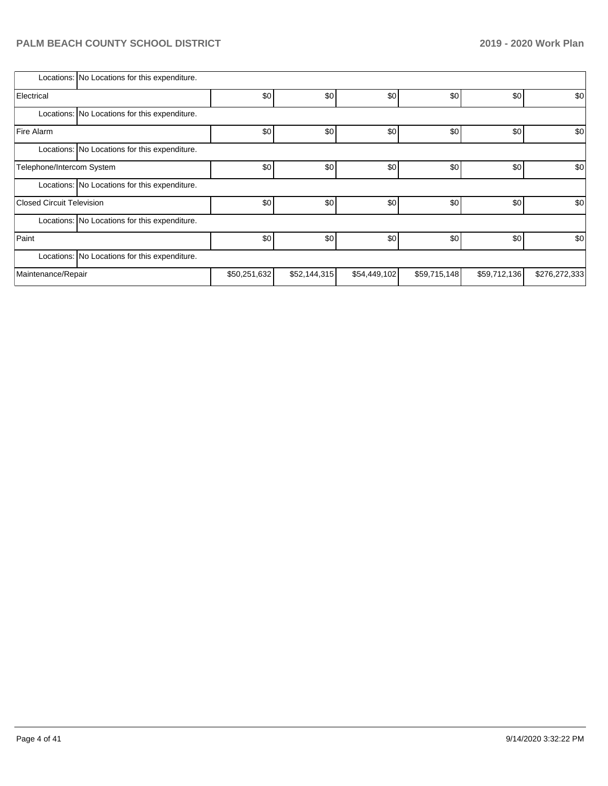|                           | Locations: No Locations for this expenditure. |              |              |              |              |              |               |  |  |  |
|---------------------------|-----------------------------------------------|--------------|--------------|--------------|--------------|--------------|---------------|--|--|--|
| Electrical                |                                               | \$0          | \$0          | \$0          | \$0          | \$0          | \$0           |  |  |  |
|                           | Locations: No Locations for this expenditure. |              |              |              |              |              |               |  |  |  |
| <b>Fire Alarm</b>         |                                               | \$0          | \$0          | \$0          | \$0          | \$0          | \$0           |  |  |  |
|                           | Locations: No Locations for this expenditure. |              |              |              |              |              |               |  |  |  |
| Telephone/Intercom System |                                               | \$0          | \$0          | \$0          | \$0          | \$0          | \$0           |  |  |  |
|                           | Locations: No Locations for this expenditure. |              |              |              |              |              |               |  |  |  |
| Closed Circuit Television |                                               | \$0          | \$0          | \$0          | \$0          | \$0          | \$0           |  |  |  |
|                           | Locations: No Locations for this expenditure. |              |              |              |              |              |               |  |  |  |
| Paint                     |                                               | \$0          | \$0          | \$0          | \$0          | \$0          | \$0           |  |  |  |
|                           | Locations: No Locations for this expenditure. |              |              |              |              |              |               |  |  |  |
| Maintenance/Repair        |                                               | \$50,251,632 | \$52,144,315 | \$54,449,102 | \$59,715,148 | \$59,712,136 | \$276,272,333 |  |  |  |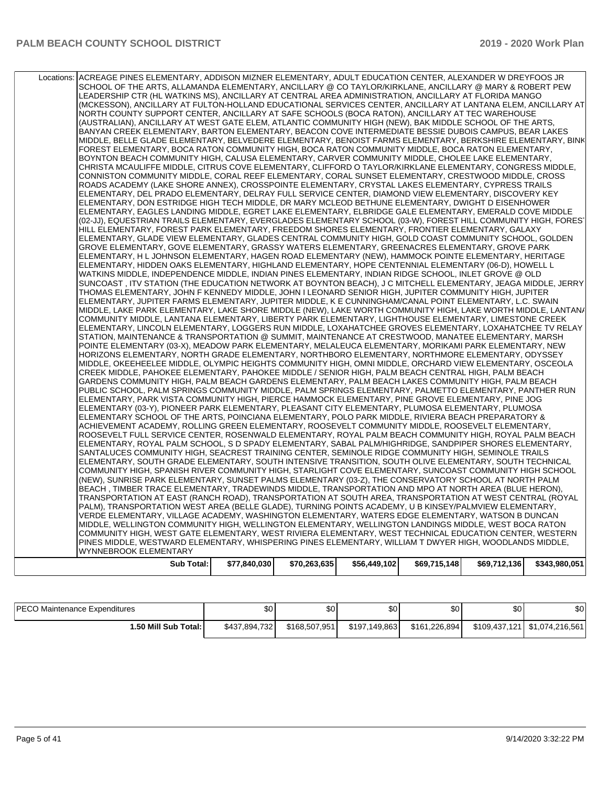| (NEW), SUNRISE PARK ELEMENTARY, SUNSET PALMS ELEMENTARY (03-Z), THE CONSERVATORY SCHOOL AT NORTH PALM<br>BEACH, TIMBER TRACE ELEMENTARY, TRADEWINDS MIDDLE, TRANSPORTATION AND MPO AT NORTH AREA (BLUE HERON),<br>TRANSPORTATION AT EAST (RANCH ROAD), TRANSPORTATION AT SOUTH AREA, TRANSPORTATION AT WEST CENTRAL (ROYAL<br>PALM), TRANSPORTATION WEST AREA (BELLE GLADE), TURNING POINTS ACADEMY, U B KINSEY/PALMVIEW ELEMENTARY,<br>VERDE ELEMENTARY, VILLAGE ACADEMY, WASHINGTON ELEMENTARY, WATERS EDGE ELEMENTARY, WATSON B DUNCAN |
|-------------------------------------------------------------------------------------------------------------------------------------------------------------------------------------------------------------------------------------------------------------------------------------------------------------------------------------------------------------------------------------------------------------------------------------------------------------------------------------------------------------------------------------------|
| ELEMENTARY, ROYAL PALM SCHOOL, S D SPADY ELEMENTARY, SABAL PALM/HIGHRIDGE, SANDPIPER SHORES ELEMENTARY,<br>SANTALUCES COMMUNITY HIGH, SEACREST TRAINING CENTER, SEMINOLE RIDGE COMMUNITY HIGH, SEMINOLE TRAILS<br>ELEMENTARY, SOUTH GRADE ELEMENTARY, SOUTH INTENSIVE TRANSITION, SOUTH OLIVE ELEMENTARY, SOUTH TECHNICAL<br>COMMUNITY HIGH, SPANISH RIVER COMMUNITY HIGH, STARLIGHT COVE ELEMENTARY, SUNCOAST COMMUNITY HIGH SCHOOL                                                                                                      |
| ELEMENTARY (03-Y), PIONEER PARK ELEMENTARY, PLEASANT CITY ELEMENTARY, PLUMOSA ELEMENTARY, PLUMOSA<br>ELEMENTARY SCHOOL OF THE ARTS, POINCIANA ELEMENTARY, POLO PARK MIDDLE, RIVIERA BEACH PREPARATORY &<br>ACHIEVEMENT ACADEMY, ROLLING GREEN ELEMENTARY, ROOSEVELT COMMUNITY MIDDLE, ROOSEVELT ELEMENTARY,<br>ROOSEVELT FULL SERVICE CENTER, ROSENWALD ELEMENTARY, ROYAL PALM BEACH COMMUNITY HIGH, ROYAL PALM BEACH                                                                                                                     |
| MIDDLE. OKEEHEELEE MIDDLE. OLYMPIC HEIGHTS COMMUNITY HIGH. OMNI MIDDLE. ORCHARD VIEW ELEMENTARY. OSCEOLA<br>CREEK MIDDLE, PAHOKEE ELEMENTARY, PAHOKEE MIDDLE / SENIOR HIGH, PALM BEACH CENTRAL HIGH, PALM BEACH<br>GARDENS COMMUNITY HIGH, PALM BEACH GARDENS ELEMENTARY, PALM BEACH LAKES COMMUNITY HIGH, PALM BEACH<br>PUBLIC SCHOOL, PALM SPRINGS COMMUNITY MIDDLE, PALM SPRINGS ELEMENTARY, PALMETTO ELEMENTARY, PANTHER RUN<br>ELEMENTARY, PARK VISTA COMMUNITY HIGH, PIERCE HAMMOCK ELEMENTARY, PINE GROVE ELEMENTARY, PINE JOG     |
| ELEMENTARY, LINCOLN ELEMENTARY, LOGGERS RUN MIDDLE, LOXAHATCHEE GROVES ELEMENTARY, LOXAHATCHEE TV RELAY<br>STATION, MAINTENANCE & TRANSPORTATION @ SUMMIT, MAINTENANCE AT CRESTWOOD, MANATEE ELEMENTARY, MARSH<br>POINTE ELEMENTARY (03-X), MEADOW PARK ELEMENTARY, MELALEUCA ELEMENTARY, MORIKAMI PARK ELEMENTARY, NEW<br>HORIZONS ELEMENTARY, NORTH GRADE ELEMENTARY, NORTHBORO ELEMENTARY, NORTHMORE ELEMENTARY, ODYSSEY                                                                                                               |
| THOMAS ELEMENTARY, JOHN F KENNEDY MIDDLE, JOHN I LEONARD SENIOR HIGH, JUPITER COMMUNITY HIGH, JUPITER<br>ELEMENTARY, JUPITER FARMS ELEMENTARY, JUPITER MIDDLE, K E CUNNINGHAM/CANAL POINT ELEMENTARY, L.C. SWAIN<br>MIDDLE, LAKE PARK ELEMENTARY, LAKE SHORE MIDDLE (NEW), LAKE WORTH COMMUNITY HIGH, LAKE WORTH MIDDLE, LANTAN/<br>COMMUNITY MIDDLE, LANTANA ELEMENTARY, LIBERTY PARK ELEMENTARY, LIGHTHOUSE ELEMENTARY, LIMESTONE CREEK                                                                                                 |
| ELEMENTARY, HIDDEN OAKS ELEMENTARY, HIGHLAND ELEMENTARY, HOPE CENTENNIAL ELEMENTARY (06-D), HOWELL L<br>WATKINS MIDDLE, INDEPENDENCE MIDDLE, INDIAN PINES ELEMENTARY, INDIAN RIDGE SCHOOL, INLET GROVE @ OLD<br>SUNCOAST, ITV STATION (THE EDUCATION NETWORK AT BOYNTON BEACH), J C MITCHELL ELEMENTARY, JEAGA MIDDLE, JERRY                                                                                                                                                                                                              |
| (02-JJ), EQUESTRIAN TRAILS ELEMENTARY, EVERGLADES ELEMENTARY SCHOOL (03-W), FOREST HILL COMMUNITY HIGH, FORES'<br>HILL ELEMENTARY, FOREST PARK ELEMENTARY, FREEDOM SHORES ELEMENTARY, FRONTIER ELEMENTARY, GALAXY<br>ELEMENTARY, GLADE VIEW ELEMENTARY, GLADES CENTRAL COMMUNITY HIGH, GOLD COAST COMMUNITY SCHOOL, GOLDEN<br>GROVE ELEMENTARY, GOVE ELEMENTARY, GRASSY WATERS ELEMENTARY, GREENACRES ELEMENTARY, GROVE PARK<br>ELEMENTARY, H L JOHNSON ELEMENTARY, HAGEN ROAD ELEMENTARY (NEW), HAMMOCK POINTE ELEMENTARY, HERITAGE      |
| ROADS ACADEMY (LAKE SHORE ANNEX), CROSSPOINTE ELEMENTARY, CRYSTAL LAKES ELEMENTARY, CYPRESS TRAILS<br>ELEMENTARY, DEL PRADO ELEMENTARY, DELRAY FULL SERVICE CENTER, DIAMOND VIEW ELEMENTARY, DISCOVERY KEY<br>ELEMENTARY, DON ESTRIDGE HIGH TECH MIDDLE, DR MARY MCLEOD BETHUNE ELEMENTARY, DWIGHT D EISENHOWER<br>ELEMENTARY, EAGLES LANDING MIDDLE, EGRET LAKE ELEMENTARY, ELBRIDGE GALE ELEMENTARY, EMERALD COVE MIDDLE                                                                                                                |
| FOREST ELEMENTARY, BOCA RATON COMMUNITY HIGH, BOCA RATON COMMUNITY MIDDLE, BOCA RATON ELEMENTARY,<br>BOYNTON BEACH COMMUNITY HIGH, CALUSA ELEMENTARY, CARVER COMMUNITY MIDDLE, CHOLEE LAKE ELEMENTARY,<br>CHRISTA MCAULIFFE MIDDLE, CITRUS COVE ELEMENTARY, CLIFFORD O TAYLOR/KIRKLANE ELEMENTARY, CONGRESS MIDDLE,<br>CONNISTON COMMUNITY MIDDLE, CORAL REEF ELEMENTARY, CORAL SUNSET ELEMENTARY, CRESTWOOD MIDDLE, CROSS                                                                                                                |
| NORTH COUNTY SUPPORT CENTER, ANCILLARY AT SAFE SCHOOLS (BOCA RATON), ANCILLARY AT TEC WAREHOUSE<br>(AUSTRALIAN), ANCILLARY AT WEST GATE ELEM, ATLANTIC COMMUNITY HIGH (NEW), BAK MIDDLE SCHOOL OF THE ARTS,<br>BANYAN CREEK ELEMENTARY, BARTON ELEMENTARY, BEACON COVE INTERMEDIATE BESSIE DUBOIS CAMPUS, BEAR LAKES<br>MIDDLE, BELLE GLADE ELEMENTARY, BELVEDERE ELEMENTARY, BENOIST FARMS ELEMENTARY, BERKSHIRE ELEMENTARY, BINK                                                                                                        |
| SCHOOL OF THE ARTS, ALLAMANDA ELEMENTARY, ANCILLARY @ CO TAYLOR/KIRKLANE, ANCILLARY @ MARY & ROBERT PEW<br>LEADERSHIP CTR (HL WATKINS MS), ANCILLARY AT CENTRAL AREA ADMINISTRATION, ANCILLARY AT FLORIDA MANGO<br>(MCKESSON), ANCILLARY AT FULTON-HOLLAND EDUCATIONAL SERVICES CENTER, ANCILLARY AT LANTANA ELEM, ANCILLARY AT                                                                                                                                                                                                           |

| <b>IPECO Maintenance Expenditures</b> | \$0           | ሶሳ<br>υŒ      | ጦ<br>ພບ       | \$0           | \$0 | \$0 |
|---------------------------------------|---------------|---------------|---------------|---------------|-----|-----|
| 1.50 Mill Sub Total: I                | \$437,894,732 | \$168,507.951 | \$197.149.863 | \$161,226,894 |     |     |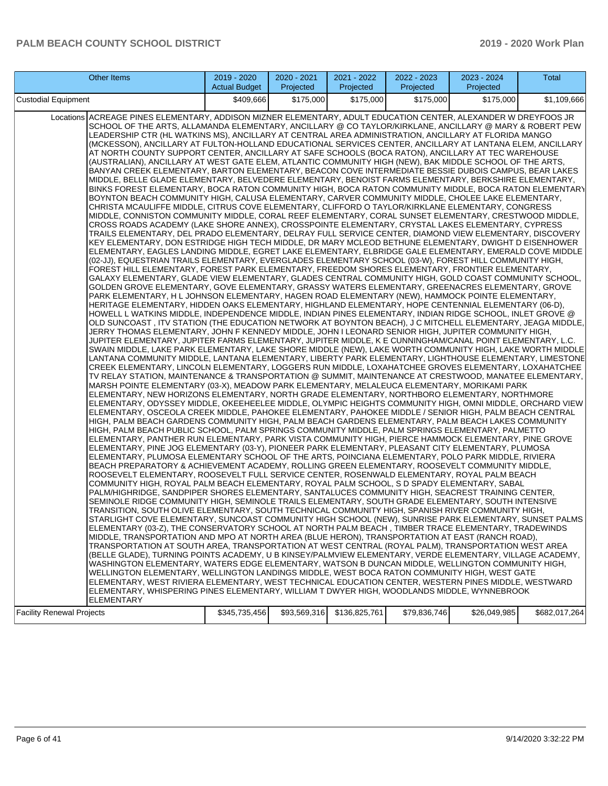| Other Items                                                                                                                                                                                                                                                                                                                                                                                                                                                                                                                                                                                                                                                                                                                                                                                                                                                                                                                                                                                                                                                                                                                                                                                                                                                                                                                                                                                                                                                                                                                                                                                                                                                                                                                                                                                                                                                                                                                                                                                                                                                                                                                                                                                                                                                                                                                                                                                                                                                                                                                                                                                                                                                                                                                                                                                                                                                                                                                                                                                                                                                                                                                                                                                                                                                                                                                                                                                                                                                                                                                                                                                                                                                                                                                                                                                                                                                                                                                                                                                                                                                                                                                                                                                                                                                                                                                                                                                                                                                                                                                                                                                                                                                                                                                                                                                                                                                                                                                                                                                                                                                                                                                                                                                                                                                                                                                                                                                                                                                                                                                                                                                                                                                                                                                                                                                                                   | 2019 - 2020<br><b>Actual Budget</b> | 2020 - 2021<br>Projected | 2021 - 2022<br>Projected | 2022 - 2023<br>Projected | 2023 - 2024<br>Projected | Total         |  |
|-------------------------------------------------------------------------------------------------------------------------------------------------------------------------------------------------------------------------------------------------------------------------------------------------------------------------------------------------------------------------------------------------------------------------------------------------------------------------------------------------------------------------------------------------------------------------------------------------------------------------------------------------------------------------------------------------------------------------------------------------------------------------------------------------------------------------------------------------------------------------------------------------------------------------------------------------------------------------------------------------------------------------------------------------------------------------------------------------------------------------------------------------------------------------------------------------------------------------------------------------------------------------------------------------------------------------------------------------------------------------------------------------------------------------------------------------------------------------------------------------------------------------------------------------------------------------------------------------------------------------------------------------------------------------------------------------------------------------------------------------------------------------------------------------------------------------------------------------------------------------------------------------------------------------------------------------------------------------------------------------------------------------------------------------------------------------------------------------------------------------------------------------------------------------------------------------------------------------------------------------------------------------------------------------------------------------------------------------------------------------------------------------------------------------------------------------------------------------------------------------------------------------------------------------------------------------------------------------------------------------------------------------------------------------------------------------------------------------------------------------------------------------------------------------------------------------------------------------------------------------------------------------------------------------------------------------------------------------------------------------------------------------------------------------------------------------------------------------------------------------------------------------------------------------------------------------------------------------------------------------------------------------------------------------------------------------------------------------------------------------------------------------------------------------------------------------------------------------------------------------------------------------------------------------------------------------------------------------------------------------------------------------------------------------------------------------------------------------------------------------------------------------------------------------------------------------------------------------------------------------------------------------------------------------------------------------------------------------------------------------------------------------------------------------------------------------------------------------------------------------------------------------------------------------------------------------------------------------------------------------------------------------------------------------------------------------------------------------------------------------------------------------------------------------------------------------------------------------------------------------------------------------------------------------------------------------------------------------------------------------------------------------------------------------------------------------------------------------------------------------------------------------------------------------------------------------------------------------------------------------------------------------------------------------------------------------------------------------------------------------------------------------------------------------------------------------------------------------------------------------------------------------------------------------------------------------------------------------------------------------------------------------------------------------------------------------------------------------------------------------------------------------------------------------------------------------------------------------------------------------------------------------------------------------------------------------------------------------------------------------------------------------------------------------------------------------------------------------------------------------------------------------------------------------------------------------------|-------------------------------------|--------------------------|--------------------------|--------------------------|--------------------------|---------------|--|
| Custodial Equipment<br>\$409,666<br>\$175,000<br>\$175,000<br>\$175,000<br>\$175,000                                                                                                                                                                                                                                                                                                                                                                                                                                                                                                                                                                                                                                                                                                                                                                                                                                                                                                                                                                                                                                                                                                                                                                                                                                                                                                                                                                                                                                                                                                                                                                                                                                                                                                                                                                                                                                                                                                                                                                                                                                                                                                                                                                                                                                                                                                                                                                                                                                                                                                                                                                                                                                                                                                                                                                                                                                                                                                                                                                                                                                                                                                                                                                                                                                                                                                                                                                                                                                                                                                                                                                                                                                                                                                                                                                                                                                                                                                                                                                                                                                                                                                                                                                                                                                                                                                                                                                                                                                                                                                                                                                                                                                                                                                                                                                                                                                                                                                                                                                                                                                                                                                                                                                                                                                                                                                                                                                                                                                                                                                                                                                                                                                                                                                                                          |                                     |                          |                          |                          |                          |               |  |
| ACREAGE PINES ELEMENTARY, ADDISON MIZNER ELEMENTARY, ADULT EDUCATION CENTER, ALEXANDER W DREYFOOS JR<br>Locations<br>SCHOOL OF THE ARTS, ALLAMANDA ELEMENTARY, ANCILLARY @ CO TAYLOR/KIRKLANE, ANCILLARY @ MARY & ROBERT PEW<br>LEADERSHIP CTR (HL WATKINS MS), ANCILLARY AT CENTRAL AREA ADMINISTRATION, ANCILLARY AT FLORIDA MANGO<br>(MCKESSON), ANCILLARY AT FULTON-HOLLAND EDUCATIONAL SERVICES CENTER, ANCILLARY AT LANTANA ELEM, ANCILLARY<br>AT NORTH COUNTY SUPPORT CENTER, ANCILLARY AT SAFE SCHOOLS (BOCA RATON), ANCILLARY AT TEC WAREHOUSE<br>(AUSTRALIAN), ANCILLARY AT WEST GATE ELEM, ATLANTIC COMMUNITY HIGH (NEW), BAK MIDDLE SCHOOL OF THE ARTS,<br>BANYAN CREEK ELEMENTARY, BARTON ELEMENTARY, BEACON COVE INTERMEDIATE BESSIE DUBOIS CAMPUS, BEAR LAKES<br>MIDDLE, BELLE GLADE ELEMENTARY, BELVEDERE ELEMENTARY, BENOIST FARMS ELEMENTARY, BERKSHIRE ELEMENTARY,<br>BINKS FOREST ELEMENTARY, BOCA RATON COMMUNITY HIGH, BOCA RATON COMMUNITY MIDDLE, BOCA RATON ELEMENTARY<br>BOYNTON BEACH COMMUNITY HIGH, CALUSA ELEMENTARY, CARVER COMMUNITY MIDDLE, CHOLEE LAKE ELEMENTARY,<br>CHRISTA MCAULIFFE MIDDLE, CITRUS COVE ELEMENTARY, CLIFFORD O TAYLOR/KIRKLANE ELEMENTARY, CONGRESS<br>MIDDLE, CONNISTON COMMUNITY MIDDLE, CORAL REEF ELEMENTARY, CORAL SUNSET ELEMENTARY, CRESTWOOD MIDDLE,<br>CROSS ROADS ACADEMY (LAKE SHORE ANNEX), CROSSPOINTE ELEMENTARY, CRYSTAL LAKES ELEMENTARY, CYPRESS<br>TRAILS ELEMENTARY, DEL PRADO ELEMENTARY, DELRAY FULL SERVICE CENTER, DIAMOND VIEW ELEMENTARY, DISCOVERY<br>KEY ELEMENTARY, DON ESTRIDGE HIGH TECH MIDDLE, DR MARY MCLEOD BETHUNE ELEMENTARY, DWIGHT D EISENHOWER<br>ELEMENTARY, EAGLES LANDING MIDDLE, EGRET LAKE ELEMENTARY, ELBRIDGE GALE ELEMENTARY, EMERALD COVE MIDDLE<br>(02-JJ), EQUESTRIAN TRAILS ELEMENTARY, EVERGLADES ELEMENTARY SCHOOL (03-W), FOREST HILL COMMUNITY HIGH,<br>FOREST HILL ELEMENTARY, FOREST PARK ELEMENTARY, FREEDOM SHORES ELEMENTARY, FRONTIER ELEMENTARY,<br>GALAXY ELEMENTARY, GLADE VIEW ELEMENTARY, GLADES CENTRAL COMMUNITY HIGH, GOLD COAST COMMUNITY SCHOOL,<br>GOLDEN GROVE ELEMENTARY, GOVE ELEMENTARY, GRASSY WATERS ELEMENTARY, GREENACRES ELEMENTARY, GROVE<br>PARK ELEMENTARY, H L JOHNSON ELEMENTARY, HAGEN ROAD ELEMENTARY (NEW), HAMMOCK POINTE ELEMENTARY,<br>HERITAGE ELEMENTARY, HIDDEN OAKS ELEMENTARY, HIGHLAND ELEMENTARY, HOPE CENTENNIAL ELEMENTARY (06-D),<br>HOWELL L WATKINS MIDDLE, INDEPENDENCE MIDDLE, INDIAN PINES ELEMENTARY, INDIAN RIDGE SCHOOL, INLET GROVE @<br>OLD SUNCOAST , ITV STATION (THE EDUCATION NETWORK AT BOYNTON BEACH), J C MITCHELL ELEMENTARY, JEAGA MIDDLE,<br>JERRY THOMAS ELEMENTARY, JOHN F KENNEDY MIDDLE, JOHN I LEONARD SENIOR HIGH, JUPITER COMMUNITY HIGH,<br>JUPITER ELEMENTARY, JUPITER FARMS ELEMENTARY, JUPITER MIDDLE, K E CUNNINGHAM/CANAL POINT ELEMENTARY, L.C.<br>SWAIN MIDDLE, LAKE PARK ELEMENTARY, LAKE SHORE MIDDLE (NEW), LAKE WORTH COMMUNITY HIGH, LAKE WORTH MIDDLE<br>LANTANA COMMUNITY MIDDLE, LANTANA ELEMENTARY, LIBERTY PARK ELEMENTARY, LIGHTHOUSE ELEMENTARY, LIMESTONE<br>CREEK ELEMENTARY, LINCOLN ELEMENTARY, LOGGERS RUN MIDDLE, LOXAHATCHEE GROVES ELEMENTARY, LOXAHATCHEE<br>TV RELAY STATION, MAINTENANCE & TRANSPORTATION @ SUMMIT, MAINTENANCE AT CRESTWOOD, MANATEE ELEMENTARY,<br>MARSH POINTE ELEMENTARY (03-X), MEADOW PARK ELEMENTARY, MELALEUCA ELEMENTARY, MORIKAMI PARK<br>ELEMENTARY, NEW HORIZONS ELEMENTARY, NORTH GRADE ELEMENTARY, NORTHBORO ELEMENTARY, NORTHMORE<br>ELEMENTARY, ODYSSEY MIDDLE, OKEEHEELEE MIDDLE, OLYMPIC HEIGHTS COMMUNITY HIGH, OMNI MIDDLE, ORCHARD VIEW<br>ELEMENTARY, OSCEOLA CREEK MIDDLE, PAHOKEE ELEMENTARY, PAHOKEE MIDDLE / SENIOR HIGH, PALM BEACH CENTRAL<br>HIGH, PALM BEACH GARDENS COMMUNITY HIGH, PALM BEACH GARDENS ELEMENTARY, PALM BEACH LAKES COMMUNITY<br>HIGH, PALM BEACH PUBLIC SCHOOL, PALM SPRINGS COMMUNITY MIDDLE, PALM SPRINGS ELEMENTARY, PALMETTO<br>ELEMENTARY, PANTHER RUN ELEMENTARY, PARK VISTA COMMUNITY HIGH, PIERCE HAMMOCK ELEMENTARY, PINE GROVE<br>ELEMENTARY, PINE JOG ELEMENTARY (03-Y), PIONEER PARK ELEMENTARY, PLEASANT CITY ELEMENTARY, PLUMOSA<br>ELEMENTARY, PLUMOSA ELEMENTARY SCHOOL OF THE ARTS, POINCIANA ELEMENTARY, POLO PARK MIDDLE, RIVIERA<br>BEACH PREPARATORY & ACHIEVEMENT ACADEMY, ROLLING GREEN ELEMENTARY, ROOSEVELT COMMUNITY MIDDLE,<br>ROOSEVELT ELEMENTARY, ROOSEVELT FULL SERVICE CENTER, ROSENWALD ELEMENTARY, ROYAL PALM BEACH<br>COMMUNITY HIGH, ROYAL PALM BEACH ELEMENTARY, ROYAL PALM SCHOOL, S D SPADY ELEMENTARY, SABAL<br>PALM/HIGHRIDGE, SANDPIPER SHORES ELEMENTARY, SANTALUCES COMMUNITY HIGH, SEACREST TRAINING CENTER,<br>SEMINOLE RIDGE COMMUNITY HIGH, SEMINOLE TRAILS ELEMENTARY, SOUTH GRADE ELEMENTARY, SOUTH INTENSIVE<br>TRANSITION, SOUTH OLIVE ELEMENTARY, SOUTH TECHNICAL COMMUNITY HIGH, SPANISH RIVER COMMUNITY HIGH,<br>STARLIGHT COVE ELEMENTARY, SUNCOAST COMMUNITY HIGH SCHOOL (NEW), SUNRISE PARK ELEMENTARY, SUNSET PALMS<br>ELEMENTARY (03-Z), THE CONSERVATORY SCHOOL AT NORTH PALM BEACH , TIMBER TRACE ELEMENTARY, TRADEWINDS<br>MIDDLE, TRANSPORTATION AND MPO AT NORTH AREA (BLUE HERON), TRANSPORTATION AT EAST (RANCH ROAD),<br>TRANSPORTATION AT SOUTH AREA, TRANSPORTATION AT WEST CENTRAL (ROYAL PALM), TRANSPORTATION WEST AREA<br>(BELLE GLADE), TURNING POINTS ACADEMY, U B KINSEY/PALMVIEW ELEMENTARY, VERDE ELEMENTARY, VILLAGE ACADEMY,<br>WASHINGTON ELEMENTARY, WATERS EDGE ELEMENTARY, WATSON B DUNCAN MIDDLE, WELLINGTON COMMUNITY HIGH,<br>WELLINGTON ELEMENTARY, WELLINGTON LANDINGS MIDDLE, WEST BOCA RATON COMMUNITY HIGH, WEST GATE<br>ELEMENTARY, WEST RIVIERA ELEMENTARY, WEST TECHNICAL EDUCATION CENTER, WESTERN PINES MIDDLE, WESTWARD<br>ELEMENTARY, WHISPERING PINES ELEMENTARY, WILLIAM T DWYER HIGH, WOODLANDS MIDDLE, WYNNEBROOK<br>ELEMENTARY |                                     |                          |                          |                          |                          | \$1,109,666   |  |
| <b>Facility Renewal Projects</b>                                                                                                                                                                                                                                                                                                                                                                                                                                                                                                                                                                                                                                                                                                                                                                                                                                                                                                                                                                                                                                                                                                                                                                                                                                                                                                                                                                                                                                                                                                                                                                                                                                                                                                                                                                                                                                                                                                                                                                                                                                                                                                                                                                                                                                                                                                                                                                                                                                                                                                                                                                                                                                                                                                                                                                                                                                                                                                                                                                                                                                                                                                                                                                                                                                                                                                                                                                                                                                                                                                                                                                                                                                                                                                                                                                                                                                                                                                                                                                                                                                                                                                                                                                                                                                                                                                                                                                                                                                                                                                                                                                                                                                                                                                                                                                                                                                                                                                                                                                                                                                                                                                                                                                                                                                                                                                                                                                                                                                                                                                                                                                                                                                                                                                                                                                                              | \$345,735,456                       | \$93,569,316             | \$136,825,761            | \$79,836,746             | \$26,049,985             | \$682,017,264 |  |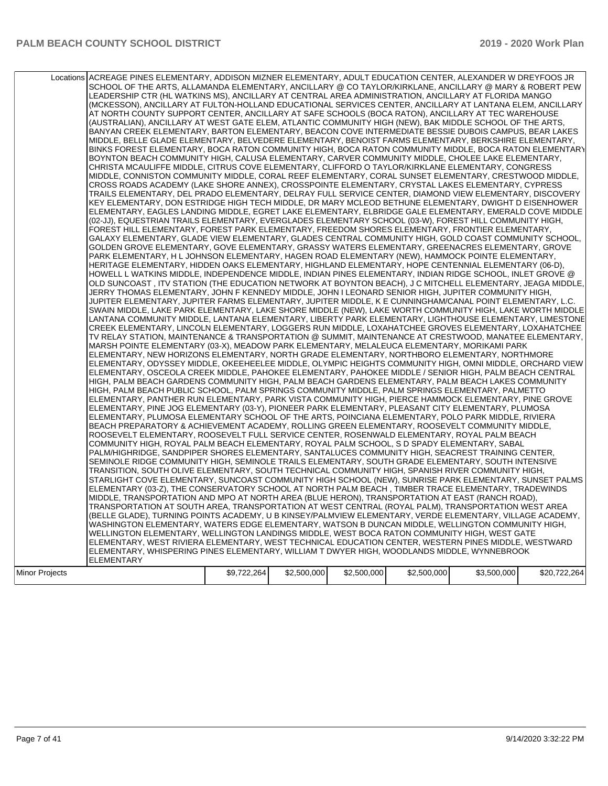|                | Locations ACREAGE PINES ELEMENTARY, ADDISON MIZNER ELEMENTARY, ADULT EDUCATION CENTER, ALEXANDER W DREYFOOS JR<br>SCHOOL OF THE ARTS, ALLAMANDA ELEMENTARY, ANCILLARY @ CO TAYLOR/KIRKLANE, ANCILLARY @ MARY & ROBERT PEW<br>LEADERSHIP CTR (HL WATKINS MS), ANCILLARY AT CENTRAL AREA ADMINISTRATION, ANCILLARY AT FLORIDA MANGO<br>(MCKESSON), ANCILLARY AT FULTON-HOLLAND EDUCATIONAL SERVICES CENTER, ANCILLARY AT LANTANA ELEM, ANCILLARY<br>AT NORTH COUNTY SUPPORT CENTER, ANCILLARY AT SAFE SCHOOLS (BOCA RATON), ANCILLARY AT TEC WAREHOUSE<br>(AUSTRALIAN), ANCILLARY AT WEST GATE ELEM, ATLANTIC COMMUNITY HIGH (NEW), BAK MIDDLE SCHOOL OF THE ARTS,<br>BANYAN CREEK ELEMENTARY, BARTON ELEMENTARY, BEACON COVE INTERMEDIATE BESSIE DUBOIS CAMPUS, BEAR LAKES<br>MIDDLE, BELLE GLADE ELEMENTARY, BELVEDERE ELEMENTARY, BENOIST FARMS ELEMENTARY, BERKSHIRE ELEMENTARY,<br>BINKS FOREST ELEMENTARY, BOCA RATON COMMUNITY HIGH, BOCA RATON COMMUNITY MIDDLE, BOCA RATON ELEMENTARY<br>BOYNTON BEACH COMMUNITY HIGH, CALUSA ELEMENTARY, CARVER COMMUNITY MIDDLE, CHOLEE LAKE ELEMENTARY,<br>CHRISTA MCAULIFFE MIDDLE, CITRUS COVE ELEMENTARY, CLIFFORD O TAYLOR/KIRKLANE ELEMENTARY, CONGRESS<br>MIDDLE, CONNISTON COMMUNITY MIDDLE, CORAL REEF ELEMENTARY, CORAL SUNSET ELEMENTARY, CRESTWOOD MIDDLE,<br>CROSS ROADS ACADEMY (LAKE SHORE ANNEX), CROSSPOINTE ELEMENTARY, CRYSTAL LAKES ELEMENTARY, CYPRESS<br>TRAILS ELEMENTARY, DEL PRADO ELEMENTARY, DELRAY FULL SERVICE CENTER, DIAMOND VIEW ELEMENTARY, DISCOVERY<br>KEY ELEMENTARY, DON ESTRIDGE HIGH TECH MIDDLE, DR MARY MCLEOD BETHUNE ELEMENTARY, DWIGHT D EISENHOWER<br>ELEMENTARY, EAGLES LANDING MIDDLE, EGRET LAKE ELEMENTARY, ELBRIDGE GALE ELEMENTARY, EMERALD COVE MIDDLE<br>(02-JJ), EQUESTRIAN TRAILS ELEMENTARY, EVERGLADES ELEMENTARY SCHOOL (03-W), FOREST HILL COMMUNITY HIGH,<br>FOREST HILL ELEMENTARY, FOREST PARK ELEMENTARY, FREEDOM SHORES ELEMENTARY, FRONTIER ELEMENTARY,<br>GALAXY ELEMENTARY, GLADE VIEW ELEMENTARY, GLADES CENTRAL COMMUNITY HIGH, GOLD COAST COMMUNITY SCHOOL,<br>GOLDEN GROVE ELEMENTARY, GOVE ELEMENTARY, GRASSY WATERS ELEMENTARY, GREENACRES ELEMENTARY, GROVE<br>PARK ELEMENTARY, H L JOHNSON ELEMENTARY, HAGEN ROAD ELEMENTARY (NEW), HAMMOCK POINTE ELEMENTARY,<br>HERITAGE ELEMENTARY, HIDDEN OAKS ELEMENTARY, HIGHLAND ELEMENTARY, HOPE CENTENNIAL ELEMENTARY (06-D),<br>HOWELL L WATKINS MIDDLE, INDEPENDENCE MIDDLE, INDIAN PINES ELEMENTARY, INDIAN RIDGE SCHOOL, INLET GROVE @<br>OLD SUNCOAST, ITV STATION (THE EDUCATION NETWORK AT BOYNTON BEACH), J C MITCHELL ELEMENTARY, JEAGA MIDDLE,<br>JERRY THOMAS ELEMENTARY, JOHN F KENNEDY MIDDLE, JOHN I LEONARD SENIOR HIGH, JUPITER COMMUNITY HIGH,<br>JUPITER ELEMENTARY, JUPITER FARMS ELEMENTARY, JUPITER MIDDLE, K E CUNNINGHAM/CANAL POINT ELEMENTARY, L.C.<br>SWAIN MIDDLE, LAKE PARK ELEMENTARY, LAKE SHORE MIDDLE (NEW), LAKE WORTH COMMUNITY HIGH, LAKE WORTH MIDDLE<br>LANTANA COMMUNITY MIDDLE, LANTANA ELEMENTARY, LIBERTY PARK ELEMENTARY, LIGHTHOUSE ELEMENTARY, LIMESTONE<br>CREEK ELEMENTARY, LINCOLN ELEMENTARY, LOGGERS RUN MIDDLE, LOXAHATCHEE GROVES ELEMENTARY, LOXAHATCHEE<br>TV RELAY STATION, MAINTENANCE & TRANSPORTATION @ SUMMIT, MAINTENANCE AT CRESTWOOD, MANATEE ELEMENTARY,<br>MARSH POINTE ELEMENTARY (03-X), MEADOW PARK ELEMENTARY, MELALEUCA ELEMENTARY, MORIKAMI PARK<br>ELEMENTARY, NEW HORIZONS ELEMENTARY, NORTH GRADE ELEMENTARY, NORTHBORO ELEMENTARY, NORTHMORE<br>ELEMENTARY, ODYSSEY MIDDLE, OKEEHEELEE MIDDLE, OLYMPIC HEIGHTS COMMUNITY HIGH, OMNI MIDDLE, ORCHARD VIEW<br>ELEMENTARY, OSCEOLA CREEK MIDDLE, PAHOKEE ELEMENTARY, PAHOKEE MIDDLE / SENIOR HIGH, PALM BEACH CENTRAL<br>HIGH, PALM BEACH GARDENS COMMUNITY HIGH, PALM BEACH GARDENS ELEMENTARY, PALM BEACH LAKES COMMUNITY<br>HIGH, PALM BEACH PUBLIC SCHOOL, PALM SPRINGS COMMUNITY MIDDLE, PALM SPRINGS ELEMENTARY, PALMETTO<br>ELEMENTARY, PANTHER RUN ELEMENTARY, PARK VISTA COMMUNITY HIGH, PIERCE HAMMOCK ELEMENTARY, PINE GROVE<br>ELEMENTARY, PINE JOG ELEMENTARY (03-Y), PIONEER PARK ELEMENTARY, PLEASANT CITY ELEMENTARY, PLUMOSA<br>ELEMENTARY, PLUMOSA ELEMENTARY SCHOOL OF THE ARTS, POINCIANA ELEMENTARY, POLO PARK MIDDLE, RIVIERA<br>BEACH PREPARATORY & ACHIEVEMENT ACADEMY, ROLLING GREEN ELEMENTARY, ROOSEVELT COMMUNITY MIDDLE,<br>ROOSEVELT ELEMENTARY, ROOSEVELT FULL SERVICE CENTER, ROSENWALD ELEMENTARY, ROYAL PALM BEACH<br>COMMUNITY HIGH, ROYAL PALM BEACH ELEMENTARY, ROYAL PALM SCHOOL, S D SPADY ELEMENTARY, SABAL<br>PALM/HIGHRIDGE, SANDPIPER SHORES ELEMENTARY, SANTALUCES COMMUNITY HIGH, SEACREST TRAINING CENTER,<br>SEMINOLE RIDGE COMMUNITY HIGH, SEMINOLE TRAILS ELEMENTARY, SOUTH GRADE ELEMENTARY, SOUTH INTENSIVE<br>TRANSITION, SOUTH OLIVE ELEMENTARY, SOUTH TECHNICAL COMMUNITY HIGH, SPANISH RIVER COMMUNITY HIGH, |             |             |             |             |             |              |
|----------------|--------------------------------------------------------------------------------------------------------------------------------------------------------------------------------------------------------------------------------------------------------------------------------------------------------------------------------------------------------------------------------------------------------------------------------------------------------------------------------------------------------------------------------------------------------------------------------------------------------------------------------------------------------------------------------------------------------------------------------------------------------------------------------------------------------------------------------------------------------------------------------------------------------------------------------------------------------------------------------------------------------------------------------------------------------------------------------------------------------------------------------------------------------------------------------------------------------------------------------------------------------------------------------------------------------------------------------------------------------------------------------------------------------------------------------------------------------------------------------------------------------------------------------------------------------------------------------------------------------------------------------------------------------------------------------------------------------------------------------------------------------------------------------------------------------------------------------------------------------------------------------------------------------------------------------------------------------------------------------------------------------------------------------------------------------------------------------------------------------------------------------------------------------------------------------------------------------------------------------------------------------------------------------------------------------------------------------------------------------------------------------------------------------------------------------------------------------------------------------------------------------------------------------------------------------------------------------------------------------------------------------------------------------------------------------------------------------------------------------------------------------------------------------------------------------------------------------------------------------------------------------------------------------------------------------------------------------------------------------------------------------------------------------------------------------------------------------------------------------------------------------------------------------------------------------------------------------------------------------------------------------------------------------------------------------------------------------------------------------------------------------------------------------------------------------------------------------------------------------------------------------------------------------------------------------------------------------------------------------------------------------------------------------------------------------------------------------------------------------------------------------------------------------------------------------------------------------------------------------------------------------------------------------------------------------------------------------------------------------------------------------------------------------------------------------------------------------------------------------------------------------------------------------------------------------------------------------------------------------------------------------------------------------------------------------------------------------------------------------------------------------------------------------------------------------------------------------------------------------------------------------------------------------------------------------------------------------------------------------------------------------------------------------------------------------------------------------------------------------------------------------------------------------------------------------------------------------------------------------|-------------|-------------|-------------|-------------|-------------|--------------|
|                |                                                                                                                                                                                                                                                                                                                                                                                                                                                                                                                                                                                                                                                                                                                                                                                                                                                                                                                                                                                                                                                                                                                                                                                                                                                                                                                                                                                                                                                                                                                                                                                                                                                                                                                                                                                                                                                                                                                                                                                                                                                                                                                                                                                                                                                                                                                                                                                                                                                                                                                                                                                                                                                                                                                                                                                                                                                                                                                                                                                                                                                                                                                                                                                                                                                                                                                                                                                                                                                                                                                                                                                                                                                                                                                                                                                                                                                                                                                                                                                                                                                                                                                                                                                                                                                                                                                                                                                                                                                                                                                                                                                                                                                                                                                                                                                                                                                        |             |             |             |             |             |              |
|                | STARLIGHT COVE ELEMENTARY, SUNCOAST COMMUNITY HIGH SCHOOL (NEW), SUNRISE PARK ELEMENTARY, SUNSET PALMS<br>ELEMENTARY (03-Z), THE CONSERVATORY SCHOOL AT NORTH PALM BEACH, TIMBER TRACE ELEMENTARY, TRADEWINDS<br>MIDDLE, TRANSPORTATION AND MPO AT NORTH AREA (BLUE HERON), TRANSPORTATION AT EAST (RANCH ROAD),<br>TRANSPORTATION AT SOUTH AREA, TRANSPORTATION AT WEST CENTRAL (ROYAL PALM), TRANSPORTATION WEST AREA<br>(BELLE GLADE), TURNING POINTS ACADEMY, U B KINSEY/PALMVIEW ELEMENTARY, VERDE ELEMENTARY, VILLAGE ACADEMY,<br>WASHINGTON ELEMENTARY, WATERS EDGE ELEMENTARY, WATSON B DUNCAN MIDDLE, WELLINGTON COMMUNITY HIGH,<br>WELLINGTON ELEMENTARY, WELLINGTON LANDINGS MIDDLE, WEST BOCA RATON COMMUNITY HIGH, WEST GATE<br>ELEMENTARY, WEST RIVIERA ELEMENTARY, WEST TECHNICAL EDUCATION CENTER, WESTERN PINES MIDDLE, WESTWARD<br>ELEMENTARY, WHISPERING PINES ELEMENTARY, WILLIAM T DWYER HIGH, WOODLANDS MIDDLE, WYNNEBROOK<br><b>ELEMENTARY</b>                                                                                                                                                                                                                                                                                                                                                                                                                                                                                                                                                                                                                                                                                                                                                                                                                                                                                                                                                                                                                                                                                                                                                                                                                                                                                                                                                                                                                                                                                                                                                                                                                                                                                                                                                                                                                                                                                                                                                                                                                                                                                                                                                                                                                                                                                                                                                                                                                                                                                                                                                                                                                                                                                                                                                                                                                                                                                                                                                                                                                                                                                                                                                                                                                                                                                                                                                                                                                                                                                                                                                                                                                                                                                                                                                                                                                                                                                  |             |             |             |             |             |              |
| Minor Projects |                                                                                                                                                                                                                                                                                                                                                                                                                                                                                                                                                                                                                                                                                                                                                                                                                                                                                                                                                                                                                                                                                                                                                                                                                                                                                                                                                                                                                                                                                                                                                                                                                                                                                                                                                                                                                                                                                                                                                                                                                                                                                                                                                                                                                                                                                                                                                                                                                                                                                                                                                                                                                                                                                                                                                                                                                                                                                                                                                                                                                                                                                                                                                                                                                                                                                                                                                                                                                                                                                                                                                                                                                                                                                                                                                                                                                                                                                                                                                                                                                                                                                                                                                                                                                                                                                                                                                                                                                                                                                                                                                                                                                                                                                                                                                                                                                                                        | \$9,722,264 | \$2,500,000 | \$2,500,000 | \$2,500,000 | \$3,500,000 | \$20,722,264 |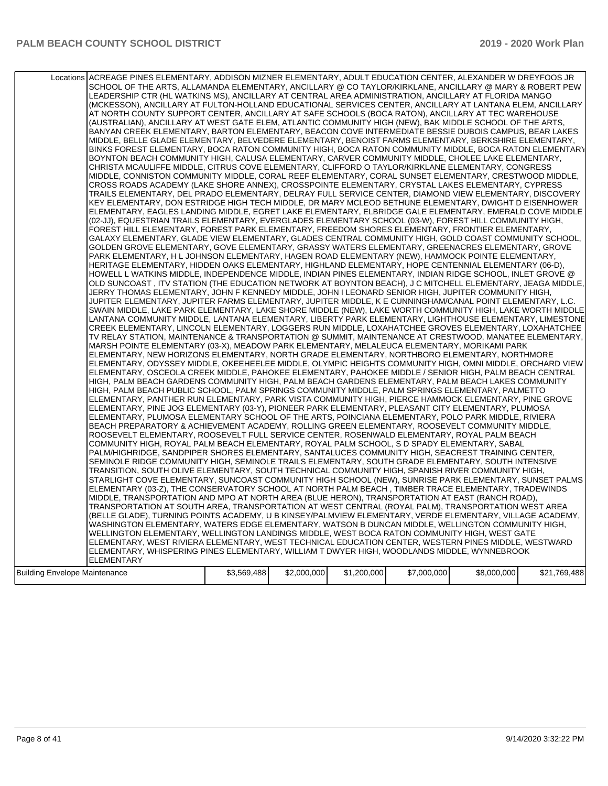|                               | Locations ACREAGE PINES ELEMENTARY, ADDISON MIZNER ELEMENTARY, ADULT EDUCATION CENTER, ALEXANDER W DREYFOOS JR<br>SCHOOL OF THE ARTS, ALLAMANDA ELEMENTARY, ANCILLARY @ CO TAYLOR/KIRKLANE, ANCILLARY @ MARY & ROBERT PEW<br>LEADERSHIP CTR (HL WATKINS MS), ANCILLARY AT CENTRAL AREA ADMINISTRATION, ANCILLARY AT FLORIDA MANGO<br>(MCKESSON), ANCILLARY AT FULTON-HOLLAND EDUCATIONAL SERVICES CENTER, ANCILLARY AT LANTANA ELEM, ANCILLARY<br>AT NORTH COUNTY SUPPORT CENTER, ANCILLARY AT SAFE SCHOOLS (BOCA RATON), ANCILLARY AT TEC WAREHOUSE<br>(AUSTRALIAN), ANCILLARY AT WEST GATE ELEM, ATLANTIC COMMUNITY HIGH (NEW), BAK MIDDLE SCHOOL OF THE ARTS,<br>BANYAN CREEK ELEMENTARY, BARTON ELEMENTARY, BEACON COVE INTERMEDIATE BESSIE DUBOIS CAMPUS, BEAR LAKES<br>MIDDLE, BELLE GLADE ELEMENTARY, BELVEDERE ELEMENTARY, BENOIST FARMS ELEMENTARY, BERKSHIRE ELEMENTARY,<br>BINKS FOREST ELEMENTARY, BOCA RATON COMMUNITY HIGH, BOCA RATON COMMUNITY MIDDLE, BOCA RATON ELEMENTARY<br>BOYNTON BEACH COMMUNITY HIGH, CALUSA ELEMENTARY, CARVER COMMUNITY MIDDLE, CHOLEE LAKE ELEMENTARY,<br>CHRISTA MCAULIFFE MIDDLE, CITRUS COVE ELEMENTARY, CLIFFORD O TAYLOR/KIRKLANE ELEMENTARY, CONGRESS<br>MIDDLE, CONNISTON COMMUNITY MIDDLE, CORAL REEF ELEMENTARY, CORAL SUNSET ELEMENTARY, CRESTWOOD MIDDLE,<br>CROSS ROADS ACADEMY (LAKE SHORE ANNEX), CROSSPOINTE ELEMENTARY, CRYSTAL LAKES ELEMENTARY, CYPRESS<br>TRAILS ELEMENTARY, DEL PRADO ELEMENTARY, DELRAY FULL SERVICE CENTER, DIAMOND VIEW ELEMENTARY, DISCOVERY<br>KEY ELEMENTARY, DON ESTRIDGE HIGH TECH MIDDLE, DR MARY MCLEOD BETHUNE ELEMENTARY, DWIGHT D EISENHOWER<br>ELEMENTARY, EAGLES LANDING MIDDLE, EGRET LAKE ELEMENTARY, ELBRIDGE GALE ELEMENTARY, EMERALD COVE MIDDLE<br>(02-JJ), EQUESTRIAN TRAILS ELEMENTARY, EVERGLADES ELEMENTARY SCHOOL (03-W), FOREST HILL COMMUNITY HIGH,<br>FOREST HILL ELEMENTARY, FOREST PARK ELEMENTARY, FREEDOM SHORES ELEMENTARY, FRONTIER ELEMENTARY,<br>GALAXY ELEMENTARY, GLADE VIEW ELEMENTARY, GLADES CENTRAL COMMUNITY HIGH, GOLD COAST COMMUNITY SCHOOL,<br>GOLDEN GROVE ELEMENTARY, GOVE ELEMENTARY, GRASSY WATERS ELEMENTARY, GREENACRES ELEMENTARY, GROVE<br>PARK ELEMENTARY, H L JOHNSON ELEMENTARY, HAGEN ROAD ELEMENTARY (NEW), HAMMOCK POINTE ELEMENTARY,<br>HERITAGE ELEMENTARY, HIDDEN OAKS ELEMENTARY, HIGHLAND ELEMENTARY, HOPE CENTENNIAL ELEMENTARY (06-D),<br>HOWELL L WATKINS MIDDLE, INDEPENDENCE MIDDLE, INDIAN PINES ELEMENTARY, INDIAN RIDGE SCHOOL, INLET GROVE @<br>OLD SUNCOAST, ITV STATION (THE EDUCATION NETWORK AT BOYNTON BEACH), J C MITCHELL ELEMENTARY, JEAGA MIDDLE,<br>JERRY THOMAS ELEMENTARY, JOHN F KENNEDY MIDDLE, JOHN I LEONARD SENIOR HIGH, JUPITER COMMUNITY HIGH,<br>JUPITER ELEMENTARY, JUPITER FARMS ELEMENTARY, JUPITER MIDDLE, K E CUNNINGHAM/CANAL POINT ELEMENTARY, L.C.<br>SWAIN MIDDLE, LAKE PARK ELEMENTARY, LAKE SHORE MIDDLE (NEW), LAKE WORTH COMMUNITY HIGH, LAKE WORTH MIDDLE<br>LANTANA COMMUNITY MIDDLE, LANTANA ELEMENTARY, LIBERTY PARK ELEMENTARY, LIGHTHOUSE ELEMENTARY, LIMESTONE<br>CREEK ELEMENTARY, LINCOLN ELEMENTARY, LOGGERS RUN MIDDLE, LOXAHATCHEE GROVES ELEMENTARY, LOXAHATCHEE<br>TV RELAY STATION, MAINTENANCE & TRANSPORTATION @ SUMMIT, MAINTENANCE AT CRESTWOOD, MANATEE ELEMENTARY,<br>MARSH POINTE ELEMENTARY (03-X), MEADOW PARK ELEMENTARY, MELALEUCA ELEMENTARY, MORIKAMI PARK<br>ELEMENTARY, NEW HORIZONS ELEMENTARY, NORTH GRADE ELEMENTARY, NORTHBORO ELEMENTARY, NORTHMORE<br>ELEMENTARY, ODYSSEY MIDDLE, OKEEHEELEE MIDDLE, OLYMPIC HEIGHTS COMMUNITY HIGH, OMNI MIDDLE, ORCHARD VIEW<br>ELEMENTARY, OSCEOLA CREEK MIDDLE, PAHOKEE ELEMENTARY, PAHOKEE MIDDLE / SENIOR HIGH, PALM BEACH CENTRAL<br>HIGH, PALM BEACH GARDENS COMMUNITY HIGH, PALM BEACH GARDENS ELEMENTARY, PALM BEACH LAKES COMMUNITY<br>HIGH, PALM BEACH PUBLIC SCHOOL, PALM SPRINGS COMMUNITY MIDDLE, PALM SPRINGS ELEMENTARY, PALMETTO<br>ELEMENTARY, PANTHER RUN ELEMENTARY, PARK VISTA COMMUNITY HIGH, PIERCE HAMMOCK ELEMENTARY, PINE GROVE<br>ELEMENTARY, PINE JOG ELEMENTARY (03-Y), PIONEER PARK ELEMENTARY, PLEASANT CITY ELEMENTARY, PLUMOSA<br>ELEMENTARY, PLUMOSA ELEMENTARY SCHOOL OF THE ARTS, POINCIANA ELEMENTARY, POLO PARK MIDDLE, RIVIERA<br>BEACH PREPARATORY & ACHIEVEMENT ACADEMY, ROLLING GREEN ELEMENTARY, ROOSEVELT COMMUNITY MIDDLE,<br>ROOSEVELT ELEMENTARY, ROOSEVELT FULL SERVICE CENTER, ROSENWALD ELEMENTARY, ROYAL PALM BEACH<br>COMMUNITY HIGH, ROYAL PALM BEACH ELEMENTARY, ROYAL PALM SCHOOL, S D SPADY ELEMENTARY, SABAL<br>PALM/HIGHRIDGE, SANDPIPER SHORES ELEMENTARY, SANTALUCES COMMUNITY HIGH, SEACREST TRAINING CENTER,<br>SEMINOLE RIDGE COMMUNITY HIGH, SEMINOLE TRAILS ELEMENTARY, SOUTH GRADE ELEMENTARY, SOUTH INTENSIVE<br>TRANSITION, SOUTH OLIVE ELEMENTARY, SOUTH TECHNICAL COMMUNITY HIGH, SPANISH RIVER COMMUNITY HIGH,<br>STARLIGHT COVE ELEMENTARY, SUNCOAST COMMUNITY HIGH SCHOOL (NEW), SUNRISE PARK ELEMENTARY, SUNSET PALMS<br>ELEMENTARY (03-Z), THE CONSERVATORY SCHOOL AT NORTH PALM BEACH, TIMBER TRACE ELEMENTARY, TRADEWINDS<br>MIDDLE, TRANSPORTATION AND MPO AT NORTH AREA (BLUE HERON), TRANSPORTATION AT EAST (RANCH ROAD),<br>TRANSPORTATION AT SOUTH AREA, TRANSPORTATION AT WEST CENTRAL (ROYAL PALM), TRANSPORTATION WEST AREA<br>(BELLE GLADE), TURNING POINTS ACADEMY, U B KINSEY/PALMVIEW ELEMENTARY, VERDE ELEMENTARY, VILLAGE ACADEMY, |             |             |             |             |             |              |
|-------------------------------|------------------------------------------------------------------------------------------------------------------------------------------------------------------------------------------------------------------------------------------------------------------------------------------------------------------------------------------------------------------------------------------------------------------------------------------------------------------------------------------------------------------------------------------------------------------------------------------------------------------------------------------------------------------------------------------------------------------------------------------------------------------------------------------------------------------------------------------------------------------------------------------------------------------------------------------------------------------------------------------------------------------------------------------------------------------------------------------------------------------------------------------------------------------------------------------------------------------------------------------------------------------------------------------------------------------------------------------------------------------------------------------------------------------------------------------------------------------------------------------------------------------------------------------------------------------------------------------------------------------------------------------------------------------------------------------------------------------------------------------------------------------------------------------------------------------------------------------------------------------------------------------------------------------------------------------------------------------------------------------------------------------------------------------------------------------------------------------------------------------------------------------------------------------------------------------------------------------------------------------------------------------------------------------------------------------------------------------------------------------------------------------------------------------------------------------------------------------------------------------------------------------------------------------------------------------------------------------------------------------------------------------------------------------------------------------------------------------------------------------------------------------------------------------------------------------------------------------------------------------------------------------------------------------------------------------------------------------------------------------------------------------------------------------------------------------------------------------------------------------------------------------------------------------------------------------------------------------------------------------------------------------------------------------------------------------------------------------------------------------------------------------------------------------------------------------------------------------------------------------------------------------------------------------------------------------------------------------------------------------------------------------------------------------------------------------------------------------------------------------------------------------------------------------------------------------------------------------------------------------------------------------------------------------------------------------------------------------------------------------------------------------------------------------------------------------------------------------------------------------------------------------------------------------------------------------------------------------------------------------------------------------------------------------------------------------------------------------------------------------------------------------------------------------------------------------------------------------------------------------------------------------------------------------------------------------------------------------------------------------------------------------------------------------------------------------------------------------------------------------------------------------------------------------------------------------------------------------------------------------------------------------------------------------------------------------------------------------------------------------------------------------------------------------------------------------------------------------------------------------------------------------------------------------------------------------------------------------------------------------------------------------------------------------------------------------------------------------------------------------------------------------------|-------------|-------------|-------------|-------------|-------------|--------------|
|                               |                                                                                                                                                                                                                                                                                                                                                                                                                                                                                                                                                                                                                                                                                                                                                                                                                                                                                                                                                                                                                                                                                                                                                                                                                                                                                                                                                                                                                                                                                                                                                                                                                                                                                                                                                                                                                                                                                                                                                                                                                                                                                                                                                                                                                                                                                                                                                                                                                                                                                                                                                                                                                                                                                                                                                                                                                                                                                                                                                                                                                                                                                                                                                                                                                                                                                                                                                                                                                                                                                                                                                                                                                                                                                                                                                                                                                                                                                                                                                                                                                                                                                                                                                                                                                                                                                                                                                                                                                                                                                                                                                                                                                                                                                                                                                                                                                                                                                                                                                                                                                                                                                                                                                                                                                                                                                                                                                                                                |             |             |             |             |             |              |
|                               | WASHINGTON ELEMENTARY, WATERS EDGE ELEMENTARY, WATSON B DUNCAN MIDDLE, WELLINGTON COMMUNITY HIGH,                                                                                                                                                                                                                                                                                                                                                                                                                                                                                                                                                                                                                                                                                                                                                                                                                                                                                                                                                                                                                                                                                                                                                                                                                                                                                                                                                                                                                                                                                                                                                                                                                                                                                                                                                                                                                                                                                                                                                                                                                                                                                                                                                                                                                                                                                                                                                                                                                                                                                                                                                                                                                                                                                                                                                                                                                                                                                                                                                                                                                                                                                                                                                                                                                                                                                                                                                                                                                                                                                                                                                                                                                                                                                                                                                                                                                                                                                                                                                                                                                                                                                                                                                                                                                                                                                                                                                                                                                                                                                                                                                                                                                                                                                                                                                                                                                                                                                                                                                                                                                                                                                                                                                                                                                                                                                              |             |             |             |             |             |              |
|                               | WELLINGTON ELEMENTARY, WELLINGTON LANDINGS MIDDLE, WEST BOCA RATON COMMUNITY HIGH, WEST GATE<br>ELEMENTARY, WEST RIVIERA ELEMENTARY, WEST TECHNICAL EDUCATION CENTER, WESTERN PINES MIDDLE, WESTWARD<br>ELEMENTARY, WHISPERING PINES ELEMENTARY, WILLIAM T DWYER HIGH, WOODLANDS MIDDLE, WYNNEBROOK<br><b>ELEMENTARY</b>                                                                                                                                                                                                                                                                                                                                                                                                                                                                                                                                                                                                                                                                                                                                                                                                                                                                                                                                                                                                                                                                                                                                                                                                                                                                                                                                                                                                                                                                                                                                                                                                                                                                                                                                                                                                                                                                                                                                                                                                                                                                                                                                                                                                                                                                                                                                                                                                                                                                                                                                                                                                                                                                                                                                                                                                                                                                                                                                                                                                                                                                                                                                                                                                                                                                                                                                                                                                                                                                                                                                                                                                                                                                                                                                                                                                                                                                                                                                                                                                                                                                                                                                                                                                                                                                                                                                                                                                                                                                                                                                                                                                                                                                                                                                                                                                                                                                                                                                                                                                                                                                       |             |             |             |             |             |              |
| Building Envelope Maintenance |                                                                                                                                                                                                                                                                                                                                                                                                                                                                                                                                                                                                                                                                                                                                                                                                                                                                                                                                                                                                                                                                                                                                                                                                                                                                                                                                                                                                                                                                                                                                                                                                                                                                                                                                                                                                                                                                                                                                                                                                                                                                                                                                                                                                                                                                                                                                                                                                                                                                                                                                                                                                                                                                                                                                                                                                                                                                                                                                                                                                                                                                                                                                                                                                                                                                                                                                                                                                                                                                                                                                                                                                                                                                                                                                                                                                                                                                                                                                                                                                                                                                                                                                                                                                                                                                                                                                                                                                                                                                                                                                                                                                                                                                                                                                                                                                                                                                                                                                                                                                                                                                                                                                                                                                                                                                                                                                                                                                | \$3,569,488 | \$2,000,000 | \$1,200,000 | \$7,000,000 | \$8,000,000 | \$21,769,488 |
|                               |                                                                                                                                                                                                                                                                                                                                                                                                                                                                                                                                                                                                                                                                                                                                                                                                                                                                                                                                                                                                                                                                                                                                                                                                                                                                                                                                                                                                                                                                                                                                                                                                                                                                                                                                                                                                                                                                                                                                                                                                                                                                                                                                                                                                                                                                                                                                                                                                                                                                                                                                                                                                                                                                                                                                                                                                                                                                                                                                                                                                                                                                                                                                                                                                                                                                                                                                                                                                                                                                                                                                                                                                                                                                                                                                                                                                                                                                                                                                                                                                                                                                                                                                                                                                                                                                                                                                                                                                                                                                                                                                                                                                                                                                                                                                                                                                                                                                                                                                                                                                                                                                                                                                                                                                                                                                                                                                                                                                |             |             |             |             |             |              |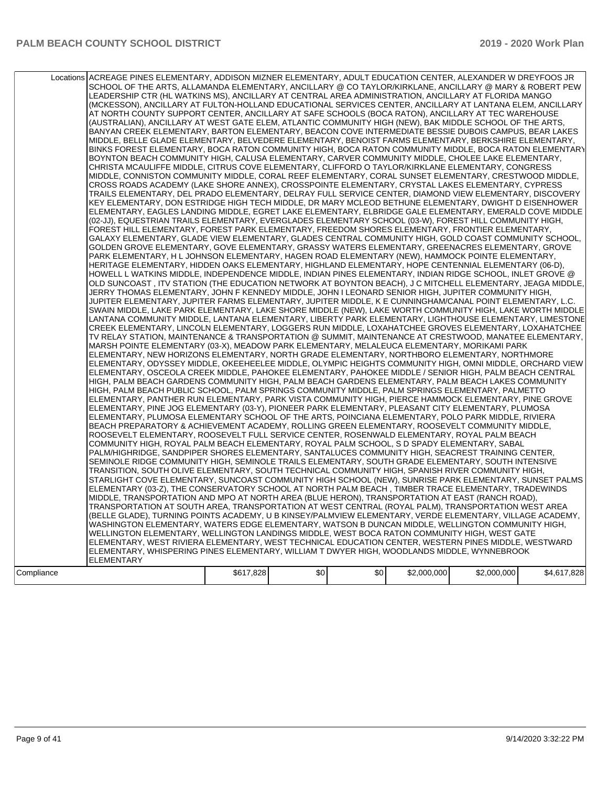|            | Locations ACREAGE PINES ELEMENTARY, ADDISON MIZNER ELEMENTARY, ADULT EDUCATION CENTER, ALEXANDER W DREYFOOS JR<br>SCHOOL OF THE ARTS, ALLAMANDA ELEMENTARY, ANCILLARY @ CO TAYLOR/KIRKLANE, ANCILLARY @ MARY & ROBERT PEW<br>LEADERSHIP CTR (HL WATKINS MS), ANCILLARY AT CENTRAL AREA ADMINISTRATION, ANCILLARY AT FLORIDA MANGO<br>(MCKESSON), ANCILLARY AT FULTON-HOLLAND EDUCATIONAL SERVICES CENTER, ANCILLARY AT LANTANA ELEM, ANCILLARY<br>AT NORTH COUNTY SUPPORT CENTER, ANCILLARY AT SAFE SCHOOLS (BOCA RATON), ANCILLARY AT TEC WAREHOUSE<br>(AUSTRALIAN), ANCILLARY AT WEST GATE ELEM, ATLANTIC COMMUNITY HIGH (NEW), BAK MIDDLE SCHOOL OF THE ARTS,<br>BANYAN CREEK ELEMENTARY, BARTON ELEMENTARY, BEACON COVE INTERMEDIATE BESSIE DUBOIS CAMPUS, BEAR LAKES                                                                                   |           |     |     |             |             |             |
|------------|-------------------------------------------------------------------------------------------------------------------------------------------------------------------------------------------------------------------------------------------------------------------------------------------------------------------------------------------------------------------------------------------------------------------------------------------------------------------------------------------------------------------------------------------------------------------------------------------------------------------------------------------------------------------------------------------------------------------------------------------------------------------------------------------------------------------------------------------------------------|-----------|-----|-----|-------------|-------------|-------------|
|            | MIDDLE, BELLE GLADE ELEMENTARY, BELVEDERE ELEMENTARY, BENOIST FARMS ELEMENTARY, BERKSHIRE ELEMENTARY,<br>BINKS FOREST ELEMENTARY, BOCA RATON COMMUNITY HIGH, BOCA RATON COMMUNITY MIDDLE, BOCA RATON ELEMENTARY<br>BOYNTON BEACH COMMUNITY HIGH, CALUSA ELEMENTARY, CARVER COMMUNITY MIDDLE, CHOLEE LAKE ELEMENTARY,<br>CHRISTA MCAULIFFE MIDDLE, CITRUS COVE ELEMENTARY, CLIFFORD O TAYLOR/KIRKLANE ELEMENTARY, CONGRESS<br>MIDDLE, CONNISTON COMMUNITY MIDDLE, CORAL REEF ELEMENTARY, CORAL SUNSET ELEMENTARY, CRESTWOOD MIDDLE,<br>CROSS ROADS ACADEMY (LAKE SHORE ANNEX), CROSSPOINTE ELEMENTARY, CRYSTAL LAKES ELEMENTARY, CYPRESS<br>TRAILS ELEMENTARY, DEL PRADO ELEMENTARY, DELRAY FULL SERVICE CENTER, DIAMOND VIEW ELEMENTARY, DISCOVERY<br>KEY ELEMENTARY, DON ESTRIDGE HIGH TECH MIDDLE, DR MARY MCLEOD BETHUNE ELEMENTARY, DWIGHT D EISENHOWER |           |     |     |             |             |             |
|            | ELEMENTARY, EAGLES LANDING MIDDLE, EGRET LAKE ELEMENTARY, ELBRIDGE GALE ELEMENTARY, EMERALD COVE MIDDLE<br>(02-JJ), EQUESTRIAN TRAILS ELEMENTARY, EVERGLADES ELEMENTARY SCHOOL (03-W), FOREST HILL COMMUNITY HIGH,<br>FOREST HILL ELEMENTARY, FOREST PARK ELEMENTARY, FREEDOM SHORES ELEMENTARY, FRONTIER ELEMENTARY,<br>GALAXY ELEMENTARY, GLADE VIEW ELEMENTARY, GLADES CENTRAL COMMUNITY HIGH, GOLD COAST COMMUNITY SCHOOL,<br>GOLDEN GROVE ELEMENTARY, GOVE ELEMENTARY, GRASSY WATERS ELEMENTARY, GREENACRES ELEMENTARY, GROVE<br>PARK ELEMENTARY, H L JOHNSON ELEMENTARY, HAGEN ROAD ELEMENTARY (NEW), HAMMOCK POINTE ELEMENTARY,<br>HERITAGE ELEMENTARY, HIDDEN OAKS ELEMENTARY, HIGHLAND ELEMENTARY, HOPE CENTENNIAL ELEMENTARY (06-D),<br>HOWELL L WATKINS MIDDLE, INDEPENDENCE MIDDLE, INDIAN PINES ELEMENTARY, INDIAN RIDGE SCHOOL, INLET GROVE @ |           |     |     |             |             |             |
|            | OLD SUNCOAST, ITV STATION (THE EDUCATION NETWORK AT BOYNTON BEACH), J C MITCHELL ELEMENTARY, JEAGA MIDDLE,<br>JERRY THOMAS ELEMENTARY, JOHN F KENNEDY MIDDLE, JOHN I LEONARD SENIOR HIGH, JUPITER COMMUNITY HIGH,<br>JUPITER ELEMENTARY, JUPITER FARMS ELEMENTARY, JUPITER MIDDLE, K E CUNNINGHAM/CANAL POINT ELEMENTARY, L.C.<br>SWAIN MIDDLE, LAKE PARK ELEMENTARY, LAKE SHORE MIDDLE (NEW), LAKE WORTH COMMUNITY HIGH, LAKE WORTH MIDDLE<br>LANTANA COMMUNITY MIDDLE, LANTANA ELEMENTARY, LIBERTY PARK ELEMENTARY, LIGHTHOUSE ELEMENTARY, LIMESTONE<br>CREEK ELEMENTARY, LINCOLN ELEMENTARY, LOGGERS RUN MIDDLE, LOXAHATCHEE GROVES ELEMENTARY, LOXAHATCHEE<br>TV RELAY STATION, MAINTENANCE & TRANSPORTATION @ SUMMIT, MAINTENANCE AT CRESTWOOD, MANATEE ELEMENTARY,                                                                                    |           |     |     |             |             |             |
|            | MARSH POINTE ELEMENTARY (03-X), MEADOW PARK ELEMENTARY, MELALEUCA ELEMENTARY, MORIKAMI PARK<br>ELEMENTARY, NEW HORIZONS ELEMENTARY, NORTH GRADE ELEMENTARY, NORTHBORO ELEMENTARY, NORTHMORE<br>ELEMENTARY, ODYSSEY MIDDLE, OKEEHEELEE MIDDLE, OLYMPIC HEIGHTS COMMUNITY HIGH, OMNI MIDDLE, ORCHARD VIEW<br>ELEMENTARY, OSCEOLA CREEK MIDDLE, PAHOKEE ELEMENTARY, PAHOKEE MIDDLE / SENIOR HIGH, PALM BEACH CENTRAL<br>HIGH, PALM BEACH GARDENS COMMUNITY HIGH, PALM BEACH GARDENS ELEMENTARY, PALM BEACH LAKES COMMUNITY<br>HIGH, PALM BEACH PUBLIC SCHOOL, PALM SPRINGS COMMUNITY MIDDLE, PALM SPRINGS ELEMENTARY, PALMETTO<br>ELEMENTARY, PANTHER RUN ELEMENTARY, PARK VISTA COMMUNITY HIGH, PIERCE HAMMOCK ELEMENTARY, PINE GROVE                                                                                                                         |           |     |     |             |             |             |
|            | ELEMENTARY, PINE JOG ELEMENTARY (03-Y), PIONEER PARK ELEMENTARY, PLEASANT CITY ELEMENTARY, PLUMOSA<br>ELEMENTARY, PLUMOSA ELEMENTARY SCHOOL OF THE ARTS, POINCIANA ELEMENTARY, POLO PARK MIDDLE, RIVIERA<br>BEACH PREPARATORY & ACHIEVEMENT ACADEMY, ROLLING GREEN ELEMENTARY, ROOSEVELT COMMUNITY MIDDLE,<br>ROOSEVELT ELEMENTARY, ROOSEVELT FULL SERVICE CENTER, ROSENWALD ELEMENTARY, ROYAL PALM BEACH<br>COMMUNITY HIGH, ROYAL PALM BEACH ELEMENTARY, ROYAL PALM SCHOOL, S D SPADY ELEMENTARY, SABAL<br>PALM/HIGHRIDGE, SANDPIPER SHORES ELEMENTARY, SANTALUCES COMMUNITY HIGH, SEACREST TRAINING CENTER,<br>SEMINOLE RIDGE COMMUNITY HIGH, SEMINOLE TRAILS ELEMENTARY, SOUTH GRADE ELEMENTARY, SOUTH INTENSIVE                                                                                                                                         |           |     |     |             |             |             |
|            | TRANSITION, SOUTH OLIVE ELEMENTARY, SOUTH TECHNICAL COMMUNITY HIGH, SPANISH RIVER COMMUNITY HIGH,<br>STARLIGHT COVE ELEMENTARY, SUNCOAST COMMUNITY HIGH SCHOOL (NEW), SUNRISE PARK ELEMENTARY, SUNSET PALMS<br>ELEMENTARY (03-Z), THE CONSERVATORY SCHOOL AT NORTH PALM BEACH, TIMBER TRACE ELEMENTARY, TRADEWINDS<br>MIDDLE, TRANSPORTATION AND MPO AT NORTH AREA (BLUE HERON), TRANSPORTATION AT EAST (RANCH ROAD),<br>TRANSPORTATION AT SOUTH AREA, TRANSPORTATION AT WEST CENTRAL (ROYAL PALM), TRANSPORTATION WEST AREA<br>(BELLE GLADE), TURNING POINTS ACADEMY, U B KINSEY/PALMVIEW ELEMENTARY, VERDE ELEMENTARY, VILLAGE ACADEMY,<br>WASHINGTON ELEMENTARY, WATERS EDGE ELEMENTARY, WATSON B DUNCAN MIDDLE, WELLINGTON COMMUNITY HIGH,                                                                                                              |           |     |     |             |             |             |
| Compliance | WELLINGTON ELEMENTARY, WELLINGTON LANDINGS MIDDLE, WEST BOCA RATON COMMUNITY HIGH, WEST GATE<br>ELEMENTARY, WEST RIVIERA ELEMENTARY, WEST TECHNICAL EDUCATION CENTER, WESTERN PINES MIDDLE, WESTWARD<br>ELEMENTARY, WHISPERING PINES ELEMENTARY, WILLIAM T DWYER HIGH, WOODLANDS MIDDLE, WYNNEBROOK<br><b>ELEMENTARY</b>                                                                                                                                                                                                                                                                                                                                                                                                                                                                                                                                    | \$617,828 | \$0 | \$0 | \$2,000,000 | \$2,000,000 | \$4,617,828 |
|            |                                                                                                                                                                                                                                                                                                                                                                                                                                                                                                                                                                                                                                                                                                                                                                                                                                                             |           |     |     |             |             |             |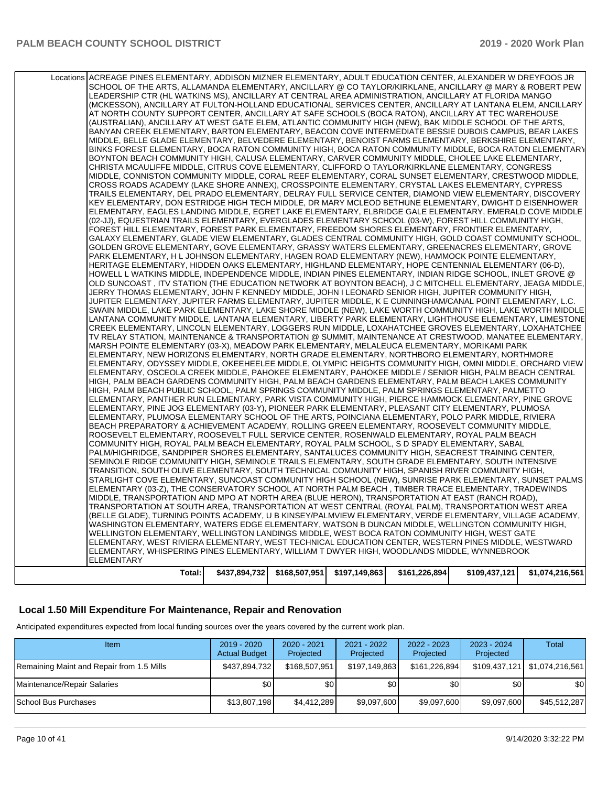| WASHINGTON ELEMENTARY, WATERS EDGE ELEMENTARY, WATSON B DUNCAN MIDDLE, WELLINGTON COMMUNITY HIGH,<br>WELLINGTON ELEMENTARY, WELLINGTON LANDINGS MIDDLE, WEST BOCA RATON COMMUNITY HIGH, WEST GATE<br>ELEMENTARY, WEST RIVIERA ELEMENTARY, WEST TECHNICAL EDUCATION CENTER, WESTERN PINES MIDDLE, WESTWARD<br>ELEMENTARY, WHISPERING PINES ELEMENTARY, WILLIAM T DWYER HIGH, WOODLANDS MIDDLE, WYNNEBROOK<br><b>ELEMENTARY</b> |  |  |  |
|-------------------------------------------------------------------------------------------------------------------------------------------------------------------------------------------------------------------------------------------------------------------------------------------------------------------------------------------------------------------------------------------------------------------------------|--|--|--|
| MIDDLE, TRANSPORTATION AND MPO AT NORTH AREA (BLUE HERON), TRANSPORTATION AT EAST (RANCH ROAD),<br>TRANSPORTATION AT SOUTH AREA, TRANSPORTATION AT WEST CENTRAL (ROYAL PALM), TRANSPORTATION WEST AREA<br>(BELLE GLADE), TURNING POINTS ACADEMY, U B KINSEY/PALMVIEW ELEMENTARY, VERDE ELEMENTARY, VILLAGE ACADEMY,                                                                                                           |  |  |  |
| STARLIGHT COVE ELEMENTARY, SUNCOAST COMMUNITY HIGH SCHOOL (NEW), SUNRISE PARK ELEMENTARY, SUNSET PALMS<br>ELEMENTARY (03-Z), THE CONSERVATORY SCHOOL AT NORTH PALM BEACH, TIMBER TRACE ELEMENTARY, TRADEWINDS                                                                                                                                                                                                                 |  |  |  |
| PALM/HIGHRIDGE, SANDPIPER SHORES ELEMENTARY, SANTALUCES COMMUNITY HIGH, SEACREST TRAINING CENTER,<br>SEMINOLE RIDGE COMMUNITY HIGH, SEMINOLE TRAILS ELEMENTARY, SOUTH GRADE ELEMENTARY, SOUTH INTENSIVE<br>TRANSITION, SOUTH OLIVE ELEMENTARY, SOUTH TECHNICAL COMMUNITY HIGH, SPANISH RIVER COMMUNITY HIGH,                                                                                                                  |  |  |  |
| BEACH PREPARATORY & ACHIEVEMENT ACADEMY, ROLLING GREEN ELEMENTARY, ROOSEVELT COMMUNITY MIDDLE,<br>ROOSEVELT ELEMENTARY, ROOSEVELT FULL SERVICE CENTER, ROSENWALD ELEMENTARY, ROYAL PALM BEACH<br>COMMUNITY HIGH, ROYAL PALM BEACH ELEMENTARY, ROYAL PALM SCHOOL, S D SPADY ELEMENTARY, SABAL                                                                                                                                  |  |  |  |
| ELEMENTARY, PINE JOG ELEMENTARY (03-Y), PIONEER PARK ELEMENTARY, PLEASANT CITY ELEMENTARY, PLUMOSA<br>ELEMENTARY, PLUMOSA ELEMENTARY SCHOOL OF THE ARTS, POINCIANA ELEMENTARY, POLO PARK MIDDLE, RIVIERA                                                                                                                                                                                                                      |  |  |  |
| HIGH, PALM BEACH GARDENS COMMUNITY HIGH, PALM BEACH GARDENS ELEMENTARY, PALM BEACH LAKES COMMUNITY<br>HIGH, PALM BEACH PUBLIC SCHOOL, PALM SPRINGS COMMUNITY MIDDLE, PALM SPRINGS ELEMENTARY, PALMETTO<br>ELEMENTARY, PANTHER RUN ELEMENTARY, PARK VISTA COMMUNITY HIGH, PIERCE HAMMOCK ELEMENTARY, PINE GROVE                                                                                                                |  |  |  |
| ELEMENTARY, NEW HORIZONS ELEMENTARY, NORTH GRADE ELEMENTARY, NORTHBORO ELEMENTARY, NORTHMORE<br>ELEMENTARY, ODYSSEY MIDDLE, OKEEHEELEE MIDDLE, OLYMPIC HEIGHTS COMMUNITY HIGH, OMNI MIDDLE, ORCHARD VIEW<br>ELEMENTARY, OSCEOLA CREEK MIDDLE, PAHOKEE ELEMENTARY, PAHOKEE MIDDLE / SENIOR HIGH, PALM BEACH CENTRAL                                                                                                            |  |  |  |
| TV RELAY STATION, MAINTENANCE & TRANSPORTATION @ SUMMIT, MAINTENANCE AT CRESTWOOD, MANATEE ELEMENTARY,<br>MARSH POINTE ELEMENTARY (03-X), MEADOW PARK ELEMENTARY, MELALEUCA ELEMENTARY, MORIKAMI PARK                                                                                                                                                                                                                         |  |  |  |
| SWAIN MIDDLE, LAKE PARK ELEMENTARY, LAKE SHORE MIDDLE (NEW), LAKE WORTH COMMUNITY HIGH, LAKE WORTH MIDDLE<br>LANTANA COMMUNITY MIDDLE, LANTANA ELEMENTARY, LIBERTY PARK ELEMENTARY, LIGHTHOUSE ELEMENTARY, LIMESTONE<br>CREEK ELEMENTARY, LINCOLN ELEMENTARY, LOGGERS RUN MIDDLE, LOXAHATCHEE GROVES ELEMENTARY, LOXAHATCHEE                                                                                                  |  |  |  |
| OLD SUNCOAST, ITV STATION (THE EDUCATION NETWORK AT BOYNTON BEACH), J C MITCHELL ELEMENTARY, JEAGA MIDDLE,<br>JERRY THOMAS ELEMENTARY, JOHN F KENNEDY MIDDLE, JOHN I LEONARD SENIOR HIGH, JUPITER COMMUNITY HIGH,<br>JUPITER ELEMENTARY, JUPITER FARMS ELEMENTARY, JUPITER MIDDLE, K E CUNNINGHAM/CANAL POINT ELEMENTARY, L.C.                                                                                                |  |  |  |
| HERITAGE ELEMENTARY, HIDDEN OAKS ELEMENTARY, HIGHLAND ELEMENTARY, HOPE CENTENNIAL ELEMENTARY (06-D),<br>HOWELL L WATKINS MIDDLE, INDEPENDENCE MIDDLE, INDIAN PINES ELEMENTARY, INDIAN RIDGE SCHOOL, INLET GROVE @                                                                                                                                                                                                             |  |  |  |
| GALAXY ELEMENTARY, GLADE VIEW ELEMENTARY, GLADES CENTRAL COMMUNITY HIGH, GOLD COAST COMMUNITY SCHOOL,<br>GOLDEN GROVE ELEMENTARY, GOVE ELEMENTARY, GRASSY WATERS ELEMENTARY, GREENACRES ELEMENTARY, GROVE<br>PARK ELEMENTARY, H L JOHNSON ELEMENTARY, HAGEN ROAD ELEMENTARY (NEW), HAMMOCK POINTE ELEMENTARY,                                                                                                                 |  |  |  |
| ELEMENTARY, EAGLES LANDING MIDDLE, EGRET LAKE ELEMENTARY, ELBRIDGE GALE ELEMENTARY, EMERALD COVE MIDDLE<br>(02-JJ), EQUESTRIAN TRAILS ELEMENTARY, EVERGLADES ELEMENTARY SCHOOL (03-W), FOREST HILL COMMUNITY HIGH,<br>FOREST HILL ELEMENTARY, FOREST PARK ELEMENTARY, FREEDOM SHORES ELEMENTARY, FRONTIER ELEMENTARY,                                                                                                         |  |  |  |
| TRAILS ELEMENTARY, DEL PRADO ELEMENTARY, DELRAY FULL SERVICE CENTER, DIAMOND VIEW ELEMENTARY, DISCOVERY<br>KEY ELEMENTARY, DON ESTRIDGE HIGH TECH MIDDLE, DR MARY MCLEOD BETHUNE ELEMENTARY, DWIGHT D EISENHOWER                                                                                                                                                                                                              |  |  |  |
| CHRISTA MCAULIFFE MIDDLE, CITRUS COVE ELEMENTARY, CLIFFORD O TAYLOR/KIRKLANE ELEMENTARY, CONGRESS<br>MIDDLE, CONNISTON COMMUNITY MIDDLE, CORAL REEF ELEMENTARY, CORAL SUNSET ELEMENTARY, CRESTWOOD MIDDLE,<br>CROSS ROADS ACADEMY (LAKE SHORE ANNEX), CROSSPOINTE ELEMENTARY, CRYSTAL LAKES ELEMENTARY, CYPRESS                                                                                                               |  |  |  |
| MIDDLE, BELLE GLADE ELEMENTARY, BELVEDERE ELEMENTARY, BENOIST FARMS ELEMENTARY, BERKSHIRE ELEMENTARY,<br>BINKS FOREST ELEMENTARY, BOCA RATON COMMUNITY HIGH, BOCA RATON COMMUNITY MIDDLE, BOCA RATON ELEMENTARY<br>BOYNTON BEACH COMMUNITY HIGH, CALUSA ELEMENTARY, CARVER COMMUNITY MIDDLE, CHOLEE LAKE ELEMENTARY,                                                                                                          |  |  |  |
| (AUSTRALIAN), ANCILLARY AT WEST GATE ELEM, ATLANTIC COMMUNITY HIGH (NEW), BAK MIDDLE SCHOOL OF THE ARTS,<br>BANYAN CREEK ELEMENTARY, BARTON ELEMENTARY, BEACON COVE INTERMEDIATE BESSIE DUBOIS CAMPUS, BEAR LAKES                                                                                                                                                                                                             |  |  |  |
| LEADERSHIP CTR (HL WATKINS MS), ANCILLARY AT CENTRAL AREA ADMINISTRATION, ANCILLARY AT FLORIDA MANGO<br>(MCKESSON), ANCILLARY AT FULTON-HOLLAND EDUCATIONAL SERVICES CENTER, ANCILLARY AT LANTANA ELEM, ANCILLARY<br>AT NORTH COUNTY SUPPORT CENTER, ANCILLARY AT SAFE SCHOOLS (BOCA RATON), ANCILLARY AT TEC WAREHOUSE                                                                                                       |  |  |  |
| Locations ACREAGE PINES ELEMENTARY, ADDISON MIZNER ELEMENTARY, ADULT EDUCATION CENTER, ALEXANDER W DREYFOOS JR<br>SCHOOL OF THE ARTS, ALLAMANDA ELEMENTARY, ANCILLARY @ CO TAYLOR/KIRKLANE, ANCILLARY @ MARY & ROBERT PEW                                                                                                                                                                                                     |  |  |  |

# **Local 1.50 Mill Expenditure For Maintenance, Repair and Renovation**

Anticipated expenditures expected from local funding sources over the years covered by the current work plan.

| Item                                      | 2019 - 2020<br><b>Actual Budget</b> | 2020 - 2021<br>Projected | 2021 - 2022<br>Projected | 2022 - 2023<br>Projected | $2023 - 2024$<br>Projected | <b>Total</b> |
|-------------------------------------------|-------------------------------------|--------------------------|--------------------------|--------------------------|----------------------------|--------------|
| Remaining Maint and Repair from 1.5 Mills | \$437,894,732                       | \$168,507,951            | \$197,149,863            | \$161,226,894            |                            |              |
| Maintenance/Repair Salaries               | \$0                                 | ا80                      | \$0                      | \$0                      | \$0                        | \$0          |
| School Bus Purchases                      | \$13,807,198                        | \$4.412.289              | \$9.097.600              | \$9.097.600              | \$9.097.600                | \$45,512,287 |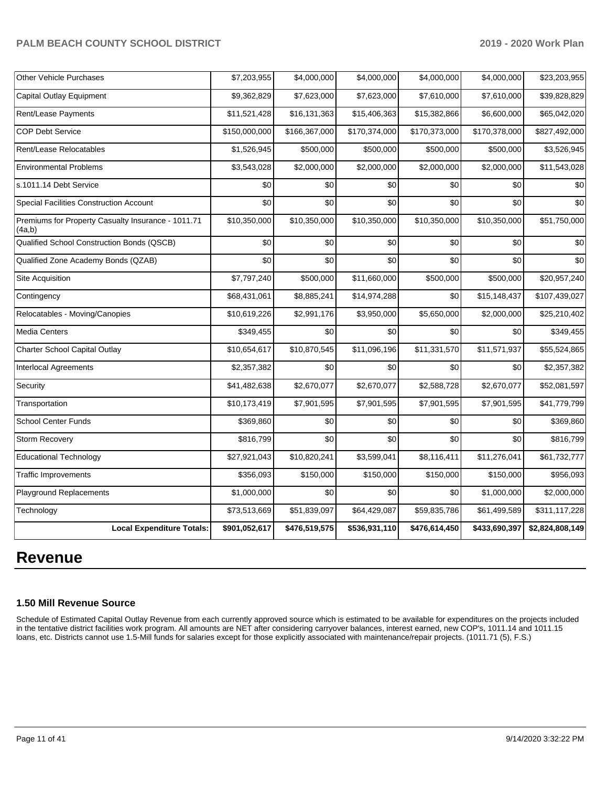| <b>Other Vehicle Purchases</b>                               | \$7,203,955   | \$4,000,000   | \$4,000,000   | \$4,000,000   | \$4,000,000   | \$23,203,955    |
|--------------------------------------------------------------|---------------|---------------|---------------|---------------|---------------|-----------------|
| Capital Outlay Equipment                                     | \$9,362,829   | \$7,623,000   | \$7,623,000   | \$7,610,000   | \$7,610,000   | \$39,828,829    |
| Rent/Lease Payments                                          | \$11,521,428  | \$16,131,363  | \$15,406,363  | \$15,382,866  | \$6,600,000   | \$65,042,020    |
| <b>COP Debt Service</b>                                      | \$150,000,000 | \$166,367,000 | \$170,374,000 | \$170,373,000 | \$170,378,000 | \$827,492,000   |
| Rent/Lease Relocatables                                      | \$1,526,945   | \$500,000     | \$500,000     | \$500,000     | \$500,000     | \$3,526,945     |
| <b>Environmental Problems</b>                                | \$3,543,028   | \$2,000,000   | \$2,000,000   | \$2,000,000   | \$2,000,000   | \$11,543,028    |
| s.1011.14 Debt Service                                       | \$0           | \$0           | \$0           | \$0           | \$0           | \$0             |
| <b>Special Facilities Construction Account</b>               | \$0           | \$0           | \$0           | \$0           | \$0           | \$0             |
| Premiums for Property Casualty Insurance - 1011.71<br>(4a,b) | \$10,350,000  | \$10,350,000  | \$10,350,000  | \$10,350,000  | \$10,350,000  | \$51,750,000    |
| Qualified School Construction Bonds (QSCB)                   | \$0           | \$0           | \$0           | \$0           | \$0           | \$0             |
| Qualified Zone Academy Bonds (QZAB)                          | \$0           | \$0           | \$0           | \$0           | \$0           | \$0             |
| Site Acquisition                                             | \$7,797,240   | \$500,000     | \$11,660,000  | \$500,000     | \$500,000     | \$20,957,240    |
| Contingency                                                  | \$68,431,061  | \$8,885,241   | \$14,974,288  | \$0           | \$15,148,437  | \$107,439,027   |
| Relocatables - Moving/Canopies                               | \$10,619,226  | \$2,991,176   | \$3,950,000   | \$5,650,000   | \$2,000,000   | \$25,210,402    |
| <b>Media Centers</b>                                         | \$349,455     | \$0           | \$0           | \$0           | \$0           | \$349,455       |
| Charter School Capital Outlay                                | \$10,654,617  | \$10,870,545  | \$11,096,196  | \$11,331,570  | \$11,571,937  | \$55,524,865    |
| Interlocal Agreements                                        | \$2,357,382   | \$0           | \$0           | \$0           | \$0           | \$2,357,382     |
| Security                                                     | \$41,482,638  | \$2,670,077   | \$2,670,077   | \$2,588,728   | \$2,670,077   | \$52,081,597    |
| Transportation                                               | \$10,173,419  | \$7,901,595   | \$7,901,595   | \$7,901,595   | \$7,901,595   | \$41,779,799    |
| <b>School Center Funds</b>                                   | \$369,860     | \$0           | \$0           | \$0           | \$0           | \$369,860       |
| Storm Recovery                                               | \$816,799     | \$0           | \$0           | \$0           | \$0           | \$816,799       |
| <b>Educational Technology</b>                                | \$27,921,043  | \$10,820,241  | \$3,599,041   | \$8,116,411   | \$11,276,041  | \$61,732,777    |
| <b>Traffic Improvements</b>                                  | \$356,093     | \$150,000     | \$150,000     | \$150,000     | \$150,000     | \$956,093       |
| Playground Replacements                                      | \$1,000,000   | \$0           | \$0           | \$0           | \$1,000,000   | \$2,000,000     |
| Technology                                                   | \$73,513,669  | \$51,839,097  | \$64,429,087  | \$59,835,786  | \$61,499,589  | \$311,117,228   |
| <b>Local Expenditure Totals:</b>                             | \$901,052,617 | \$476,519,575 | \$536,931,110 | \$476,614,450 | \$433,690,397 | \$2,824,808,149 |

# **Revenue**

#### **1.50 Mill Revenue Source**

Schedule of Estimated Capital Outlay Revenue from each currently approved source which is estimated to be available for expenditures on the projects included in the tentative district facilities work program. All amounts are NET after considering carryover balances, interest earned, new COP's, 1011.14 and 1011.15 loans, etc. Districts cannot use 1.5-Mill funds for salaries except for those explicitly associated with maintenance/repair projects. (1011.71 (5), F.S.)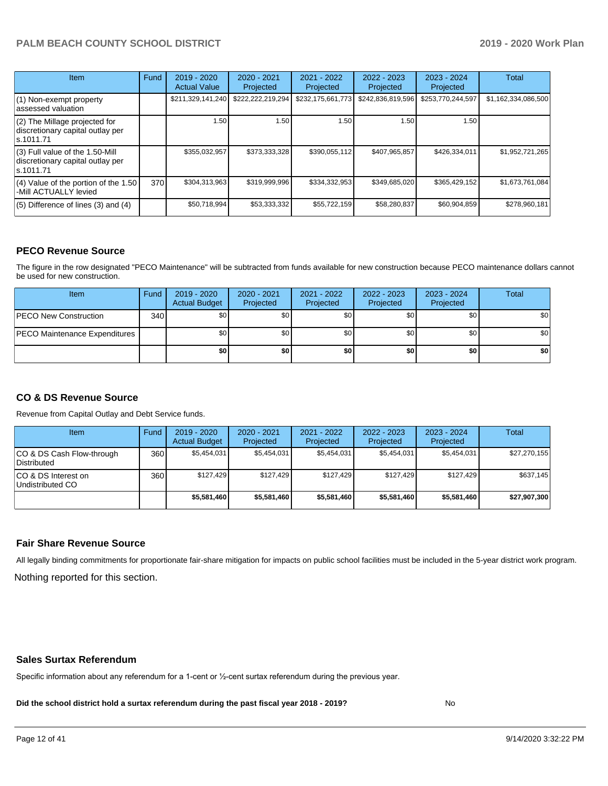| <b>Item</b>                                                                         | Fund | $2019 - 2020$<br><b>Actual Value</b> | 2020 - 2021<br>Projected | 2021 - 2022<br>Projected | 2022 - 2023<br>Projected | $2023 - 2024$<br>Projected | <b>Total</b>        |
|-------------------------------------------------------------------------------------|------|--------------------------------------|--------------------------|--------------------------|--------------------------|----------------------------|---------------------|
| $(1)$ Non-exempt property<br>lassessed valuation                                    |      | \$211,329,141,240                    | \$222,222,219,294        | \$232,175,661,773        | \$242,836,819,596        | \$253,770,244,597          | \$1,162,334,086,500 |
| $(2)$ The Millage projected for<br>discretionary capital outlay per<br>ls.1011.71   |      | 1.50                                 | 1.50                     | 1.50                     | 1.50                     | 1.50                       |                     |
| $(3)$ Full value of the 1.50-Mill<br>discretionary capital outlay per<br>ls.1011.71 |      | \$355,032,957                        | \$373,333,328            | \$390,055,112            | \$407,965,857            | \$426.334.011              | \$1,952,721,265     |
| (4) Value of the portion of the 1.50<br>-Mill ACTUALLY levied                       | 370  | \$304,313,963                        | \$319,999,996            | \$334,332,953            | \$349,685,020            | \$365,429,152              | \$1,673,761,084     |
| $(5)$ Difference of lines (3) and (4)                                               |      | \$50,718,994                         | \$53,333,332             | \$55,722,159             | \$58,280,837             | \$60,904,859               | \$278,960,181       |

#### **PECO Revenue Source**

The figure in the row designated "PECO Maintenance" will be subtracted from funds available for new construction because PECO maintenance dollars cannot be used for new construction.

| Item                                 | Fund | 2019 - 2020<br><b>Actual Budget</b> | 2020 - 2021<br>Projected | 2021 - 2022<br>Projected | $2022 - 2023$<br>Projected | 2023 - 2024<br>Projected | Total            |
|--------------------------------------|------|-------------------------------------|--------------------------|--------------------------|----------------------------|--------------------------|------------------|
| <b>PECO New Construction</b>         | 340  | \$0                                 | \$0 <sub>1</sub>         | \$0                      | \$0 <sub>0</sub>           | \$0 <sub>1</sub>         | \$0 <sub>1</sub> |
| <b>PECO Maintenance Expenditures</b> |      | ا 30                                | \$٥Ι                     | \$0                      | \$0 <sub>1</sub>           | \$0                      | \$0              |
|                                      |      | \$0                                 | \$0                      | \$0                      | \$0                        | \$0                      | \$0              |

#### **CO & DS Revenue Source**

Revenue from Capital Outlay and Debt Service funds.

| Item                                      | Fund  | $2019 - 2020$<br><b>Actual Budget</b> | $2020 - 2021$<br>Projected | 2021 - 2022<br>Projected | $2022 - 2023$<br>Projected | $2023 - 2024$<br>Projected | <b>Total</b> |
|-------------------------------------------|-------|---------------------------------------|----------------------------|--------------------------|----------------------------|----------------------------|--------------|
| ICO & DS Cash Flow-through<br>Distributed | 360 l | \$5.454.031                           | \$5,454,031                | \$5.454.031              | \$5.454.031                | \$5,454,031                | \$27,270,155 |
| ICO & DS Interest on<br>Undistributed CO  | 360   | \$127.429                             | \$127.429                  | \$127.429                | \$127.429                  | \$127.429                  | \$637.145    |
|                                           |       | \$5.581.460                           | \$5,581,460                | \$5,581,460              | \$5.581.460                | \$5,581,460                | \$27.907.300 |

#### **Fair Share Revenue Source**

Nothing reported for this section. All legally binding commitments for proportionate fair-share mitigation for impacts on public school facilities must be included in the 5-year district work program.

#### **Sales Surtax Referendum**

Specific information about any referendum for a 1-cent or ½-cent surtax referendum during the previous year.

**Did the school district hold a surtax referendum during the past fiscal year 2018 - 2019?**

No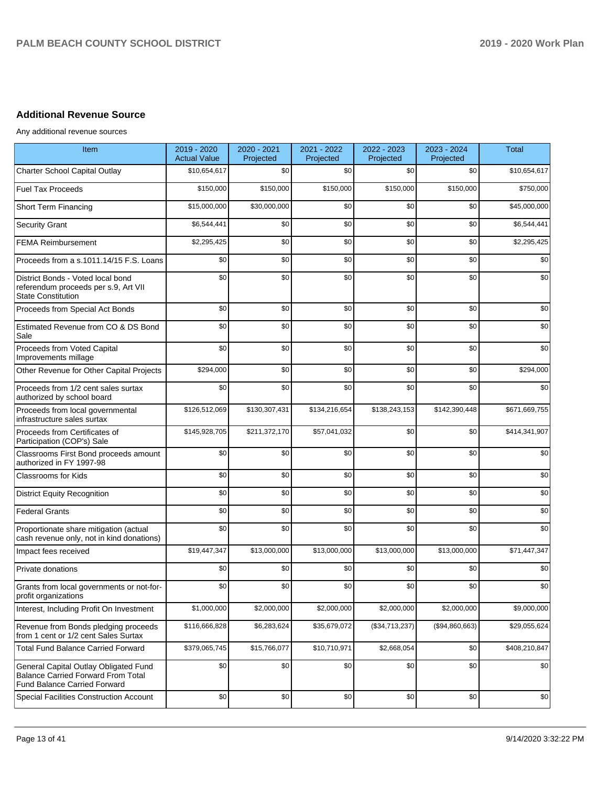# **Additional Revenue Source**

Any additional revenue sources

| Item                                                                                                                      | 2019 - 2020<br><b>Actual Value</b> | 2020 - 2021<br>Projected | 2021 - 2022<br>Projected | 2022 - 2023<br>Projected | 2023 - 2024<br>Projected | <b>Total</b>  |
|---------------------------------------------------------------------------------------------------------------------------|------------------------------------|--------------------------|--------------------------|--------------------------|--------------------------|---------------|
| Charter School Capital Outlay                                                                                             | \$10,654,617                       | \$0                      | \$0                      | \$0                      | \$0                      | \$10,654,617  |
| <b>Fuel Tax Proceeds</b>                                                                                                  | \$150,000                          | \$150,000                | \$150,000                | \$150,000                | \$150,000                | \$750,000     |
| <b>Short Term Financing</b>                                                                                               | \$15,000,000                       | \$30,000,000             | \$0                      | \$0                      | \$0                      | \$45,000,000  |
| <b>Security Grant</b>                                                                                                     | \$6,544,441                        | \$0                      | \$0                      | \$0                      | \$0                      | \$6,544,441   |
| <b>FEMA Reimbursement</b>                                                                                                 | \$2,295,425                        | \$0                      | \$0                      | \$0                      | \$0                      | \$2,295,425   |
| Proceeds from a s.1011.14/15 F.S. Loans                                                                                   | \$0                                | \$0                      | \$0                      | \$0                      | \$0                      | \$0           |
| District Bonds - Voted local bond<br>referendum proceeds per s.9, Art VII<br><b>State Constitution</b>                    | \$0                                | \$0                      | \$0                      | \$0                      | \$0                      | \$0           |
| Proceeds from Special Act Bonds                                                                                           | \$0                                | \$0                      | \$0                      | \$0                      | \$0                      | \$0           |
| Estimated Revenue from CO & DS Bond<br>Sale                                                                               | \$0                                | \$0                      | \$0                      | \$0                      | \$0                      | \$0           |
| Proceeds from Voted Capital<br>Improvements millage                                                                       | \$0                                | \$0                      | \$0                      | \$0                      | \$0                      | \$0           |
| Other Revenue for Other Capital Projects                                                                                  | \$294,000                          | \$0                      | \$0                      | \$0                      | \$0                      | \$294,000     |
| Proceeds from 1/2 cent sales surtax<br>authorized by school board                                                         | \$0                                | \$0                      | \$0                      | \$0                      | \$0                      | \$0           |
| Proceeds from local governmental<br>infrastructure sales surtax                                                           | \$126,512,069                      | \$130,307,431            | \$134,216,654            | \$138,243,153            | \$142,390,448            | \$671,669,755 |
| Proceeds from Certificates of<br>Participation (COP's) Sale                                                               | \$145,928,705                      | \$211,372,170            | \$57,041,032             | \$0                      | \$0                      | \$414,341,907 |
| Classrooms First Bond proceeds amount<br>authorized in FY 1997-98                                                         | \$0                                | \$0                      | \$0                      | \$0                      | \$0                      | \$0           |
| Classrooms for Kids                                                                                                       | \$0                                | \$0                      | \$0                      | \$0                      | \$0                      | \$0           |
| <b>District Equity Recognition</b>                                                                                        | \$0                                | \$0                      | \$0                      | \$0                      | \$0                      | \$0           |
| <b>Federal Grants</b>                                                                                                     | \$0                                | \$0                      | \$0                      | \$0                      | \$0                      | \$0           |
| Proportionate share mitigation (actual<br>cash revenue only, not in kind donations)                                       | \$0                                | \$0                      | \$0                      | \$0                      | \$0                      | \$0           |
| Impact fees received                                                                                                      | \$19,447,347                       | \$13,000,000             | \$13,000,000             | \$13,000,000             | \$13,000,000             | \$71,447,347  |
| Private donations                                                                                                         | \$0                                | \$0                      | \$0                      | \$0                      | \$0                      | \$0           |
| Grants from local governments or not-for-<br>profit organizations                                                         | \$0                                | \$0                      | \$0                      | \$0                      | \$0                      | \$0           |
| Interest, Including Profit On Investment                                                                                  | \$1,000,000                        | \$2,000,000              | \$2,000,000              | \$2,000,000              | \$2,000,000              | \$9,000,000   |
| Revenue from Bonds pledging proceeds<br>from 1 cent or 1/2 cent Sales Surtax                                              | \$116,666,828                      | \$6,283,624              | \$35,679,072             | (\$34,713,237)           | (\$94,860,663)           | \$29,055,624  |
| <b>Total Fund Balance Carried Forward</b>                                                                                 | \$379,065,745                      | \$15,766,077             | \$10,710,971             | \$2,668,054              | \$0                      | \$408,210,847 |
| General Capital Outlay Obligated Fund<br><b>Balance Carried Forward From Total</b><br><b>Fund Balance Carried Forward</b> | \$0                                | \$0                      | \$0                      | \$0                      | \$0                      | \$0           |
| Special Facilities Construction Account                                                                                   | \$0                                | \$0                      | \$0                      | \$0                      | \$0                      | \$0           |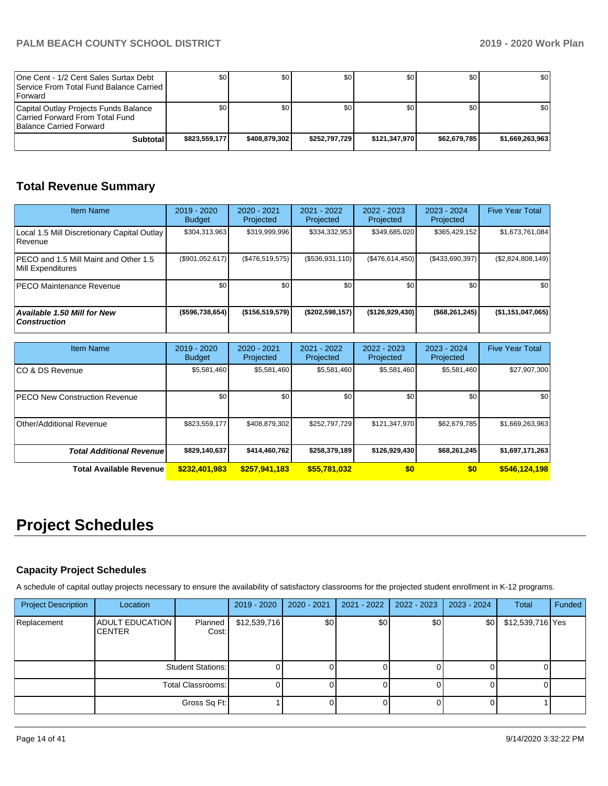| One Cent - 1/2 Cent Sales Surtax Debt<br>Service From Total Fund Balance Carried I<br><b>IForward</b> | \$01          | \$0           | \$0           | \$0 I         | \$0          | \$0             |
|-------------------------------------------------------------------------------------------------------|---------------|---------------|---------------|---------------|--------------|-----------------|
| Capital Outlay Projects Funds Balance<br>Carried Forward From Total Fund<br>Balance Carried Forward   | <b>\$01</b>   | \$0           | \$0           | \$0           | \$0          | \$0             |
| Subtotal                                                                                              | \$823,559,177 | \$408.879.302 | \$252.797.729 | \$121.347.970 | \$62.679.785 | \$1.669.263.963 |

# **Total Revenue Summary**

| <b>Item Name</b>                                           | $2019 - 2020$<br><b>Budget</b> | $2020 - 2021$<br>Projected | 2021 - 2022<br>Projected | $2022 - 2023$<br>Projected | 2023 - 2024<br>Projected | <b>Five Year Total</b>   |
|------------------------------------------------------------|--------------------------------|----------------------------|--------------------------|----------------------------|--------------------------|--------------------------|
| Local 1.5 Mill Discretionary Capital Outlay<br>l Revenue   | \$304,313,963                  | \$319.999.996              | \$334,332,953            | \$349,685,020              | \$365.429.152            | \$1,673,761,084          |
| PECO and 1.5 Mill Maint and Other 1.5<br>Mill Expenditures | (\$901,052,617)                | (\$476,519,575)            | $($ \$536,931,110) $ $   | (\$476,614,450)            | $($ \$433,690,397) $ $   | $(\$2,824,808,149)$      |
| <b>PECO Maintenance Revenue</b>                            | \$0                            | \$0 <sub>1</sub>           | \$0                      | \$0                        | \$0                      | \$0 <sub>1</sub>         |
| Available 1.50 Mill for New<br><b>Construction</b>         | ( \$596, 738, 654)             | (\$156,519,579)            | (\$202,598,157)          | (\$126,929,430)            | $($ \$68,261,245)        | $($ \$1,151,047,065) $ $ |

| <b>Item Name</b>                      | 2019 - 2020<br><b>Budget</b> | $2020 - 2021$<br>Projected | 2021 - 2022<br>Projected | 2022 - 2023<br>Projected | 2023 - 2024<br>Projected | <b>Five Year Total</b> |
|---------------------------------------|------------------------------|----------------------------|--------------------------|--------------------------|--------------------------|------------------------|
| ICO & DS Revenue                      | \$5,581,460                  | \$5,581,460                | \$5,581,460              | \$5,581,460              | \$5,581,460              | \$27,907,300           |
| <b>IPECO New Construction Revenue</b> | \$0                          | \$0 <sub>1</sub>           | \$0                      | \$0                      | \$0                      | \$0                    |
| Other/Additional Revenue              | \$823,559,177                | \$408.879.302              | \$252,797,729            | \$121,347,970            | \$62,679,785             | \$1,669,263,963        |
| <b>Total Additional Revenue</b>       | \$829,140,637                | \$414,460,762              | \$258,379,189            | \$126,929,430            | \$68,261,245             | \$1,697,171,263        |
| <b>Total Available Revenue</b>        | \$232,401,983                | \$257,941,183              | \$55,781,032             | \$0                      | \$0                      | \$546,124,198          |

# **Project Schedules**

#### **Capacity Project Schedules**

A schedule of capital outlay projects necessary to ensure the availability of satisfactory classrooms for the projected student enrollment in K-12 programs.

| <b>Project Description</b> | Location                                |                          | $2019 - 2020$ | 2020 - 2021 | 2021 - 2022 | 2022 - 2023      | $2023 - 2024$ | <b>Total</b>     | Funded |
|----------------------------|-----------------------------------------|--------------------------|---------------|-------------|-------------|------------------|---------------|------------------|--------|
| Replacement                | <b>ADULT EDUCATION</b><br><b>CENTER</b> | Planned<br>Cost:         | \$12,539,716  | \$0         | \$0         | \$0 <sub>1</sub> | \$0           | \$12,539,716 Yes |        |
|                            |                                         | <b>Student Stations:</b> |               |             |             |                  |               |                  |        |
|                            |                                         | Total Classrooms:        |               |             |             | 01               |               |                  |        |
|                            |                                         | Gross Sq Ft:             |               |             |             |                  |               |                  |        |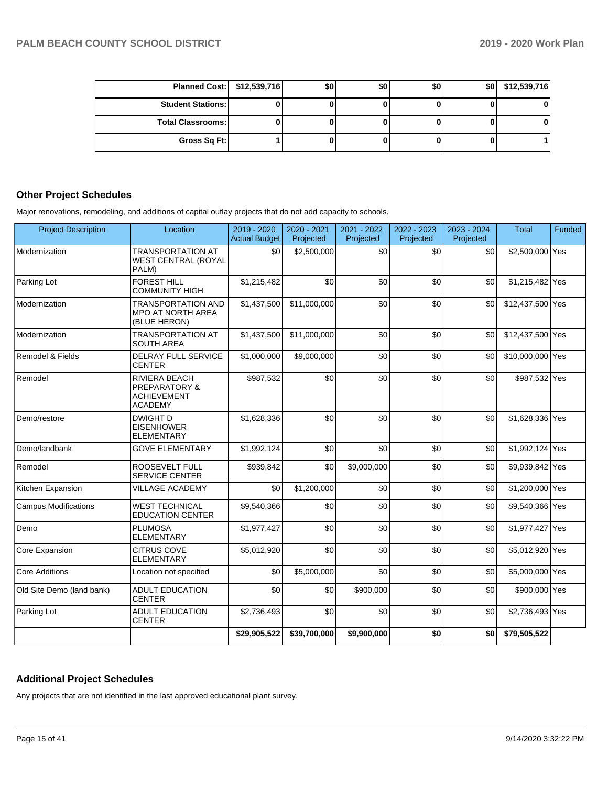| Planned Cost:   \$12,539,716 | \$0 | \$0 | \$0 | \$0 | \$12,539,716 |
|------------------------------|-----|-----|-----|-----|--------------|
| <b>Student Stations: I</b>   |     |     |     |     |              |
| <b>Total Classrooms:</b>     |     |     |     |     |              |
| Gross Sq Ft:                 |     |     |     |     |              |

#### **Other Project Schedules**

Major renovations, remodeling, and additions of capital outlay projects that do not add capacity to schools.

| <b>Project Description</b>  | Location                                                                                 | 2019 - 2020<br><b>Actual Budget</b> | 2020 - 2021<br>Projected | 2021 - 2022<br>Projected | 2022 - 2023<br>Projected | 2023 - 2024<br>Projected | <b>Total</b>     | Funded |
|-----------------------------|------------------------------------------------------------------------------------------|-------------------------------------|--------------------------|--------------------------|--------------------------|--------------------------|------------------|--------|
| Modernization               | <b>TRANSPORTATION AT</b><br><b>WEST CENTRAL (ROYAL</b><br>PALM)                          | \$0                                 | \$2,500,000              | \$0                      | \$0                      | \$0                      | \$2,500,000 Yes  |        |
| Parking Lot                 | <b>FOREST HILL</b><br><b>COMMUNITY HIGH</b>                                              | \$1,215,482                         | \$0                      | \$0                      | \$0                      | \$0                      | \$1,215,482 Yes  |        |
| Modernization               | <b>TRANSPORTATION AND</b><br><b>MPO AT NORTH AREA</b><br>(BLUE HERON)                    | \$1,437,500                         | \$11,000,000             | \$0                      | \$0                      | \$0                      | \$12,437,500 Yes |        |
| Modernization               | <b>TRANSPORTATION AT</b><br><b>SOUTH AREA</b>                                            | \$1,437,500                         | \$11,000,000             | \$0                      | \$0                      | \$0                      | \$12,437,500 Yes |        |
| Remodel & Fields            | <b>DELRAY FULL SERVICE</b><br><b>CENTER</b>                                              | \$1,000,000                         | \$9,000,000              | \$0                      | \$0                      | \$0                      | \$10,000,000 Yes |        |
| Remodel                     | <b>RIVIERA BEACH</b><br><b>PREPARATORY &amp;</b><br><b>ACHIEVEMENT</b><br><b>ACADEMY</b> | \$987,532                           | \$0                      | \$0                      | \$0                      | \$0                      | \$987,532 Yes    |        |
| Demo/restore                | <b>DWIGHT D</b><br><b>EISENHOWER</b><br><b>ELEMENTARY</b>                                | \$1,628,336                         | \$0                      | \$0                      | \$0                      | \$0                      | \$1,628,336 Yes  |        |
| Demo/landbank               | <b>GOVE ELEMENTARY</b>                                                                   | \$1,992,124                         | \$0                      | \$0                      | \$0                      | \$0                      | \$1,992,124 Yes  |        |
| Remodel                     | <b>ROOSEVELT FULL</b><br><b>SERVICE CENTER</b>                                           | \$939,842                           | \$0                      | \$9,000,000              | \$0                      | \$0                      | \$9,939,842 Yes  |        |
| Kitchen Expansion           | <b>VILLAGE ACADEMY</b>                                                                   | \$0                                 | \$1,200,000              | \$0                      | \$0                      | \$0                      | \$1,200,000 Yes  |        |
| <b>Campus Modifications</b> | <b>WEST TECHNICAL</b><br><b>EDUCATION CENTER</b>                                         | \$9,540,366                         | \$0                      | \$0                      | \$0                      | \$0                      | \$9,540,366 Yes  |        |
| Demo                        | <b>PLUMOSA</b><br><b>ELEMENTARY</b>                                                      | \$1,977,427                         | \$0                      | \$0                      | \$0                      | \$0                      | \$1,977,427 Yes  |        |
| <b>Core Expansion</b>       | <b>CITRUS COVE</b><br><b>ELEMENTARY</b>                                                  | \$5,012,920                         | \$0                      | \$0                      | \$0                      | \$0                      | \$5,012,920 Yes  |        |
| Core Additions              | Location not specified                                                                   | \$0                                 | \$5,000,000              | \$0                      | \$0                      | \$0                      | \$5,000,000 Yes  |        |
| Old Site Demo (land bank)   | <b>ADULT EDUCATION</b><br><b>CENTER</b>                                                  | \$0                                 | \$0                      | \$900,000                | \$0                      | \$0                      | \$900,000 Yes    |        |
| Parking Lot                 | <b>ADULT EDUCATION</b><br><b>CENTER</b>                                                  | \$2,736,493                         | \$0                      | \$0                      | \$0                      | \$0                      | \$2,736,493 Yes  |        |
|                             |                                                                                          | \$29,905,522                        | \$39,700,000             | \$9,900,000              | \$0                      | \$0                      | \$79,505,522     |        |

#### **Additional Project Schedules**

Any projects that are not identified in the last approved educational plant survey.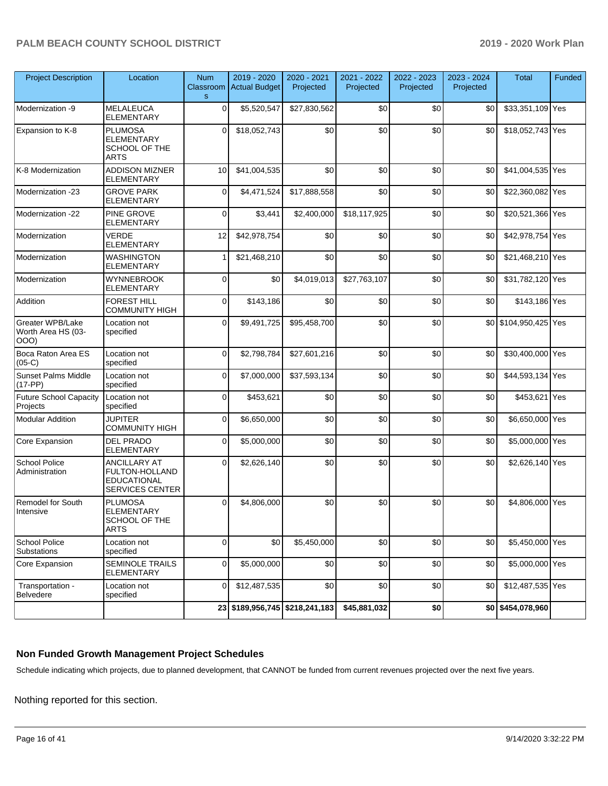| <b>Project Description</b>                     | Location                                                                              | <b>Num</b><br>Classroom<br>$\mathbf S$ | $2019 - 2020$<br><b>Actual Budget</b> | 2020 - 2021<br>Projected | 2021 - 2022<br>Projected | 2022 - 2023<br>Projected | 2023 - 2024<br>Projected | <b>Total</b>          | Funded |
|------------------------------------------------|---------------------------------------------------------------------------------------|----------------------------------------|---------------------------------------|--------------------------|--------------------------|--------------------------|--------------------------|-----------------------|--------|
| Modernization -9                               | <b>MELALEUCA</b><br><b>ELEMENTARY</b>                                                 | 0                                      | \$5,520,547                           | \$27,830,562             | \$0                      | \$0                      | \$0                      | \$33,351,109 Yes      |        |
| Expansion to K-8                               | <b>PLUMOSA</b><br><b>ELEMENTARY</b><br>SCHOOL OF THE<br><b>ARTS</b>                   | $\Omega$                               | \$18,052,743                          | \$0                      | \$0                      | \$0                      | \$0                      | \$18,052,743 Yes      |        |
| K-8 Modernization                              | <b>ADDISON MIZNER</b><br><b>ELEMENTARY</b>                                            | 10                                     | \$41,004,535                          | \$0                      | \$0                      | \$0                      | \$0                      | \$41,004,535 Yes      |        |
| Modernization -23                              | <b>GROVE PARK</b><br><b>ELEMENTARY</b>                                                | $\mathbf 0$                            | \$4,471,524                           | \$17,888,558             | \$0                      | \$0                      | \$0                      | \$22,360,082 Yes      |        |
| Modernization -22                              | PINE GROVE<br><b>ELEMENTARY</b>                                                       | 0                                      | \$3,441                               | \$2,400,000              | \$18,117,925             | \$0                      | \$0                      | \$20,521,366 Yes      |        |
| Modernization                                  | <b>VERDE</b><br>ELEMENTARY                                                            | 12                                     | \$42,978,754                          | \$0                      | \$0                      | \$0                      | \$0                      | \$42,978,754 Yes      |        |
| Modernization                                  | <b>WASHINGTON</b><br><b>ELEMENTARY</b>                                                | 1                                      | \$21,468,210                          | \$0                      | \$0                      | \$0                      | \$0                      | \$21,468,210 Yes      |        |
| Modernization                                  | <b>WYNNEBROOK</b><br><b>ELEMENTARY</b>                                                | $\Omega$                               | \$0                                   | \$4,019,013              | \$27,763,107             | \$0                      | \$0                      | \$31,782,120 Yes      |        |
| Addition                                       | <b>FOREST HILL</b><br><b>COMMUNITY HIGH</b>                                           | 0                                      | \$143,186                             | \$0                      | \$0                      | \$0                      | \$0                      | \$143,186 Yes         |        |
| Greater WPB/Lake<br>Worth Area HS (03-<br>OOO) | Location not<br>specified                                                             | 0                                      | \$9,491,725                           | \$95,458,700             | \$0                      | \$0                      |                          | \$0 \$104,950,425 Yes |        |
| Boca Raton Area ES<br>$(05-C)$                 | Location not<br>specified                                                             | $\Omega$                               | \$2,798,784                           | \$27,601,216             | \$0                      | \$0                      | \$0                      | \$30,400,000 Yes      |        |
| <b>Sunset Palms Middle</b><br>$(17-PP)$        | Location not<br>specified                                                             | $\Omega$                               | \$7,000,000                           | \$37,593,134             | \$0                      | \$0                      | \$0                      | \$44,593,134 Yes      |        |
| <b>Future School Capacity</b><br>Projects      | Location not<br>specified                                                             | 0                                      | \$453,621                             | \$0                      | \$0                      | \$0                      | \$0                      | \$453,621 Yes         |        |
| <b>Modular Addition</b>                        | <b>JUPITER</b><br><b>COMMUNITY HIGH</b>                                               | $\Omega$                               | \$6,650,000                           | \$0                      | \$0                      | \$0                      | \$0                      | \$6,650,000 Yes       |        |
| Core Expansion                                 | <b>DEL PRADO</b><br>ELEMENTARY                                                        | 0                                      | \$5,000,000                           | \$0                      | \$0                      | \$0                      | \$0                      | \$5,000,000 Yes       |        |
| <b>School Police</b><br>Administration         | <b>ANCILLARY AT</b><br>FULTON-HOLLAND<br><b>EDUCATIONAL</b><br><b>SERVICES CENTER</b> | 0                                      | \$2,626,140                           | \$0                      | \$0                      | \$0                      | \$0                      | \$2,626,140 Yes       |        |
| <b>Remodel for South</b><br>Intensive          | <b>PLUMOSA</b><br><b>ELEMENTARY</b><br>SCHOOL OF THE<br><b>ARTS</b>                   | $\Omega$                               | \$4,806,000                           | \$0                      | \$0                      | \$0                      | \$0                      | \$4.806.000           | Yes    |
| <b>School Police</b><br>Substations            | Location not<br>specified                                                             | 0                                      | \$0                                   | \$5,450,000              | \$0                      | \$0                      | \$0                      | \$5,450,000 Yes       |        |
| Core Expansion                                 | <b>SEMINOLE TRAILS</b><br><b>ELEMENTARY</b>                                           | 0                                      | \$5,000,000                           | \$0                      | \$0                      | \$0                      | \$0                      | \$5,000,000 Yes       |        |
| Transportation -<br>Belvedere                  | Location not<br>specified                                                             | $\mathbf 0$                            | \$12,487,535                          | \$0                      | \$0                      | \$0                      | \$0                      | \$12,487,535 Yes      |        |
|                                                |                                                                                       |                                        | 23 \$189,956,745 \$218,241,183        |                          | \$45,881,032             | \$0                      |                          | \$0 \$454,078,960     |        |

#### **Non Funded Growth Management Project Schedules**

Schedule indicating which projects, due to planned development, that CANNOT be funded from current revenues projected over the next five years.

Nothing reported for this section.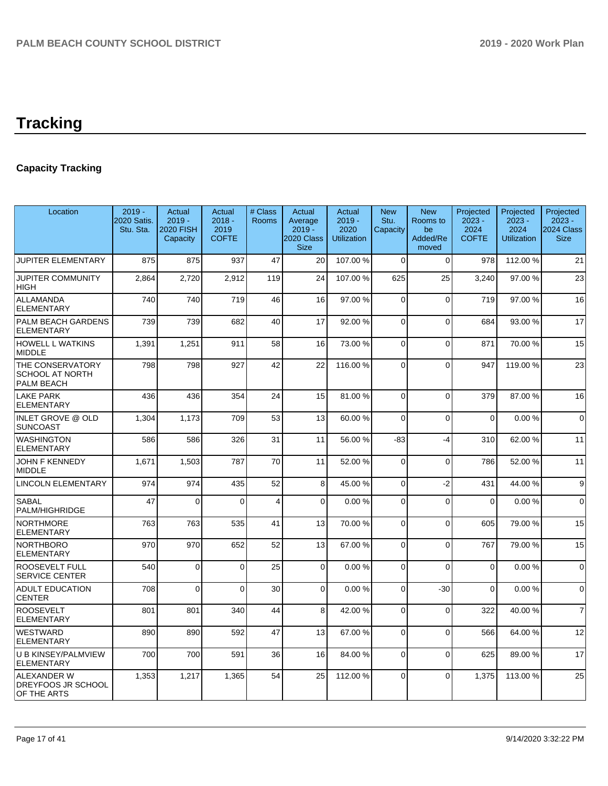# **Tracking**

# **Capacity Tracking**

| Location                                                        | $2019 -$<br>2020 Satis.<br>Stu. Sta. | Actual<br>$2019 -$<br><b>2020 FISH</b><br>Capacity | Actual<br>$2018 -$<br>2019<br><b>COFTE</b> | # Class<br>Rooms | Actual<br>Average<br>$2019 -$<br>2020 Class<br><b>Size</b> | Actual<br>$2019 -$<br>2020<br><b>Utilization</b> | <b>New</b><br>Stu.<br>Capacity | <b>New</b><br>Rooms to<br>be<br>Added/Re<br>moved | Projected<br>$2023 -$<br>2024<br><b>COFTE</b> | Projected<br>$2023 -$<br>2024<br><b>Utilization</b> | Projected<br>$2023 -$<br>2024 Class<br><b>Size</b> |
|-----------------------------------------------------------------|--------------------------------------|----------------------------------------------------|--------------------------------------------|------------------|------------------------------------------------------------|--------------------------------------------------|--------------------------------|---------------------------------------------------|-----------------------------------------------|-----------------------------------------------------|----------------------------------------------------|
| <b>JUPITER ELEMENTARY</b>                                       | 875                                  | 875                                                | 937                                        | 47               | 20                                                         | 107.00%                                          | $\Omega$                       | $\Omega$                                          | 978                                           | 112.00 %                                            | 21                                                 |
| <b>JUPITER COMMUNITY</b><br><b>HIGH</b>                         | 2,864                                | 2,720                                              | 2,912                                      | 119              | 24                                                         | 107.00%                                          | 625                            | 25                                                | 3,240                                         | 97.00 %                                             | 23                                                 |
| <b>ALLAMANDA</b><br><b>ELEMENTARY</b>                           | 740                                  | 740                                                | 719                                        | 46               | 16                                                         | 97.00%                                           | $\Omega$                       | $\mathbf 0$                                       | 719                                           | 97.00 %                                             | 16                                                 |
| PALM BEACH GARDENS<br><b>ELEMENTARY</b>                         | 739                                  | 739                                                | 682                                        | 40               | 17                                                         | 92.00%                                           | $\Omega$                       | $\Omega$                                          | 684                                           | 93.00 %                                             | 17                                                 |
| <b>HOWELL L WATKINS</b><br><b>MIDDLE</b>                        | 1,391                                | 1,251                                              | 911                                        | 58               | 16                                                         | 73.00 %                                          | $\Omega$                       | $\mathbf 0$                                       | 871                                           | 70.00 %                                             | 15                                                 |
| THE CONSERVATORY<br><b>SCHOOL AT NORTH</b><br><b>PALM BEACH</b> | 798                                  | 798                                                | 927                                        | 42               | 22                                                         | 116.00%                                          | $\Omega$                       | $\mathbf{0}$                                      | 947                                           | 119.00%                                             | 23                                                 |
| <b>LAKE PARK</b><br><b>ELEMENTARY</b>                           | 436                                  | 436                                                | 354                                        | 24               | 15                                                         | 81.00%                                           | $\Omega$                       | $\Omega$                                          | 379                                           | 87.00 %                                             | 16                                                 |
| <b>INLET GROVE @ OLD</b><br><b>SUNCOAST</b>                     | 1,304                                | 1,173                                              | 709                                        | 53               | 13                                                         | 60.00%                                           | $\Omega$                       | $\Omega$                                          | $\mathbf 0$                                   | 0.00%                                               | $\overline{0}$                                     |
| <b>WASHINGTON</b><br><b>ELEMENTARY</b>                          | 586                                  | 586                                                | 326                                        | 31               | 11                                                         | 56.00 %                                          | -83                            | $-4$                                              | 310                                           | 62.00 %                                             | 11                                                 |
| <b>JOHN F KENNEDY</b><br><b>MIDDLE</b>                          | 1,671                                | 1,503                                              | 787                                        | 70               | 11                                                         | 52.00 %                                          | $\Omega$                       | $\mathbf 0$                                       | 786                                           | 52.00 %                                             | 11                                                 |
| LINCOLN ELEMENTARY                                              | 974                                  | 974                                                | 435                                        | 52               | 8                                                          | 45.00 %                                          | $\Omega$                       | $-2$                                              | 431                                           | 44.00%                                              | 9 <sup>1</sup>                                     |
| <b>SABAL</b><br>PALM/HIGHRIDGE                                  | 47                                   | $\Omega$                                           | $\Omega$                                   | $\overline{4}$   | $\Omega$                                                   | 0.00%                                            | $\Omega$                       | $\mathbf 0$                                       | $\Omega$                                      | 0.00%                                               | $\Omega$                                           |
| <b>NORTHMORE</b><br><b>ELEMENTARY</b>                           | 763                                  | 763                                                | 535                                        | 41               | 13                                                         | 70.00 %                                          | $\Omega$                       | $\Omega$                                          | 605                                           | 79.00 %                                             | 15                                                 |
| <b>NORTHBORO</b><br><b>ELEMENTARY</b>                           | 970                                  | 970                                                | 652                                        | 52               | 13                                                         | 67.00%                                           | $\Omega$                       | $\mathbf 0$                                       | 767                                           | 79.00 %                                             | 15                                                 |
| <b>ROOSEVELT FULL</b><br><b>SERVICE CENTER</b>                  | 540                                  | $\Omega$                                           | $\Omega$                                   | 25               | $\Omega$                                                   | 0.00%                                            | $\Omega$                       | $\Omega$                                          | $\mathbf 0$                                   | 0.00%                                               | $\Omega$                                           |
| <b>ADULT EDUCATION</b><br><b>CENTER</b>                         | 708                                  | $\Omega$                                           | $\Omega$                                   | 30               | $\Omega$                                                   | 0.00%                                            | $\Omega$                       | $-30$                                             | $\Omega$                                      | 0.00%                                               | $\Omega$                                           |
| <b>ROOSEVELT</b><br><b>ELEMENTARY</b>                           | 801                                  | 801                                                | 340                                        | 44               | 8                                                          | 42.00%                                           | $\Omega$                       | $\Omega$                                          | 322                                           | 40.00%                                              | $\overline{7}$                                     |
| <b>WESTWARD</b><br><b>ELEMENTARY</b>                            | 890                                  | 890                                                | 592                                        | 47               | 13                                                         | 67.00%                                           | $\Omega$                       | $\Omega$                                          | 566                                           | 64.00%                                              | 12                                                 |
| U B KINSEY/PALMVIEW<br><b>ELEMENTARY</b>                        | 700                                  | 700                                                | 591                                        | 36               | 16                                                         | 84.00%                                           | $\Omega$                       | $\Omega$                                          | 625                                           | 89.00 %                                             | 17                                                 |
| <b>ALEXANDER W</b><br><b>DREYFOOS JR SCHOOL</b><br>OF THE ARTS  | 1,353                                | 1,217                                              | 1,365                                      | 54               | 25                                                         | 112.00 %                                         | $\Omega$                       | $\Omega$                                          | 1,375                                         | 113.00 %                                            | 25                                                 |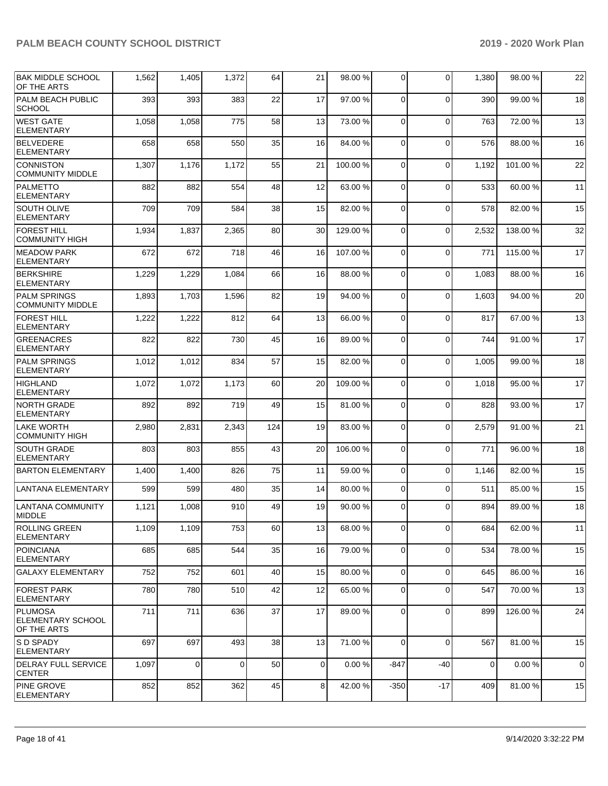| <b>BAK MIDDLE SCHOOL</b><br>OF THE ARTS            | 1,562 | 1,405       | 1,372 | 64  | 21             | 98.00 % | $\overline{0}$ | $\Omega$    | 1,380 | 98.00 %  | 22 |
|----------------------------------------------------|-------|-------------|-------|-----|----------------|---------|----------------|-------------|-------|----------|----|
| PALM BEACH PUBLIC<br><b>SCHOOL</b>                 | 393   | 393         | 383   | 22  | 17             | 97.00 % | 0              | $\Omega$    | 390   | 99.00 %  | 18 |
| WEST GATE<br><b>ELEMENTARY</b>                     | 1,058 | 1,058       | 775   | 58  | 13             | 73.00 % | 0              | $\Omega$    | 763   | 72.00 %  | 13 |
| <b>BELVEDERE</b><br><b>ELEMENTARY</b>              | 658   | 658         | 550   | 35  | 16             | 84.00 % | $\Omega$       | $\Omega$    | 576   | 88.00%   | 16 |
| <b>CONNISTON</b><br><b>COMMUNITY MIDDLE</b>        | 1,307 | 1,176       | 1,172 | 55  | 21             | 100.00% | $\mathbf 0$    | $\Omega$    | 1,192 | 101.00%  | 22 |
| <b>PALMETTO</b><br><b>ELEMENTARY</b>               | 882   | 882         | 554   | 48  | 12             | 63.00 % | 0              | $\Omega$    | 533   | 60.00 %  | 11 |
| SOUTH OLIVE<br><b>ELEMENTARY</b>                   | 709   | 709         | 584   | 38  | 15             | 82.00 % | $\mathbf 0$    | $\Omega$    | 578   | 82.00%   | 15 |
| FOREST HILL<br><b>COMMUNITY HIGH</b>               | 1,934 | 1,837       | 2,365 | 80  | 30             | 129.00% | 0              | $\Omega$    | 2,532 | 138.00 % | 32 |
| <b>MEADOW PARK</b><br><b>ELEMENTARY</b>            | 672   | 672         | 718   | 46  | 16             | 107.00% | 0              | $\Omega$    | 771   | 115.00%  | 17 |
| <b>BERKSHIRE</b><br><b>ELEMENTARY</b>              | 1,229 | 1,229       | 1,084 | 66  | 16             | 88.00 % | $\Omega$       | $\Omega$    | 1,083 | 88.00%   | 16 |
| <b>PALM SPRINGS</b><br><b>COMMUNITY MIDDLE</b>     | 1,893 | 1,703       | 1,596 | 82  | 19             | 94.00 % | 0              | $\Omega$    | 1,603 | 94.00 %  | 20 |
| <b>FOREST HILL</b><br><b>ELEMENTARY</b>            | 1,222 | 1,222       | 812   | 64  | 13             | 66.00 % | 0              | $\Omega$    | 817   | 67.00 %  | 13 |
| <b>GREENACRES</b><br><b>ELEMENTARY</b>             | 822   | 822         | 730   | 45  | 16             | 89.00 % | $\mathbf 0$    | $\Omega$    | 744   | 91.00%   | 17 |
| <b>PALM SPRINGS</b><br><b>ELEMENTARY</b>           | 1,012 | 1,012       | 834   | 57  | 15             | 82.00 % | 0              | $\Omega$    | 1,005 | 99.00 %  | 18 |
| <b>HIGHLAND</b><br><b>ELEMENTARY</b>               | 1,072 | 1,072       | 1,173 | 60  | 20             | 109.00% | 0              | $\Omega$    | 1,018 | 95.00 %  | 17 |
| <b>NORTH GRADE</b><br><b>ELEMENTARY</b>            | 892   | 892         | 719   | 49  | 15             | 81.00%  | $\Omega$       | $\Omega$    | 828   | 93.00 %  | 17 |
| LAKE WORTH<br><b>COMMUNITY HIGH</b>                | 2,980 | 2,831       | 2,343 | 124 | 19             | 83.00 % | 0              | $\Omega$    | 2,579 | 91.00 %  | 21 |
| <b>SOUTH GRADE</b><br><b>ELEMENTARY</b>            | 803   | 803         | 855   | 43  | 20             | 106.00% | $\mathbf 0$    | $\Omega$    | 771   | 96.00 %  | 18 |
| <b>BARTON ELEMENTARY</b>                           | 1,400 | 1,400       | 826   | 75  | 11             | 59.00 % | $\overline{0}$ | $\Omega$    | 1,146 | 82.00 %  | 15 |
| <b>LANTANA ELEMENTARY</b>                          | 599   | 599         | 480   | 35  | 14             | 80.00 % | $\overline{0}$ | $\Omega$    | 511   | 85.00 %  | 15 |
| LANTANA COMMUNITY<br>MIDDLE                        | 1,121 | 1,008       | 910   | 49  | 19             | 90.00 % | 0              | $\Omega$    | 894   | 89.00 %  | 18 |
| <b>ROLLING GREEN</b><br><b>ELEMENTARY</b>          | 1,109 | 1,109       | 753   | 60  | 13             | 68.00 % | 0              | $\mathbf 0$ | 684   | 62.00 %  | 11 |
| <b>POINCIANA</b><br><b>ELEMENTARY</b>              | 685   | 685         | 544   | 35  | 16             | 79.00 % | $\mathbf 0$    | $\Omega$    | 534   | 78.00 %  | 15 |
| <b>GALAXY ELEMENTARY</b>                           | 752   | 752         | 601   | 40  | 15             | 80.00 % | $\overline{0}$ | $\mathbf 0$ | 645   | 86.00 %  | 16 |
| FOREST PARK<br><b>ELEMENTARY</b>                   | 780   | 780         | 510   | 42  | 12             | 65.00 % | $\mathbf 0$    | $\Omega$    | 547   | 70.00 %  | 13 |
| PLUMOSA<br><b>ELEMENTARY SCHOOL</b><br>OF THE ARTS | 711   | 711         | 636   | 37  | 17             | 89.00 % | 0              | $\mathbf 0$ | 899   | 126.00 % | 24 |
| <b>S D SPADY</b><br><b>ELEMENTARY</b>              | 697   | 697         | 493   | 38  | 13             | 71.00 % | $\mathbf 0$    | $\Omega$    | 567   | 81.00 %  | 15 |
| <b>DELRAY FULL SERVICE</b><br><b>CENTER</b>        | 1,097 | $\mathbf 0$ | 0     | 50  | $\overline{0}$ | 0.00 %  | $-847$         | -40         | 0     | 0.00%    | 0  |
| <b>PINE GROVE</b><br><b>ELEMENTARY</b>             | 852   | 852         | 362   | 45  | 8              | 42.00 % | $-350$         | $-17$       | 409   | 81.00 %  | 15 |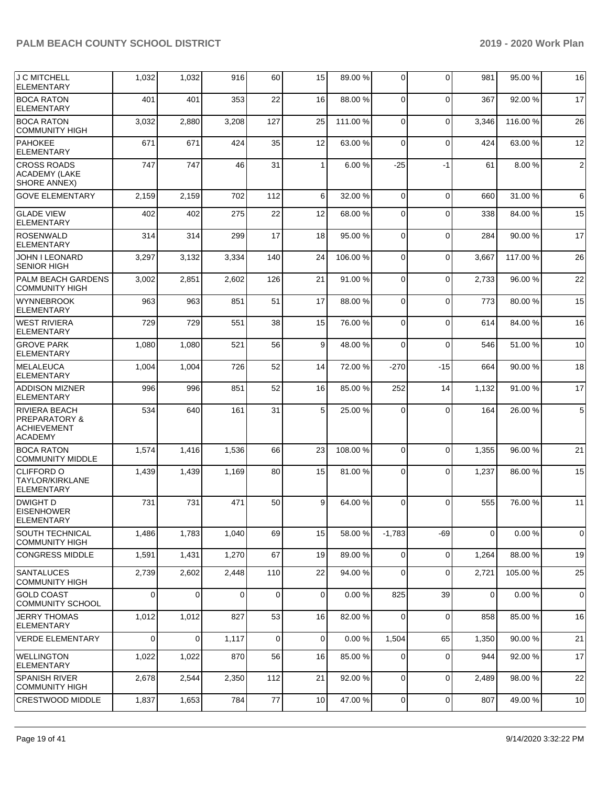| <b>J C MITCHELL</b><br><b>ELEMENTARY</b>                                          | 1,032    | 1,032          | 916      | 60             | 15              | 89.00 % | 0              | $\Omega$    | 981            | 95.00 %  | 16              |
|-----------------------------------------------------------------------------------|----------|----------------|----------|----------------|-----------------|---------|----------------|-------------|----------------|----------|-----------------|
| <b>BOCA RATON</b><br><b>ELEMENTARY</b>                                            | 401      | 401            | 353      | 22             | 16              | 88.00 % | $\Omega$       | $\Omega$    | 367            | 92.00 %  | 17              |
| <b>BOCA RATON</b><br><b>COMMUNITY HIGH</b>                                        | 3,032    | 2,880          | 3,208    | 127            | 25              | 111.00% | $\Omega$       | $\Omega$    | 3,346          | 116.00%  | 26              |
| <b>PAHOKEE</b><br><b>ELEMENTARY</b>                                               | 671      | 671            | 424      | 35             | 12              | 63.00 % | $\Omega$       | $\Omega$    | 424            | 63.00 %  | 12              |
| <b>CROSS ROADS</b><br>ACADEMY (LAKE<br><b>SHORE ANNEX)</b>                        | 747      | 747            | 46       | 31             | $\mathbf{1}$    | 6.00%   | $-25$          | $-1$        | 61             | 8.00 %   | $\overline{2}$  |
| <b>GOVE ELEMENTARY</b>                                                            | 2,159    | 2,159          | 702      | 112            | 6               | 32.00 % | $\Omega$       | $\Omega$    | 660            | 31.00 %  | $6 \,$          |
| <b>GLADE VIEW</b><br><b>ELEMENTARY</b>                                            | 402      | 402            | 275      | 22             | 12              | 68.00 % | $\Omega$       | $\Omega$    | 338            | 84.00 %  | 15              |
| <b>ROSENWALD</b><br><b>ELEMENTARY</b>                                             | 314      | 314            | 299      | 17             | 18              | 95.00 % | $\Omega$       | $\Omega$    | 284            | 90.00%   | 17              |
| <b>JOHN I LEONARD</b><br><b>SENIOR HIGH</b>                                       | 3,297    | 3,132          | 3,334    | 140            | 24              | 106.00% | $\Omega$       | $\Omega$    | 3,667          | 117.00 % | 26              |
| PALM BEACH GARDENS<br><b>COMMUNITY HIGH</b>                                       | 3,002    | 2,851          | 2,602    | 126            | 21              | 91.00%  | $\Omega$       | $\Omega$    | 2,733          | 96.00 %  | 22              |
| <b>WYNNEBROOK</b><br><b>ELEMENTARY</b>                                            | 963      | 963            | 851      | 51             | 17              | 88.00 % | $\Omega$       | $\Omega$    | 773            | 80.00%   | 15              |
| <b>WEST RIVIERA</b><br><b>ELEMENTARY</b>                                          | 729      | 729            | 551      | 38             | 15              | 76.00 % | $\Omega$       | $\Omega$    | 614            | 84.00 %  | 16              |
| <b>GROVE PARK</b><br><b>ELEMENTARY</b>                                            | 1,080    | 1,080          | 521      | 56             | 9               | 48.00%  | $\Omega$       | $\Omega$    | 546            | 51.00%   | 10              |
| <b>MELALEUCA</b><br><b>ELEMENTARY</b>                                             | 1,004    | 1,004          | 726      | 52             | 14              | 72.00 % | $-270$         | $-15$       | 664            | 90.00 %  | 18              |
| <b>ADDISON MIZNER</b><br><b>ELEMENTARY</b>                                        | 996      | 996            | 851      | 52             | 16              | 85.00 % | 252            | 14          | 1,132          | 91.00%   | 17              |
| RIVIERA BEACH<br><b>PREPARATORY &amp;</b><br><b>ACHIEVEMENT</b><br><b>ACADEMY</b> | 534      | 640            | 161      | 31             | 5               | 25.00 % | $\Omega$       | $\Omega$    | 164            | 26.00%   | $5\overline{)}$ |
| <b>BOCA RATON</b><br><b>COMMUNITY MIDDLE</b>                                      | 1,574    | 1,416          | 1,536    | 66             | 23              | 108.00% | $\mathbf 0$    | $\Omega$    | 1,355          | 96.00 %  | 21              |
| <b>CLIFFORD O</b><br>TAYLOR/KIRKLANE<br><b>ELEMENTARY</b>                         | 1,439    | 1,439          | 1,169    | 80             | 15              | 81.00%  | $\Omega$       | $\Omega$    | 1,237          | 86.00%   | 15              |
| DWIGHT D<br><b>EISENHOWER</b><br><b>ELEMENTARY</b>                                | 731      | 731            | 471      | 50             | 9               | 64.00 % | $\Omega$       | $\Omega$    | 555            | 76.00 %  | 11              |
| <b>SOUTH TECHNICAL</b><br><b>COMMUNITY HIGH</b>                                   | 1,486    | 1,783          | 1,040    | 69             | 15              | 58.00 % | $-1,783$       | $-69$       | $\overline{0}$ | 0.00%    | $\overline{0}$  |
| <b>CONGRESS MIDDLE</b>                                                            | 1,591    | 1,431          | 1,270    | 67             | 19              | 89.00 % | $\mathbf 0$    | $\mathbf 0$ | 1,264          | 88.00 %  | 19              |
| <b>SANTALUCES</b><br><b>COMMUNITY HIGH</b>                                        | 2,739    | 2,602          | 2,448    | 110            | 22              | 94.00 % | $\Omega$       | $\mathbf 0$ | 2,721          | 105.00 % | 25              |
| <b>GOLD COAST</b><br><b>COMMUNITY SCHOOL</b>                                      | $\Omega$ | $\Omega$       | $\Omega$ | $\overline{0}$ | $\mathbf 0$     | 0.00%   | 825            | 39          | $\overline{0}$ | 0.00%    | $\overline{0}$  |
| <b>JERRY THOMAS</b><br><b>ELEMENTARY</b>                                          | 1,012    | 1,012          | 827      | 53             | 16              | 82.00%  | $\mathbf 0$    | $\mathbf 0$ | 858            | 85.00 %  | 16              |
| <b>VERDE ELEMENTARY</b>                                                           | $\Omega$ | $\overline{0}$ | 1,117    | $\mathbf 0$    | $\mathbf 0$     | 0.00%   | 1,504          | 65          | 1,350          | 90.00 %  | 21              |
| <b>WELLINGTON</b><br><b>ELEMENTARY</b>                                            | 1,022    | 1,022          | 870      | 56             | 16              | 85.00 % | 0              | $\mathbf 0$ | 944            | 92.00 %  | 17              |
| <b>SPANISH RIVER</b><br><b>COMMUNITY HIGH</b>                                     | 2,678    | 2,544          | 2,350    | 112            | 21              | 92.00 % | $\Omega$       | 0           | 2,489          | 98.00 %  | 22              |
| <b>CRESTWOOD MIDDLE</b>                                                           | 1,837    | 1,653          | 784      | 77             | 10 <sup>1</sup> | 47.00 % | $\overline{0}$ | $\mathbf 0$ | 807            | 49.00 %  | 10 <sup>1</sup> |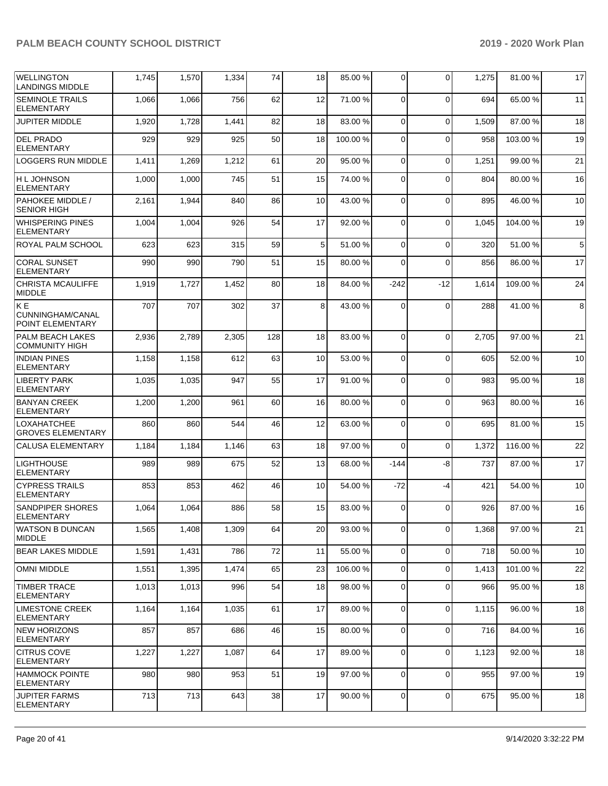| <b>WELLINGTON</b><br><b>LANDINGS MIDDLE</b>      | 1,745 | 1,570 | 1,334 | 74  | 18 | 85.00 % | 0              | $\Omega$    | 1,275 | 81.00 %  | 17 |
|--------------------------------------------------|-------|-------|-------|-----|----|---------|----------------|-------------|-------|----------|----|
| <b>SEMINOLE TRAILS</b><br><b>ELEMENTARY</b>      | 1,066 | 1,066 | 756   | 62  | 12 | 71.00 % | $\mathbf 0$    | $\Omega$    | 694   | 65.00 %  | 11 |
| <b>JUPITER MIDDLE</b>                            | 1,920 | 1,728 | 1,441 | 82  | 18 | 83.00 % | $\mathbf 0$    | $\Omega$    | 1,509 | 87.00 %  | 18 |
| <b>DEL PRADO</b><br><b>ELEMENTARY</b>            | 929   | 929   | 925   | 50  | 18 | 100.00% | $\mathbf 0$    | $\Omega$    | 958   | 103.00%  | 19 |
| <b>LOGGERS RUN MIDDLE</b>                        | 1,411 | 1,269 | 1,212 | 61  | 20 | 95.00 % | 0              | $\mathbf 0$ | 1,251 | 99.00 %  | 21 |
| <b>H L JOHNSON</b><br><b>ELEMENTARY</b>          | 1,000 | 1,000 | 745   | 51  | 15 | 74.00 % | 0              | $\Omega$    | 804   | 80.00 %  | 16 |
| PAHOKEE MIDDLE /<br><b>SENIOR HIGH</b>           | 2,161 | 1,944 | 840   | 86  | 10 | 43.00 % | $\mathbf 0$    | $\Omega$    | 895   | 46.00 %  | 10 |
| <b>WHISPERING PINES</b><br><b>ELEMENTARY</b>     | 1,004 | 1,004 | 926   | 54  | 17 | 92.00 % | $\mathbf 0$    | $\Omega$    | 1,045 | 104.00%  | 19 |
| ROYAL PALM SCHOOL                                | 623   | 623   | 315   | 59  | 5  | 51.00 % | 0              | $\mathbf 0$ | 320   | 51.00 %  | 5  |
| <b>CORAL SUNSET</b><br><b>ELEMENTARY</b>         | 990   | 990   | 790   | 51  | 15 | 80.00 % | 0              | $\Omega$    | 856   | 86.00 %  | 17 |
| <b>CHRISTA MCAULIFFE</b><br><b>MIDDLE</b>        | 1,919 | 1,727 | 1,452 | 80  | 18 | 84.00 % | $-242$         | $-12$       | 1,614 | 109.00%  | 24 |
| IK E<br>CUNNINGHAM/CANAL<br>POINT ELEMENTARY     | 707   | 707   | 302   | 37  | 8  | 43.00 % | $\mathbf 0$    | $\Omega$    | 288   | 41.00%   | 8  |
| <b>PALM BEACH LAKES</b><br><b>COMMUNITY HIGH</b> | 2,936 | 2,789 | 2,305 | 128 | 18 | 83.00 % | $\mathbf 0$    | $\Omega$    | 2,705 | 97.00 %  | 21 |
| <b>INDIAN PINES</b><br><b>ELEMENTARY</b>         | 1,158 | 1,158 | 612   | 63  | 10 | 53.00 % | 0              | $\Omega$    | 605   | 52.00 %  | 10 |
| <b>LIBERTY PARK</b><br><b>ELEMENTARY</b>         | 1,035 | 1,035 | 947   | 55  | 17 | 91.00 % | $\mathbf 0$    | $\Omega$    | 983   | 95.00 %  | 18 |
| <b>BANYAN CREEK</b><br><b>ELEMENTARY</b>         | 1,200 | 1,200 | 961   | 60  | 16 | 80.00 % | $\mathbf 0$    | $\Omega$    | 963   | 80.00 %  | 16 |
| <b>LOXAHATCHEE</b><br><b>GROVES ELEMENTARY</b>   | 860   | 860   | 544   | 46  | 12 | 63.00 % | 0              | $\Omega$    | 695   | 81.00 %  | 15 |
| <b>CALUSA ELEMENTARY</b>                         | 1,184 | 1,184 | 1,146 | 63  | 18 | 97.00 % | 0              | $\Omega$    | 1,372 | 116.00%  | 22 |
| <b>LIGHTHOUSE</b><br><b>ELEMENTARY</b>           | 989   | 989   | 675   | 52  | 13 | 68.00 % | $-144$         | -8          | 737   | 87.00 %  | 17 |
| <b>CYPRESS TRAILS</b><br><b>ELEMENTARY</b>       | 853   | 853   | 462   | 46  | 10 | 54.00 % | $-72$          | $-4$        | 421   | 54.00 %  | 10 |
| <b>SANDPIPER SHORES</b><br><b>ELEMENTARY</b>     | 1,064 | 1,064 | 886   | 58  | 15 | 83.00 % | 0              | $\Omega$    | 926   | 87.00 %  | 16 |
| <b>WATSON B DUNCAN</b><br><b>MIDDLE</b>          | 1,565 | 1,408 | 1,309 | 64  | 20 | 93.00 % | 0              | $\Omega$    | 1,368 | 97.00 %  | 21 |
| <b>BEAR LAKES MIDDLE</b>                         | 1,591 | 1,431 | 786   | 72  | 11 | 55.00 % | $\mathbf 0$    | $\mathbf 0$ | 718   | 50.00 %  | 10 |
| <b>OMNI MIDDLE</b>                               | 1,551 | 1,395 | 1,474 | 65  | 23 | 106.00% | 0              | $\mathbf 0$ | 1,413 | 101.00 % | 22 |
| <b>TIMBER TRACE</b><br>ELEMENTARY                | 1,013 | 1,013 | 996   | 54  | 18 | 98.00 % | 0              | $\mathbf 0$ | 966   | 95.00 %  | 18 |
| <b>LIMESTONE CREEK</b><br><b>ELEMENTARY</b>      | 1,164 | 1,164 | 1,035 | 61  | 17 | 89.00 % | 0              | $\mathbf 0$ | 1,115 | 96.00 %  | 18 |
| <b>NEW HORIZONS</b><br><b>ELEMENTARY</b>         | 857   | 857   | 686   | 46  | 15 | 80.00 % | $\mathbf 0$    | $\mathbf 0$ | 716   | 84.00 %  | 16 |
| <b>CITRUS COVE</b><br><b>ELEMENTARY</b>          | 1,227 | 1,227 | 1,087 | 64  | 17 | 89.00 % | $\mathbf 0$    | $\mathbf 0$ | 1,123 | 92.00 %  | 18 |
| <b>HAMMOCK POINTE</b><br><b>ELEMENTARY</b>       | 980   | 980   | 953   | 51  | 19 | 97.00 % | 0              | 0           | 955   | 97.00 %  | 19 |
| <b>JUPITER FARMS</b><br><b>ELEMENTARY</b>        | 713   | 713   | 643   | 38  | 17 | 90.00 % | $\overline{0}$ | $\mathbf 0$ | 675   | 95.00 %  | 18 |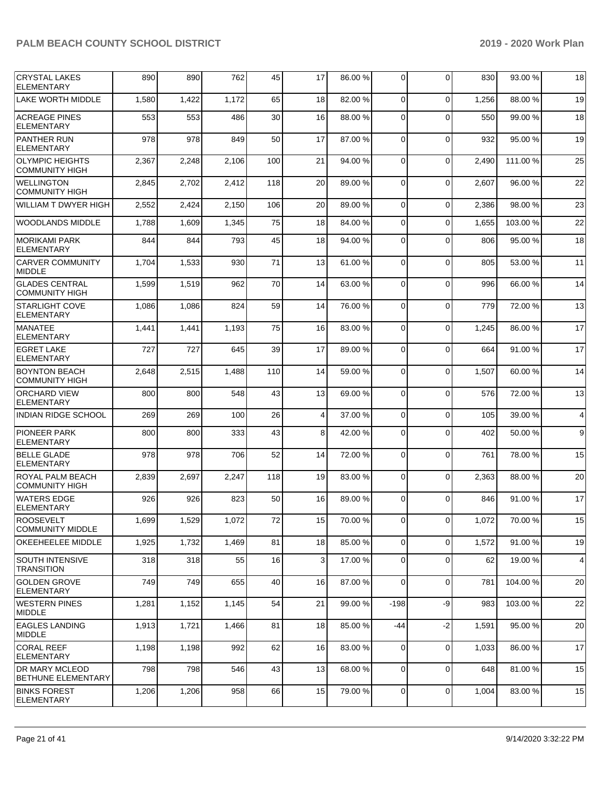| <b>CRYSTAL LAKES</b><br><b>ELEMENTARY</b>       | 890   | 890   | 762   | 45  | 17              | 86.00 % | 0              | $\Omega$       | 830   | 93.00 %  | 18 |
|-------------------------------------------------|-------|-------|-------|-----|-----------------|---------|----------------|----------------|-------|----------|----|
| <b>LAKE WORTH MIDDLE</b>                        | 1,580 | 1,422 | 1,172 | 65  | 18              | 82.00 % | 0              | $\Omega$       | 1,256 | 88.00 %  | 19 |
| <b>ACREAGE PINES</b><br><b>ELEMENTARY</b>       | 553   | 553   | 486   | 30  | 16              | 88.00 % | $\Omega$       | $\Omega$       | 550   | 99.00 %  | 18 |
| <b>PANTHER RUN</b><br><b>ELEMENTARY</b>         | 978   | 978   | 849   | 50  | 17              | 87.00 % | $\mathbf 0$    | $\Omega$       | 932   | 95.00 %  | 19 |
| <b>OLYMPIC HEIGHTS</b><br><b>COMMUNITY HIGH</b> | 2,367 | 2,248 | 2,106 | 100 | 21              | 94.00 % | 0              | $\Omega$       | 2,490 | 111.00 % | 25 |
| <b>WELLINGTON</b><br><b>COMMUNITY HIGH</b>      | 2,845 | 2,702 | 2,412 | 118 | 20              | 89.00 % | 0              | $\Omega$       | 2,607 | 96.00 %  | 22 |
| <b>WILLIAM T DWYER HIGH</b>                     | 2,552 | 2,424 | 2,150 | 106 | 20              | 89.00 % | $\Omega$       | $\Omega$       | 2,386 | 98.00 %  | 23 |
| <b>WOODLANDS MIDDLE</b>                         | 1,788 | 1,609 | 1,345 | 75  | 18              | 84.00 % | $\mathbf 0$    | $\Omega$       | 1,655 | 103.00%  | 22 |
| <b>MORIKAMI PARK</b><br><b>ELEMENTARY</b>       | 844   | 844   | 793   | 45  | 18              | 94.00 % | 0              | $\Omega$       | 806   | 95.00 %  | 18 |
| <b>CARVER COMMUNITY</b><br><b>MIDDLE</b>        | 1,704 | 1,533 | 930   | 71  | 13              | 61.00 % | 0              | $\Omega$       | 805   | 53.00 %  | 11 |
| <b>GLADES CENTRAL</b><br><b>COMMUNITY HIGH</b>  | 1,599 | 1,519 | 962   | 70  | 14              | 63.00 % | $\mathbf 0$    | $\Omega$       | 996   | 66.00 %  | 14 |
| <b>STARLIGHT COVE</b><br><b>ELEMENTARY</b>      | 1,086 | 1,086 | 824   | 59  | 14              | 76.00 % | $\mathbf 0$    | $\Omega$       | 779   | 72.00 %  | 13 |
| <b>MANATEE</b><br><b>ELEMENTARY</b>             | 1,441 | 1,441 | 1,193 | 75  | 16              | 83.00 % | 0              | $\Omega$       | 1,245 | 86.00 %  | 17 |
| <b>EGRET LAKE</b><br><b>ELEMENTARY</b>          | 727   | 727   | 645   | 39  | 17              | 89.00 % | $\mathbf 0$    | $\Omega$       | 664   | 91.00 %  | 17 |
| <b>BOYNTON BEACH</b><br><b>COMMUNITY HIGH</b>   | 2,648 | 2,515 | 1,488 | 110 | 14              | 59.00 % | $\mathbf 0$    | $\Omega$       | 1,507 | 60.00 %  | 14 |
| <b>ORCHARD VIEW</b><br><b>ELEMENTARY</b>        | 800   | 800   | 548   | 43  | 13              | 69.00 % | 0              | $\Omega$       | 576   | 72.00 %  | 13 |
| <b>INDIAN RIDGE SCHOOL</b>                      | 269   | 269   | 100   | 26  | 4               | 37.00 % | $\mathbf 0$    | $\Omega$       | 105   | 39.00 %  | 4  |
| <b>PIONEER PARK</b><br><b>ELEMENTARY</b>        | 800   | 800   | 333   | 43  | 8               | 42.00%  | 0              | $\Omega$       | 402   | 50.00 %  | 9  |
| <b>BELLE GLADE</b><br><b>ELEMENTARY</b>         | 978   | 978   | 706   | 52  | 14              | 72.00 % | $\mathbf 0$    | $\Omega$       | 761   | 78.00 %  | 15 |
| ROYAL PALM BEACH<br><b>COMMUNITY HIGH</b>       | 2,839 | 2,697 | 2,247 | 118 | 19              | 83.00 % | 0              | $\Omega$       | 2,363 | 88.00 %  | 20 |
| <b>WATERS EDGE</b><br><b>ELEMENTARY</b>         | 926   | 926   | 823   | 50  | 16              | 89.00 % | 0              | $\Omega$       | 846   | 91.00 %  | 17 |
| <b>ROOSEVELT</b><br><b>COMMUNITY MIDDLE</b>     | 1,699 | 1,529 | 1,072 | 72  | 15 <sup>1</sup> | 70.00 % | $\overline{0}$ | $\overline{0}$ | 1,072 | 70.00 %  | 15 |
| OKEEHEELEE MIDDLE                               | 1,925 | 1,732 | 1,469 | 81  | 18              | 85.00 % | 0              | $\Omega$       | 1,572 | 91.00 %  | 19 |
| <b>SOUTH INTENSIVE</b><br><b>TRANSITION</b>     | 318   | 318   | 55    | 16  | 3               | 17.00 % | 0              | $\Omega$       | 62    | 19.00 %  | 4  |
| <b>GOLDEN GROVE</b><br><b>ELEMENTARY</b>        | 749   | 749   | 655   | 40  | 16              | 87.00 % | $\mathbf 0$    | $\mathbf 0$    | 781   | 104.00%  | 20 |
| WESTERN PINES<br><b>MIDDLE</b>                  | 1,281 | 1,152 | 1,145 | 54  | 21              | 99.00 % | $-198$         | -9             | 983   | 103.00%  | 22 |
| <b>EAGLES LANDING</b><br><b>MIDDLE</b>          | 1,913 | 1,721 | 1,466 | 81  | 18              | 85.00 % | -44            | $-2$           | 1,591 | 95.00 %  | 20 |
| <b>CORAL REEF</b><br><b>ELEMENTARY</b>          | 1,198 | 1,198 | 992   | 62  | 16              | 83.00 % | 0              | $\Omega$       | 1,033 | 86.00 %  | 17 |
| DR MARY MCLEOD<br><b>BETHUNE ELEMENTARY</b>     | 798   | 798   | 546   | 43  | 13              | 68.00 % | $\mathbf 0$    | $\Omega$       | 648   | 81.00 %  | 15 |
| <b>BINKS FOREST</b><br>ELEMENTARY               | 1,206 | 1,206 | 958   | 66  | 15              | 79.00 % | 0              | $\mathbf 0$    | 1,004 | 83.00 %  | 15 |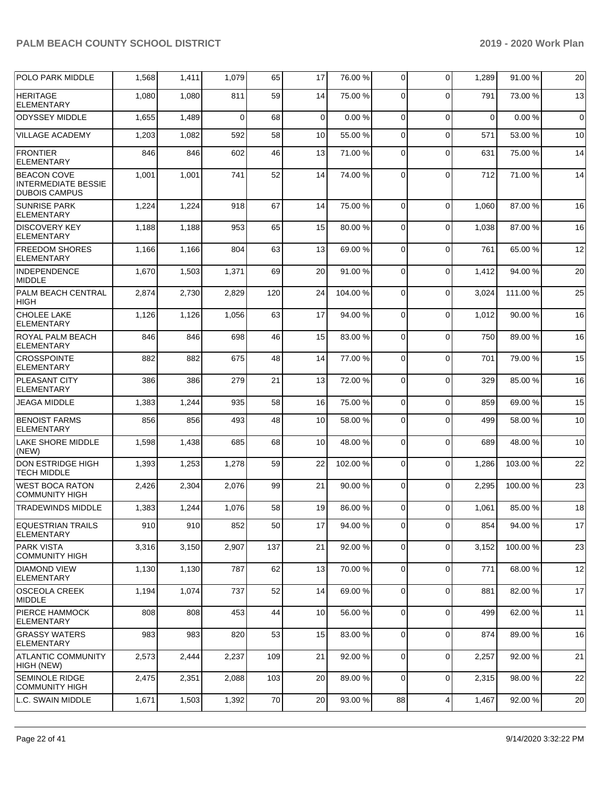| POLO PARK MIDDLE                                                         | 1,568 | 1,411 | 1,079    | 65  | 17          | 76.00 % | 0              | $\mathbf 0$ | 1,289       | 91.00 % | 20          |
|--------------------------------------------------------------------------|-------|-------|----------|-----|-------------|---------|----------------|-------------|-------------|---------|-------------|
| <b>HERITAGE</b><br><b>ELEMENTARY</b>                                     | 1,080 | 1,080 | 811      | 59  | 14          | 75.00 % | 0              | $\Omega$    | 791         | 73.00 % | 13          |
| <b>ODYSSEY MIDDLE</b>                                                    | 1,655 | 1,489 | $\Omega$ | 68  | $\mathbf 0$ | 0.00%   | $\mathbf 0$    | $\mathbf 0$ | $\mathbf 0$ | 0.00%   | $\mathbf 0$ |
| <b>VILLAGE ACADEMY</b>                                                   | 1,203 | 1,082 | 592      | 58  | 10          | 55.00 % | 0              | $\Omega$    | 571         | 53.00 % | 10          |
| <b>FRONTIER</b><br><b>ELEMENTARY</b>                                     | 846   | 846   | 602      | 46  | 13          | 71.00 % | 0              | $\Omega$    | 631         | 75.00 % | 14          |
| <b>BEACON COVE</b><br><b>INTERMEDIATE BESSIE</b><br><b>DUBOIS CAMPUS</b> | 1,001 | 1,001 | 741      | 52  | 14          | 74.00 % | 0              | $\Omega$    | 712         | 71.00 % | 14          |
| <b>SUNRISE PARK</b><br><b>ELEMENTARY</b>                                 | 1,224 | 1,224 | 918      | 67  | 14          | 75.00 % | $\mathbf 0$    | $\Omega$    | 1,060       | 87.00 % | 16          |
| <b>DISCOVERY KEY</b><br><b>ELEMENTARY</b>                                | 1,188 | 1,188 | 953      | 65  | 15          | 80.00 % | 0              | $\Omega$    | 1,038       | 87.00 % | 16          |
| <b>FREEDOM SHORES</b><br><b>ELEMENTARY</b>                               | 1,166 | 1,166 | 804      | 63  | 13          | 69.00 % | $\mathbf 0$    | $\Omega$    | 761         | 65.00 % | 12          |
| INDEPENDENCE<br><b>MIDDLE</b>                                            | 1,670 | 1,503 | 1,371    | 69  | 20          | 91.00%  | $\mathbf 0$    | $\mathbf 0$ | 1,412       | 94.00 % | 20          |
| PALM BEACH CENTRAL<br><b>HIGH</b>                                        | 2,874 | 2,730 | 2,829    | 120 | 24          | 104.00% | 0              | $\Omega$    | 3,024       | 111.00% | 25          |
| <b>CHOLEE LAKE</b><br><b>ELEMENTARY</b>                                  | 1,126 | 1,126 | 1,056    | 63  | 17          | 94.00 % | $\mathbf 0$    | $\Omega$    | 1,012       | 90.00 % | 16          |
| <b>ROYAL PALM BEACH</b><br><b>ELEMENTARY</b>                             | 846   | 846   | 698      | 46  | 15          | 83.00 % | 0              | $\mathbf 0$ | 750         | 89.00 % | 16          |
| <b>CROSSPOINTE</b><br><b>ELEMENTARY</b>                                  | 882   | 882   | 675      | 48  | 14          | 77.00 % | 0              | $\Omega$    | 701         | 79.00 % | 15          |
| <b>PLEASANT CITY</b><br><b>ELEMENTARY</b>                                | 386   | 386   | 279      | 21  | 13          | 72.00 % | 0              | $\Omega$    | 329         | 85.00 % | 16          |
| <b>JEAGA MIDDLE</b>                                                      | 1,383 | 1,244 | 935      | 58  | 16          | 75.00 % | $\mathbf 0$    | $\mathbf 0$ | 859         | 69.00 % | 15          |
| <b>BENOIST FARMS</b><br><b>ELEMENTARY</b>                                | 856   | 856   | 493      | 48  | 10          | 58.00 % | 0              | 0           | 499         | 58.00 % | 10          |
| <b>LAKE SHORE MIDDLE</b><br>(NEW)                                        | 1,598 | 1,438 | 685      | 68  | 10          | 48.00 % | 0              | $\Omega$    | 689         | 48.00 % | 10          |
| <b>DON ESTRIDGE HIGH</b><br><b>TECH MIDDLE</b>                           | 1,393 | 1,253 | 1,278    | 59  | 22          | 102.00% | 0              | $\mathbf 0$ | 1,286       | 103.00% | 22          |
| <b>WEST BOCA RATON</b><br><b>COMMUNITY HIGH</b>                          | 2,426 | 2,304 | 2,076    | 99  | 21          | 90.00 % | 0              | $\mathbf 0$ | 2,295       | 100.00% | 23          |
| <b>TRADEWINDS MIDDLE</b>                                                 | 1,383 | 1,244 | 1,076    | 58  | 19          | 86.00 % | 0              | $\Omega$    | 1,061       | 85.00 % | 18          |
| <b>EQUESTRIAN TRAILS</b><br><b>ELEMENTARY</b>                            | 910   | 910   | 852      | 50  | 17          | 94.00 % | 0              | $\Omega$    | 854         | 94.00 % | 17          |
| <b>PARK VISTA</b><br><b>COMMUNITY HIGH</b>                               | 3,316 | 3,150 | 2,907    | 137 | 21          | 92.00 % | $\overline{0}$ | $\mathbf 0$ | 3,152       | 100.00% | 23          |
| <b>DIAMOND VIEW</b><br><b>ELEMENTARY</b>                                 | 1,130 | 1,130 | 787      | 62  | 13          | 70.00%  | $\mathbf 0$    | $\mathbf 0$ | 771         | 68.00 % | 12          |
| OSCEOLA CREEK<br>MIDDLE                                                  | 1,194 | 1,074 | 737      | 52  | 14          | 69.00 % | 0              | $\mathbf 0$ | 881         | 82.00 % | 17          |
| <b>PIERCE HAMMOCK</b><br><b>ELEMENTARY</b>                               | 808   | 808   | 453      | 44  | 10          | 56.00 % | $\overline{0}$ | $\mathbf 0$ | 499         | 62.00 % | 11          |
| <b>GRASSY WATERS</b><br>ELEMENTARY                                       | 983   | 983   | 820      | 53  | 15          | 83.00 % | $\overline{0}$ | $\mathbf 0$ | 874         | 89.00 % | 16          |
| <b>ATLANTIC COMMUNITY</b><br>HIGH (NEW)                                  | 2,573 | 2,444 | 2,237    | 109 | 21          | 92.00 % | 0              | $\mathbf 0$ | 2,257       | 92.00 % | 21          |
| <b>SEMINOLE RIDGE</b><br><b>COMMUNITY HIGH</b>                           | 2,475 | 2,351 | 2,088    | 103 | 20          | 89.00 % | $\overline{0}$ | $\mathbf 0$ | 2,315       | 98.00 % | 22          |
| L.C. SWAIN MIDDLE                                                        | 1,671 | 1,503 | 1,392    | 70  | 20          | 93.00 % | 88             | 4           | 1,467       | 92.00 % | 20          |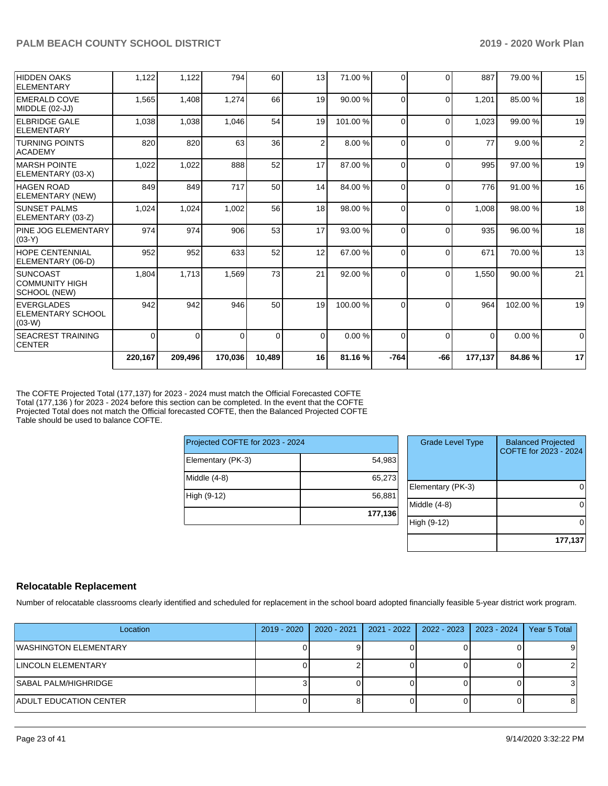|                                                     | 220,167  | 209,496  | 170,036  | 10,489         | 16       | 81.16%  | $-764$       | $-66$    | 177,137  | 84.86%  | 17       |
|-----------------------------------------------------|----------|----------|----------|----------------|----------|---------|--------------|----------|----------|---------|----------|
| <b>SEACREST TRAINING</b><br><b>CENTER</b>           | $\Omega$ | $\Omega$ | $\Omega$ | $\overline{0}$ | $\Omega$ | 0.00%   | $\Omega$     | $\Omega$ | $\Omega$ | 0.00%   | $\Omega$ |
| EVERGLADES<br><b>IELEMENTARY SCHOOL</b><br>$(03-W)$ | 942      | 942      | 946      | 50             | 19       | 100.00% | $\Omega$     | $\Omega$ | 964      | 102.00% | 19       |
| ISUNCOAST<br> COMMUNITY HIGH<br> SCHOOL (NEW)       | 1,804    | 1,713    | 1,569    | 73             | 21       | 92.00 % | <sup>0</sup> | $\Omega$ | 1,550    | 90.00 % | 21       |
| <b>HOPE CENTENNIAL</b><br>ELEMENTARY (06-D)         | 952      | 952      | 633      | 52             | 12       | 67.00 % | $\Omega$     | $\Omega$ | 671      | 70.00 % | 13       |
| <b>PINE JOG ELEMENTARY</b><br>$ (03-Y)$             | 974      | 974      | 906      | 53             | 17       | 93.00 % | $\Omega$     | $\Omega$ | 935      | 96.00 % | 18       |
| <b>SUNSET PALMS</b><br>ELEMENTARY (03-Z)            | 1,024    | 1,024    | 1,002    | 56             | 18       | 98.00 % | $\Omega$     | $\Omega$ | 1,008    | 98.00 % | 18       |
| HAGEN ROAD<br>ELEMENTARY (NEW)                      | 849      | 849      | 717      | 50             | 14       | 84.00 % | $\Omega$     | $\Omega$ | 776      | 91.00 % | 16       |
| <b>MARSH POINTE</b><br>ELEMENTARY (03-X)            | 1,022    | 1,022    | 888      | 52             | 17       | 87.00 % | $\Omega$     | $\Omega$ | 995      | 97.00 % | 19       |
| <b>TURNING POINTS</b><br><b>ACADEMY</b>             | 820      | 820      | 63       | 36             | 2        | 8.00 %  | $\Omega$     | $\Omega$ | 77       | 9.00%   | 2        |
| <b>ELBRIDGE GALE</b><br>ELEMENTARY                  | 1,038    | 1,038    | 1,046    | 54             | 19       | 101.00% | $\Omega$     | $\Omega$ | 1,023    | 99.00 % | 19       |
| <b>EMERALD COVE</b><br>MIDDLE (02-JJ)               | 1,565    | 1,408    | 1,274    | 66             | 19       | 90.00 % | $\Omega$     | $\Omega$ | 1,201    | 85.00 % | 18       |
| HIDDEN OAKS<br>ELEMENTARY                           | 1.122    | 1,122    | 794      | 60             | 13       | 71.00 % | 0            | $\Omega$ | 887      | 79.00 % | 15       |

The COFTE Projected Total (177,137) for 2023 - 2024 must match the Official Forecasted COFTE Total (177,136 ) for 2023 - 2024 before this section can be completed. In the event that the COFTE Projected Total does not match the Official forecasted COFTE, then the Balanced Projected COFTE Table should be used to balance COFTE.

| Projected COFTE for 2023 - 2024 |         |
|---------------------------------|---------|
| Elementary (PK-3)               | 54,983  |
| Middle (4-8)                    | 65,273  |
| High (9-12)                     | 56,881  |
|                                 | 177,136 |

| <b>Grade Level Type</b> | <b>Balanced Projected</b><br>COFTE for 2023 - 2024 |
|-------------------------|----------------------------------------------------|
| Elementary (PK-3)       |                                                    |
| Middle (4-8)            |                                                    |
| High (9-12)             |                                                    |
|                         | 177,137                                            |

#### **Relocatable Replacement**

Number of relocatable classrooms clearly identified and scheduled for replacement in the school board adopted financially feasible 5-year district work program.

| Location                      | 2019 - 2020 | $2020 - 2021$ | $2021 - 2022$ | 2022 - 2023 | 2023 - 2024 | Year 5 Total |
|-------------------------------|-------------|---------------|---------------|-------------|-------------|--------------|
| <b>WASHINGTON ELEMENTARY</b>  |             |               |               |             |             |              |
| <b>LINCOLN ELEMENTARY</b>     |             |               |               |             |             |              |
| <b>SABAL PALM/HIGHRIDGE</b>   |             |               |               |             |             |              |
| <b>ADULT EDUCATION CENTER</b> |             |               |               |             |             | o            |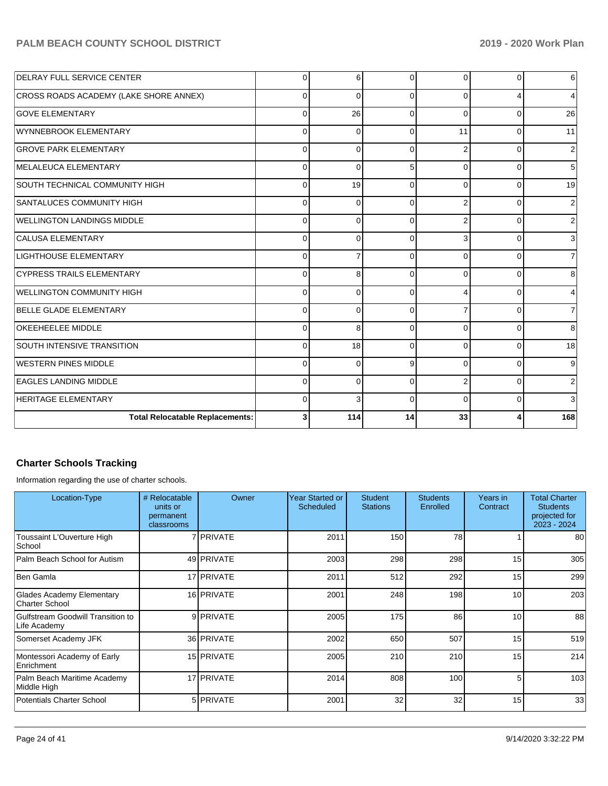## PALM BEACH COUNTY SCHOOL DISTRICT **1999 - 2019 - 2019 - 2020 Work Plan**

| <b>DELRAY FULL SERVICE CENTER</b>      | $\Omega$ | 6        | $\Omega$ | 0              | $\Omega$     | $6 \,$         |
|----------------------------------------|----------|----------|----------|----------------|--------------|----------------|
| CROSS ROADS ACADEMY (LAKE SHORE ANNEX) | $\Omega$ | $\Omega$ | $\Omega$ | 0              |              | 4              |
| <b>GOVE ELEMENTARY</b>                 | $\Omega$ | 26       | $\Omega$ | $\Omega$       | $\Omega$     | 26             |
| WYNNEBROOK ELEMENTARY                  | $\Omega$ | 0        | 0        | 11             | $\Omega$     | 11             |
| <b>GROVE PARK ELEMENTARY</b>           | 0        | $\Omega$ | $\Omega$ | 2              | $\Omega$     | $\overline{2}$ |
| MELALEUCA ELEMENTARY                   | $\Omega$ | $\Omega$ | 5        | 0              | $\Omega$     | 5              |
| SOUTH TECHNICAL COMMUNITY HIGH         | 0        | 19       | 0        | 0              | $\Omega$     | 19             |
| SANTALUCES COMMUNITY HIGH              | $\Omega$ | $\Omega$ | 0        | 2              | $\Omega$     | $\overline{2}$ |
| <b>WELLINGTON LANDINGS MIDDLE</b>      | $\Omega$ | $\Omega$ | $\Omega$ | $\overline{2}$ | <sup>0</sup> | $\overline{2}$ |
| <b>CALUSA ELEMENTARY</b>               | $\Omega$ | $\Omega$ | $\Omega$ | 3              | <sup>0</sup> | $\overline{3}$ |
| <b>LIGHTHOUSE ELEMENTARY</b>           | $\Omega$ | 7        | $\Omega$ | 0              | $\Omega$     | $\overline{7}$ |
| <b>CYPRESS TRAILS ELEMENTARY</b>       | $\Omega$ | 8        | 0        | 0              | <sup>0</sup> | 8              |
| WELLINGTON COMMUNITY HIGH              | $\Omega$ | $\Omega$ | $\Omega$ | 4              | 0            | $\overline{4}$ |
| BELLE GLADE ELEMENTARY                 | $\Omega$ | $\Omega$ | $\Omega$ |                | $\Omega$     | 7              |
| <b>OKEEHEELEE MIDDLE</b>               | $\Omega$ | 8        | $\Omega$ | 0              | $\Omega$     | 8              |
| <b>SOUTH INTENSIVE TRANSITION</b>      | $\Omega$ | 18       | $\Omega$ | 0              | $\Omega$     | 18             |
| <b>WESTERN PINES MIDDLE</b>            | $\Omega$ | $\Omega$ | 9        | $\Omega$       | <sup>0</sup> | 9              |
| <b>EAGLES LANDING MIDDLE</b>           | $\Omega$ | $\Omega$ | $\Omega$ | $\overline{2}$ | $\Omega$     | 2              |
| <b>HERITAGE ELEMENTARY</b>             | $\Omega$ | 3        | $\Omega$ | $\Omega$       | $\Omega$     | 3              |
| <b>Total Relocatable Replacements:</b> | 3        | 114      | 14       | 33             |              | 168            |

# **Charter Schools Tracking**

Information regarding the use of charter schools.

| Location-Type                                     | # Relocatable<br>units or<br>permanent<br>classrooms | Owner            | Year Started or<br>Scheduled | <b>Student</b><br><b>Stations</b> | <b>Students</b><br>Enrolled | Years in<br>Contract | <b>Total Charter</b><br><b>Students</b><br>projected for<br>2023 - 2024 |
|---------------------------------------------------|------------------------------------------------------|------------------|------------------------------|-----------------------------------|-----------------------------|----------------------|-------------------------------------------------------------------------|
| Toussaint L'Ouverture High<br>School              |                                                      | 7 <b>PRIVATE</b> | 2011                         | 150                               | 78                          |                      | 80 l                                                                    |
| Palm Beach School for Autism                      |                                                      | 49 PRIVATE       | 2003                         | 298                               | 298                         | 15                   | 305                                                                     |
| Ben Gamla                                         |                                                      | 17 PRIVATE       | 2011                         | 512                               | 292                         | 15                   | 299                                                                     |
| Glades Academy Elementary<br>Charter School       |                                                      | 16 PRIVATE       | 2001                         | 248                               | 198                         | 10                   | 203                                                                     |
| Gulfstream Goodwill Transition to<br>Life Academy |                                                      | 9 PRIVATE        | 2005                         | 175                               | 86                          | 10                   | 88                                                                      |
| Somerset Academy JFK                              |                                                      | 36 PRIVATE       | 2002                         | 650                               | 507                         | 15                   | 519                                                                     |
| Montessori Academy of Early<br>Enrichment         |                                                      | 15 PRIVATE       | 2005                         | 210                               | 210                         | 15                   | 214                                                                     |
| Palm Beach Maritime Academy<br>Middle High        |                                                      | 17 PRIVATE       | 2014                         | 808                               | 100                         | 5                    | 103                                                                     |
| <b>Potentials Charter School</b>                  |                                                      | 5 <b>PRIVATE</b> | 2001                         | 32                                | 32                          | 15                   | 33                                                                      |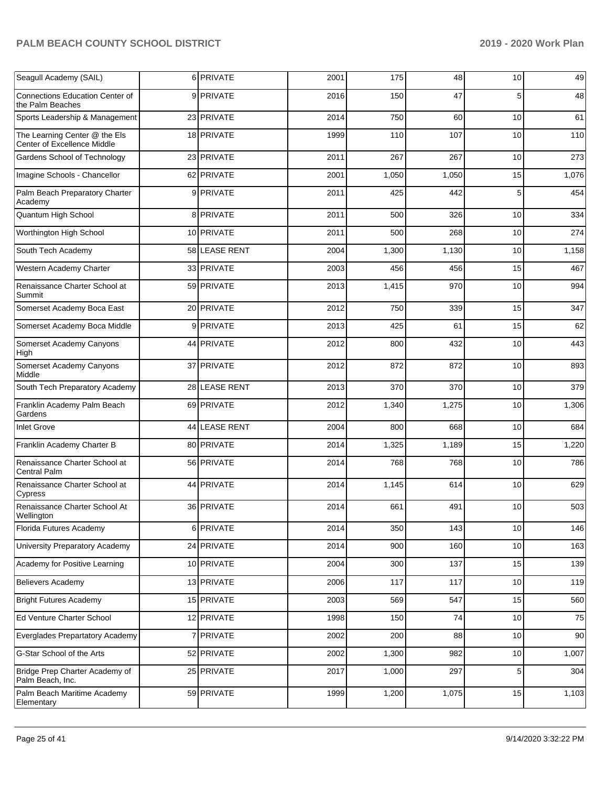| Seagull Academy (SAIL)                                       | 6 PRIVATE     | 2001 | 175   | 48    | 10             | 49    |
|--------------------------------------------------------------|---------------|------|-------|-------|----------------|-------|
| Connections Education Center of<br>the Palm Beaches          | 9 PRIVATE     | 2016 | 150   | 47    | 5              | 48    |
| Sports Leadership & Management                               | 23 PRIVATE    | 2014 | 750   | 60    | 10             | 61    |
| The Learning Center @ the Els<br>Center of Excellence Middle | 18 PRIVATE    | 1999 | 110   | 107   | 10             | 110   |
| Gardens School of Technology                                 | 23 PRIVATE    | 2011 | 267   | 267   | 10             | 273   |
| Imagine Schools - Chancellor                                 | 62 PRIVATE    | 2001 | 1,050 | 1,050 | 15             | 1,076 |
| Palm Beach Preparatory Charter<br>Academy                    | 9 PRIVATE     | 2011 | 425   | 442   | 5              | 454   |
| Quantum High School                                          | 8 PRIVATE     | 2011 | 500   | 326   | 10             | 334   |
| Worthington High School                                      | 10 PRIVATE    | 2011 | 500   | 268   | 10             | 274   |
| South Tech Academy                                           | 58 LEASE RENT | 2004 | 1,300 | 1,130 | 10             | 1,158 |
| Western Academy Charter                                      | 33 PRIVATE    | 2003 | 456   | 456   | 15             | 467   |
| Renaissance Charter School at<br>Summit                      | 59 PRIVATE    | 2013 | 1,415 | 970   | 10             | 994   |
| Somerset Academy Boca East                                   | 20 PRIVATE    | 2012 | 750   | 339   | 15             | 347   |
| Somerset Academy Boca Middle                                 | 9 PRIVATE     | 2013 | 425   | 61    | 15             | 62    |
| Somerset Academy Canyons<br>High                             | 44 PRIVATE    | 2012 | 800   | 432   | 10             | 443   |
| Somerset Academy Canyons<br>Middle                           | 37 PRIVATE    | 2012 | 872   | 872   | 10             | 893   |
| South Tech Preparatory Academy                               | 28 LEASE RENT | 2013 | 370   | 370   | 10             | 379   |
| Franklin Academy Palm Beach<br>Gardens                       | 69 PRIVATE    | 2012 | 1,340 | 1,275 | 10             | 1,306 |
| <b>Inlet Grove</b>                                           | 44 LEASE RENT | 2004 | 800   | 668   | 10             | 684   |
| Franklin Academy Charter B                                   | 80 PRIVATE    | 2014 | 1,325 | 1,189 | 15             | 1,220 |
| Renaissance Charter School at<br>Central Palm                | 56 PRIVATE    | 2014 | 768   | 768   | 10             | 786   |
| Renaissance Charter School at<br>Cypress                     | 44 PRIVATE    | 2014 | 1,145 | 614   | 10             | 629   |
| Renaissance Charter School At<br>Wellington                  | 36 PRIVATE    | 2014 | 661   | 491   | 10             | 503   |
| Florida Futures Academy                                      | 6 PRIVATE     | 2014 | 350   | 143   | 10             | 146   |
| University Preparatory Academy                               | 24 PRIVATE    | 2014 | 900   | 160   | $10$           | 163   |
| Academy for Positive Learning                                | 10 PRIVATE    | 2004 | 300   | 137   | 15             | 139   |
| <b>Believers Academy</b>                                     | 13 PRIVATE    | 2006 | 117   | 117   | $10$           | 119   |
| <b>Bright Futures Academy</b>                                | 15 PRIVATE    | 2003 | 569   | 547   | 15             | 560   |
| Ed Venture Charter School                                    | 12 PRIVATE    | 1998 | 150   | 74    | $10$           | 75    |
| Everglades Prepartatory Academy                              | 7 PRIVATE     | 2002 | 200   | 88    | $10$           | 90    |
| G-Star School of the Arts                                    | 52 PRIVATE    | 2002 | 1,300 | 982   | 10             | 1,007 |
| Bridge Prep Charter Academy of<br>Palm Beach, Inc.           | 25 PRIVATE    | 2017 | 1,000 | 297   | $\overline{5}$ | 304   |
| Palm Beach Maritime Academy<br>Elementary                    | 59 PRIVATE    | 1999 | 1,200 | 1,075 | 15             | 1,103 |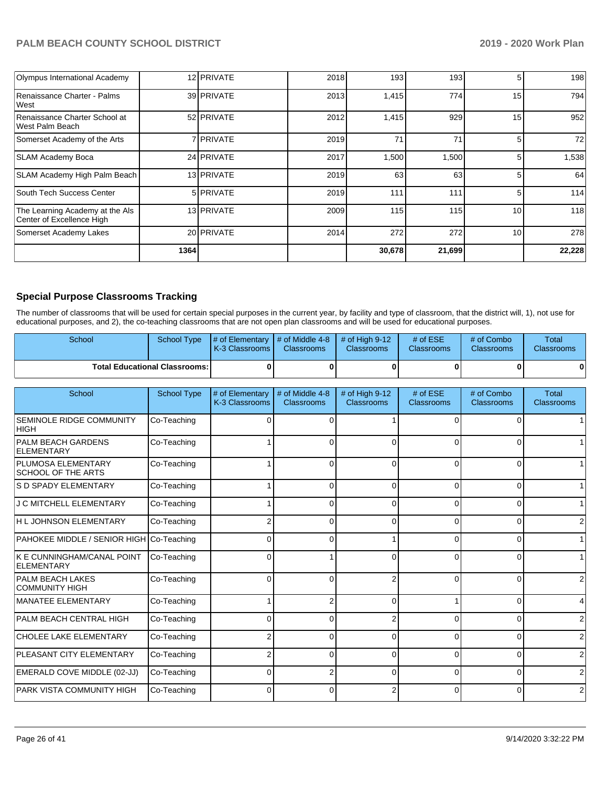| <b>Olympus International Academy</b>                         |      | 12 PRIVATE       | 2018 | 193    | 193              | 5  | 198    |
|--------------------------------------------------------------|------|------------------|------|--------|------------------|----|--------|
| Renaissance Charter - Palms<br>lWest                         |      | 39 PRIVATE       | 2013 | 1,415  | 774              | 15 | 794    |
| Renaissance Charter School at<br>West Palm Beach             |      | 52 PRIVATE       | 2012 | 1,415  | 929              | 15 | 952    |
| Somerset Academy of the Arts                                 |      | 7 <b>PRIVATE</b> | 2019 | 71     | 71               | 5  | 72     |
| SLAM Academy Boca                                            |      | 24 PRIVATE       | 2017 | 1,500  | 1,500            | 5  | 1,538  |
| <b>SLAM Academy High Palm Beach</b>                          |      | 13 PRIVATE       | 2019 | 63     | 63               | 5  | 64     |
| South Tech Success Center                                    |      | 5 <b>PRIVATE</b> | 2019 | 111    | 111              | 5  | 114    |
| The Learning Academy at the Als<br>Center of Excellence High |      | 13 PRIVATE       | 2009 | 115    | 115 <sup>1</sup> | 10 | 118    |
| Somerset Academy Lakes                                       |      | 20 PRIVATE       | 2014 | 272    | 272              | 10 | 278    |
|                                                              | 1364 |                  |      | 30,678 | 21,699           |    | 22,228 |

#### **Special Purpose Classrooms Tracking**

The number of classrooms that will be used for certain special purposes in the current year, by facility and type of classroom, that the district will, 1), not use for educational purposes, and 2), the co-teaching classrooms that are not open plan classrooms and will be used for educational purposes.

| <b>School</b> |                                        | School Type $\frac{1}{4}$ of Elementary $\frac{1}{4}$ of Middle 4-8 $\frac{1}{4}$ of High 9-12<br>K-3 Classrooms I | <b>Classrooms</b> | <b>Classrooms</b> | # of $ESE$<br><b>Classrooms</b> | # of Combo<br><b>Classrooms</b> | Total<br><b>Classrooms</b> |
|---------------|----------------------------------------|--------------------------------------------------------------------------------------------------------------------|-------------------|-------------------|---------------------------------|---------------------------------|----------------------------|
|               | <b>Total Educational Classrooms: I</b> |                                                                                                                    |                   |                   |                                 |                                 | $\mathbf{0}$               |

| School                                                 | School Type | # of Elementary<br>K-3 Classrooms | # of Middle 4-8<br>Classrooms | # of High 9-12<br>Classrooms | # of ESE<br>Classrooms | # of Combo<br>Classrooms | <b>Total</b><br>Classrooms |
|--------------------------------------------------------|-------------|-----------------------------------|-------------------------------|------------------------------|------------------------|--------------------------|----------------------------|
| <b>SEMINOLE RIDGE COMMUNITY</b><br>HIGH                | Co-Teaching |                                   | 0                             |                              | <sup>0</sup>           | 0                        |                            |
| <b>PALM BEACH GARDENS</b><br><b>ELEMENTARY</b>         | Co-Teaching |                                   | 0                             | ∩                            | 0                      | $\Omega$                 |                            |
| <b>PLUMOSA ELEMENTARY</b><br><b>SCHOOL OF THE ARTS</b> | Co-Teaching |                                   | $\Omega$                      | $\Omega$                     | $\Omega$               | $\Omega$                 |                            |
| <b>S D SPADY ELEMENTARY</b>                            | Co-Teaching |                                   | 0                             | $\Omega$                     | 0                      | $\Omega$                 | 11                         |
| <b>J C MITCHELL ELEMENTARY</b>                         | Co-Teaching |                                   | $\Omega$                      | ſ                            | 0                      | $\Omega$                 | 1 <sup>1</sup>             |
| H L JOHNSON ELEMENTARY                                 | Co-Teaching |                                   | $\Omega$                      | ∩                            | $\Omega$               | 0                        | $\overline{2}$             |
| PAHOKEE MIDDLE / SENIOR HIGH Co-Teaching               |             | ∩                                 | 0                             |                              | $\Omega$               | $\Omega$                 | 1                          |
| K E CUNNINGHAM/CANAL POINT<br><b>ELEMENTARY</b>        | Co-Teaching | <sup>0</sup>                      |                               |                              | $\Omega$               | $\Omega$                 |                            |
| <b>PALM BEACH LAKES</b><br><b>COMMUNITY HIGH</b>       | Co-Teaching | $\Omega$                          | $\Omega$                      |                              | $\Omega$               | $\Omega$                 | $\overline{2}$             |
| <b>MANATEE ELEMENTARY</b>                              | Co-Teaching |                                   | 2                             |                              |                        | $\Omega$                 | $\vert$                    |
| PALM BEACH CENTRAL HIGH                                | Co-Teaching | ∩                                 | 0                             |                              | ∩                      | $\Omega$                 | $\overline{2}$             |
| CHOLEE LAKE ELEMENTARY                                 | Co-Teaching |                                   | $\Omega$                      | ſ                            | 0                      | $\Omega$                 | $\overline{2}$             |
| PLEASANT CITY ELEMENTARY                               | Co-Teaching |                                   | $\overline{0}$                | $\Omega$                     | $\Omega$               | $\Omega$                 | $\overline{2}$             |
| EMERALD COVE MIDDLE (02-JJ)                            | Co-Teaching | 0                                 | $\overline{2}$                | $\Omega$                     | $\Omega$               | $\Omega$                 | $\overline{2}$             |
| <b>PARK VISTA COMMUNITY HIGH</b>                       | Co-Teaching |                                   | 0                             |                              | $\Omega$               | $\Omega$                 | $\overline{2}$             |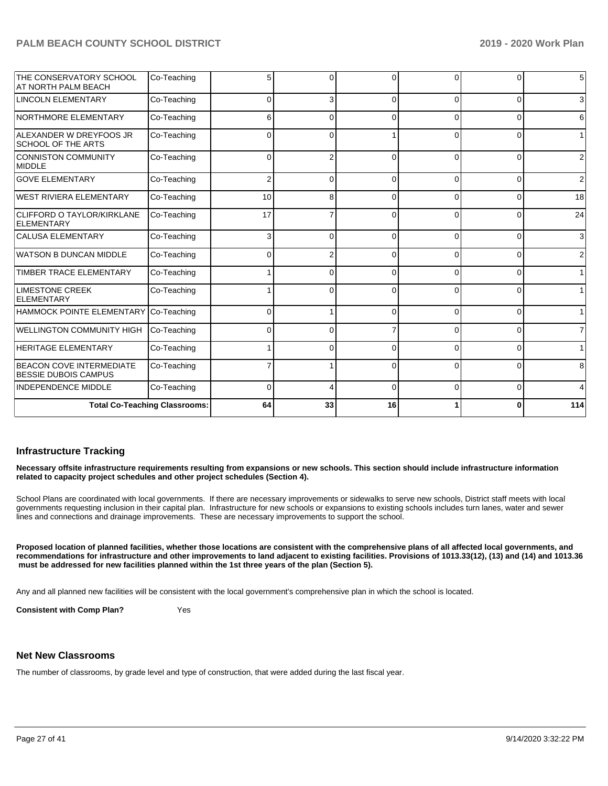|                                                                | <b>Total Co-Teaching Classrooms:</b> | 64           | 33             | 16       |              | 0              | 114              |
|----------------------------------------------------------------|--------------------------------------|--------------|----------------|----------|--------------|----------------|------------------|
| <b>INDEPENDENCE MIDDLE</b>                                     | Co-Teaching                          | $\Omega$     | 4              | $\Omega$ | 0            | $\overline{0}$ | $\overline{4}$   |
| <b>BEACON COVE INTERMEDIATE</b><br><b>BESSIE DUBOIS CAMPUS</b> | Co-Teaching                          |              |                | $\Omega$ | $\Omega$     | $\Omega$       | 8                |
| <b>HERITAGE ELEMENTARY</b>                                     | Co-Teaching                          |              | 0              | $\Omega$ | 0            | 0              | 1                |
| WELLINGTON COMMUNITY HIGH                                      | Co-Teaching                          | 0            | $\Omega$       |          | <sup>0</sup> | 0              | $\overline{7}$   |
| <b>HAMMOCK POINTE ELEMENTARY</b>                               | Co-Teaching                          | 0            |                | $\Omega$ | 0            | $\Omega$       | $\mathbf{1}$     |
| <b>LIMESTONE CREEK</b><br>ELEMENTARY                           | Co-Teaching                          |              | 0              | $\Omega$ | <sup>0</sup> | 0              | 1                |
| <b>TIMBER TRACE ELEMENTARY</b>                                 | Co-Teaching                          |              | 0              | $\Omega$ | 0            | 0              | 1                |
| <b>WATSON B DUNCAN MIDDLE</b>                                  | Co-Teaching                          | 0            | $\overline{2}$ | $\Omega$ | 0            | $\overline{0}$ | $\overline{2}$   |
| <b>CALUSA ELEMENTARY</b>                                       | Co-Teaching                          | 3            | $\Omega$       | $\Omega$ | 0            | $\Omega$       | $\overline{3}$   |
| <b>CLIFFORD O TAYLOR/KIRKLANE</b><br><b>ELEMENTARY</b>         | Co-Teaching                          | 17           |                | $\Omega$ | ∩            | 0              | 24               |
| <b>WEST RIVIERA ELEMENTARY</b>                                 | Co-Teaching                          | 10           | 8              | $\Omega$ | 0            | $\Omega$       | 18               |
| <b>GOVE ELEMENTARY</b>                                         | Co-Teaching                          | 2            | 0              | $\Omega$ | $\Omega$     | $\Omega$       | $\overline{2}$   |
| CONNISTON COMMUNITY<br>MIDDLE                                  | Co-Teaching                          | $\Omega$     | 2              | $\Omega$ | $\Omega$     | $\Omega$       | $\overline{2}$   |
| ALEXANDER W DREYFOOS JR<br><b>SCHOOL OF THE ARTS</b>           | Co-Teaching                          | 0            | 0              |          | 0            | 0              | 1 <sup>1</sup>   |
| NORTHMORE ELEMENTARY                                           | Co-Teaching                          | 6            | 0              | $\Omega$ | 0            | $\Omega$       | $6 \overline{6}$ |
| <b>LINCOLN ELEMENTARY</b>                                      | Co-Teaching                          | <sup>0</sup> | 3              | $\Omega$ | <sup>0</sup> | 0              | 3                |
| THE CONSERVATORY SCHOOL<br>AT NORTH PALM BEACH                 | Co-Teaching                          | 5            | $\Omega$       | $\Omega$ | <sup>0</sup> | $\Omega$       | $5\overline{)}$  |

#### **Infrastructure Tracking**

**Necessary offsite infrastructure requirements resulting from expansions or new schools. This section should include infrastructure information related to capacity project schedules and other project schedules (Section 4).** 

School Plans are coordinated with local governments. If there are necessary improvements or sidewalks to serve new schools, District staff meets with local governments requesting inclusion in their capital plan. Infrastructure for new schools or expansions to existing schools includes turn lanes, water and sewer lines and connections and drainage improvements. These are necessary improvements to support the school.

**Proposed location of planned facilities, whether those locations are consistent with the comprehensive plans of all affected local governments, and recommendations for infrastructure and other improvements to land adjacent to existing facilities. Provisions of 1013.33(12), (13) and (14) and 1013.36 must be addressed for new facilities planned within the 1st three years of the plan (Section 5).** 

Any and all planned new facilities will be consistent with the local government's comprehensive plan in which the school is located.

**Consistent with Comp Plan?** Yes

#### **Net New Classrooms**

The number of classrooms, by grade level and type of construction, that were added during the last fiscal year.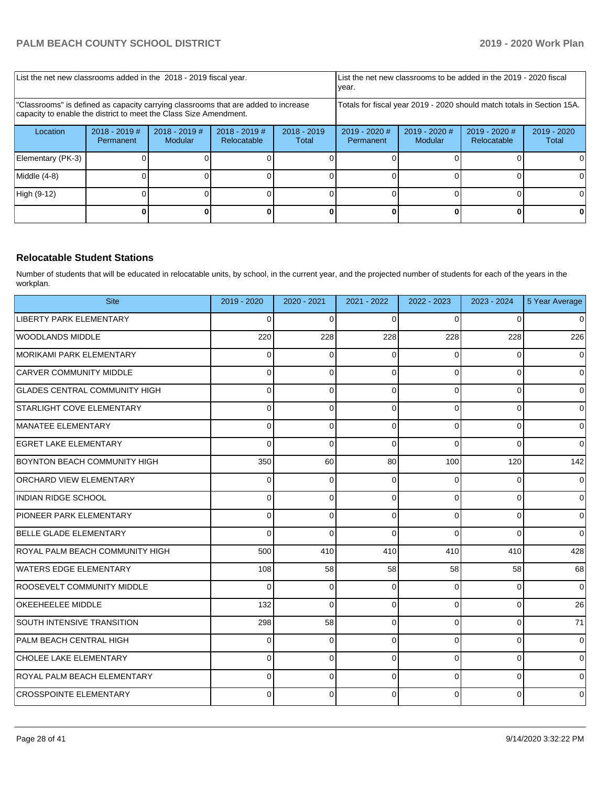| List the net new classrooms added in the 2018 - 2019 fiscal year.                                                                                       |                              |                            |                                |                        | List the net new classrooms to be added in the 2019 - 2020 fiscal<br>year. |                            |                                |                        |
|---------------------------------------------------------------------------------------------------------------------------------------------------------|------------------------------|----------------------------|--------------------------------|------------------------|----------------------------------------------------------------------------|----------------------------|--------------------------------|------------------------|
| 'Classrooms" is defined as capacity carrying classrooms that are added to increase<br>capacity to enable the district to meet the Class Size Amendment. |                              |                            |                                |                        | Totals for fiscal year 2019 - 2020 should match totals in Section 15A.     |                            |                                |                        |
| Location                                                                                                                                                | $2018 - 2019$ #<br>Permanent | $2018 - 2019$ #<br>Modular | $2018 - 2019$ #<br>Relocatable | $2018 - 2019$<br>Total | $2019 - 2020$ #<br>Permanent                                               | $2019 - 2020$ #<br>Modular | $2019 - 2020$ #<br>Relocatable | $2019 - 2020$<br>Total |
| Elementary (PK-3)                                                                                                                                       |                              |                            |                                |                        |                                                                            |                            |                                |                        |
| Middle (4-8)                                                                                                                                            |                              |                            |                                |                        |                                                                            |                            |                                | 0                      |
| High (9-12)                                                                                                                                             |                              |                            |                                |                        |                                                                            |                            |                                | ΩI                     |
|                                                                                                                                                         |                              |                            |                                |                        |                                                                            |                            |                                |                        |

#### **Relocatable Student Stations**

Number of students that will be educated in relocatable units, by school, in the current year, and the projected number of students for each of the years in the workplan.

| <b>Site</b>                          | 2019 - 2020 | 2020 - 2021 | 2021 - 2022 | 2022 - 2023 | 2023 - 2024 | 5 Year Average |
|--------------------------------------|-------------|-------------|-------------|-------------|-------------|----------------|
| LIBERTY PARK ELEMENTARY              | 0           | $\Omega$    | $\Omega$    | 0           | $\Omega$    | $\mathbf 0$    |
| <b>WOODLANDS MIDDLE</b>              | 220         | 228         | 228         | 228         | 228         | 226            |
| MORIKAMI PARK ELEMENTARY             | 0           | $\Omega$    | $\Omega$    | $\Omega$    | $\Omega$    | $\mathbf 0$    |
| <b>CARVER COMMUNITY MIDDLE</b>       | 0           | $\Omega$    | $\Omega$    | 0           | 0           | $\mathbf 0$    |
| <b>GLADES CENTRAL COMMUNITY HIGH</b> | 0           | 0           | $\Omega$    | $\Omega$    | $\Omega$    | $\mathbf 0$    |
| STARLIGHT COVE ELEMENTARY            | 0           | 0           | $\Omega$    | $\Omega$    | 0           | $\mathbf 0$    |
| MANATEE ELEMENTARY                   | 0           | 0           | $\Omega$    | $\Omega$    | 0           | $\mathbf 0$    |
| <b>EGRET LAKE ELEMENTARY</b>         | 0           | 0           | $\Omega$    | 0           | 0           | $\Omega$       |
| <b>BOYNTON BEACH COMMUNITY HIGH</b>  | 350         | 60          | 80          | 100         | 120         | 142            |
| <b>ORCHARD VIEW ELEMENTARY</b>       | 0           | $\Omega$    | $\Omega$    | 0           | 0           | $\mathbf 0$    |
| INDIAN RIDGE SCHOOL                  | 0           | 0           | $\Omega$    | $\Omega$    | $\Omega$    | $\Omega$       |
| <b>PIONEER PARK ELEMENTARY</b>       | 0           | 0           | $\Omega$    | 0           | 0           | 0              |
| <b>BELLE GLADE ELEMENTARY</b>        | 0           | $\Omega$    | $\Omega$    | $\Omega$    | $\Omega$    | $\mathbf 0$    |
| ROYAL PALM BEACH COMMUNITY HIGH      | 500         | 410         | 410         | 410         | 410         | 428            |
| WATERS EDGE ELEMENTARY               | 108         | 58          | 58          | 58          | 58          | 68             |
| <b>ROOSEVELT COMMUNITY MIDDLE</b>    | 0           | $\Omega$    | $\Omega$    | 0           | 0           | $\mathbf 0$    |
| OKEEHEELEE MIDDLE                    | 132         | $\Omega$    | $\Omega$    | $\Omega$    | $\Omega$    | 26             |
| <b>SOUTH INTENSIVE TRANSITION</b>    | 298         | 58          | $\Omega$    | $\Omega$    | 0           | 71             |
| PALM BEACH CENTRAL HIGH              | 0           | 0           | $\Omega$    | 0           | 0           | $\mathbf 0$    |
| <b>CHOLEE LAKE ELEMENTARY</b>        | 0           | 0           | $\Omega$    | $\Omega$    | $\Omega$    | $\mathbf 0$    |
| ROYAL PALM BEACH ELEMENTARY          | 0           | $\Omega$    | $\Omega$    | 0           | 0           | $\mathbf 0$    |
| <b>CROSSPOINTE ELEMENTARY</b>        | 0           | 0           | $\Omega$    | 0           | 0           | $\mathbf 0$    |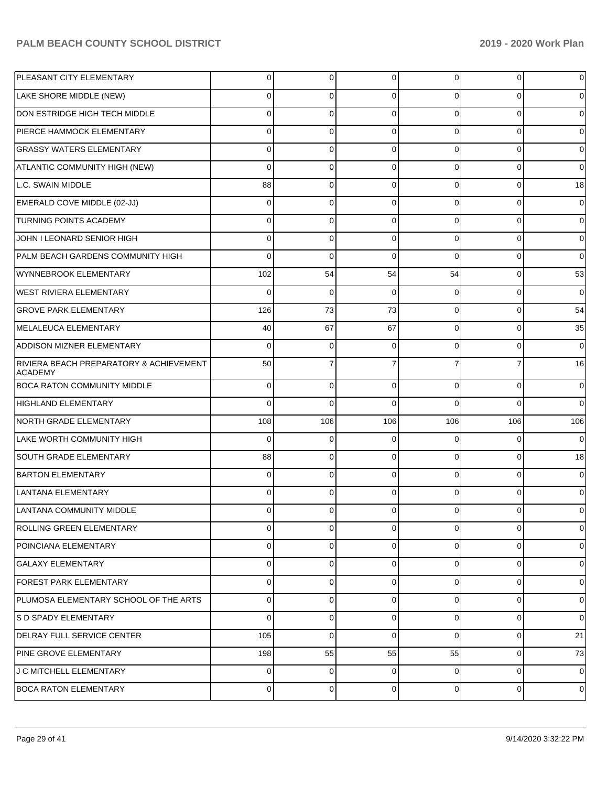| PLEASANT CITY ELEMENTARY                                  | $\Omega$       | 0           | 0              | 0              | $\mathbf 0$ | 0           |
|-----------------------------------------------------------|----------------|-------------|----------------|----------------|-------------|-------------|
| LAKE SHORE MIDDLE (NEW)                                   | $\Omega$       | 0           | 0              | 0              | $\Omega$    |             |
| DON ESTRIDGE HIGH TECH MIDDLE                             | $\Omega$       | 0           | $\Omega$       | $\Omega$       | $\Omega$    | 0           |
| PIERCE HAMMOCK ELEMENTARY                                 | $\Omega$       | 0           | 0              | $\Omega$       | $\mathbf 0$ | 0           |
| <b>GRASSY WATERS ELEMENTARY</b>                           | $\Omega$       | 0           | $\Omega$       | 0              | $\Omega$    | $\Omega$    |
| ATLANTIC COMMUNITY HIGH (NEW)                             | $\Omega$       | 0           | 0              | 0              | $\Omega$    | 0           |
| L.C. SWAIN MIDDLE                                         | 88             | 0           | $\Omega$       | 0              | $\mathbf 0$ | 18          |
| EMERALD COVE MIDDLE (02-JJ)                               | $\Omega$       | 0           | 0              | 0              | $\mathbf 0$ | 0           |
| TURNING POINTS ACADEMY                                    | $\Omega$       | 0           | $\Omega$       | 0              | $\Omega$    | 0           |
| JOHN I LEONARD SENIOR HIGH                                | $\Omega$       | 0           | 0              | $\Omega$       | $\mathbf 0$ | 0           |
| PALM BEACH GARDENS COMMUNITY HIGH                         | $\Omega$       | 0           | $\Omega$       | $\Omega$       | $\Omega$    | 0           |
| WYNNEBROOK ELEMENTARY                                     | 102            | 54          | 54             | 54             | $\mathbf 0$ | 53          |
| WEST RIVIERA ELEMENTARY                                   | $\Omega$       | 0           | $\Omega$       | 0              | $\mathbf 0$ | $\Omega$    |
| <b>GROVE PARK ELEMENTARY</b>                              | 126            | 73          | 73             | $\Omega$       | $\mathbf 0$ | 54          |
| MELALEUCA ELEMENTARY                                      | 40             | 67          | 67             | 0              | $\Omega$    | 35          |
| ADDISON MIZNER ELEMENTARY                                 | $\Omega$       | 0           | 0              | 0              | $\Omega$    | 0           |
| RIVIERA BEACH PREPARATORY & ACHIEVEMENT<br><b>ACADEMY</b> | 50             |             |                |                |             | 16          |
| <b>BOCA RATON COMMUNITY MIDDLE</b>                        | 0              | 0           | $\Omega$       | 0              | $\Omega$    | 0           |
| HIGHLAND ELEMENTARY                                       | $\Omega$       | $\mathbf 0$ | $\Omega$       | O              | $\Omega$    | 0           |
| NORTH GRADE ELEMENTARY                                    | 108            | 106         | 106            | 106            | 106         | 106         |
| LAKE WORTH COMMUNITY HIGH                                 | $\mathbf 0$    | $\mathbf 0$ | $\Omega$       | 0              | $\Omega$    | 0           |
| SOUTH GRADE ELEMENTARY                                    | 88             | 0           | $\Omega$       | 0              | $\Omega$    | 18          |
| <b>BARTON ELEMENTARY</b>                                  | $\mathbf 0$    | $\mathbf 0$ | $\mathbf 0$    | 0              | $\Omega$    | 0           |
| LANTANA ELEMENTARY                                        | $\Omega$       | 0           | $\Omega$       | 0              | $\Omega$    |             |
| LANTANA COMMUNITY MIDDLE                                  | $\overline{0}$ | 0           | 0              | 0              | 0           | 0           |
| <b>ROLLING GREEN ELEMENTARY</b>                           | $\Omega$       | 0           | $\Omega$       | $\Omega$       | 0           | $\mathbf 0$ |
| POINCIANA ELEMENTARY                                      | $\Omega$       | $\mathbf 0$ | $\Omega$       | $\Omega$       | $\mathbf 0$ | $\mathbf 0$ |
| GALAXY ELEMENTARY                                         | $\Omega$       | 0           | $\Omega$       | 0              | 0           | 0           |
| <b>FOREST PARK ELEMENTARY</b>                             | $\Omega$       | 0           | $\Omega$       | $\Omega$       | 0           | 0           |
| PLUMOSA ELEMENTARY SCHOOL OF THE ARTS                     | $\Omega$       | 0           | $\Omega$       | $\Omega$       | $\mathbf 0$ | 0           |
| <b>S D SPADY ELEMENTARY</b>                               | $\Omega$       | 0           | $\Omega$       | $\Omega$       | 0           | 0           |
| <b>DELRAY FULL SERVICE CENTER</b>                         | 105            | 0           | $\Omega$       | 0              | 0           | 21          |
| <b>PINE GROVE ELEMENTARY</b>                              | 198            | 55          | 55             | 55             | 0           | 73          |
| J C MITCHELL ELEMENTARY                                   | $\Omega$       | 0           | $\Omega$       | $\Omega$       | $\mathbf 0$ | 0           |
| <b>BOCA RATON ELEMENTARY</b>                              | $\overline{0}$ | 0           | $\overline{0}$ | $\overline{0}$ | 0           | 0           |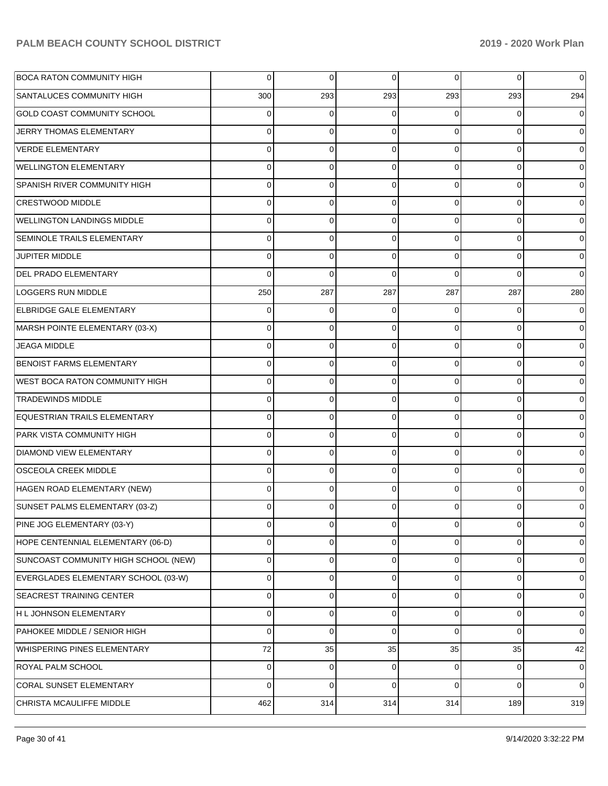| <b>BOCA RATON COMMUNITY HIGH</b>      | $\Omega$ | 0        | $\Omega$    | $\Omega$ | $\overline{0}$ | $\overline{0}$ |
|---------------------------------------|----------|----------|-------------|----------|----------------|----------------|
| SANTALUCES COMMUNITY HIGH             | 300      | 293      | 293         | 293      | 293            | 294            |
| <b>GOLD COAST COMMUNITY SCHOOL</b>    | 0        | 0        | $\Omega$    | 0        | $\Omega$       | $\overline{0}$ |
| JERRY THOMAS ELEMENTARY               | 0        | 0        | $\Omega$    | 0        | $\overline{0}$ | $\overline{0}$ |
| <b>VERDE ELEMENTARY</b>               | 0        | 0        | $\Omega$    | $\Omega$ | $\overline{0}$ | $\overline{0}$ |
| <b>WELLINGTON ELEMENTARY</b>          | 0        | 0        | $\Omega$    | 0        | $\overline{0}$ | $\overline{0}$ |
| <b>SPANISH RIVER COMMUNITY HIGH</b>   | 0        | 0        | $\Omega$    | $\Omega$ | $\overline{0}$ | $\overline{0}$ |
| <b>CRESTWOOD MIDDLE</b>               | 0        | 0        | $\Omega$    | $\Omega$ | $\overline{0}$ | $\overline{0}$ |
| <b>WELLINGTON LANDINGS MIDDLE</b>     | 0        | 0        | $\Omega$    | $\Omega$ | $\overline{0}$ | $\overline{0}$ |
| SEMINOLE TRAILS ELEMENTARY            | 0        | 0        | $\Omega$    | 0        | $\overline{0}$ | $\overline{0}$ |
| <b>JUPITER MIDDLE</b>                 | 0        | 0        | $\Omega$    | $\Omega$ | $\overline{0}$ | $\overline{0}$ |
| <b>DEL PRADO ELEMENTARY</b>           | 0        | $\Omega$ | $\Omega$    | $\Omega$ | $\Omega$       | $\overline{0}$ |
| <b>LOGGERS RUN MIDDLE</b>             | 250      | 287      | 287         | 287      | 287            | 280            |
| <b>ELBRIDGE GALE ELEMENTARY</b>       | 0        | 0        | $\Omega$    | 0        | $\overline{0}$ | $\overline{0}$ |
| MARSH POINTE ELEMENTARY (03-X)        | 0        | $\Omega$ | $\Omega$    | $\Omega$ | $\overline{0}$ | $\mathbf 0$    |
| <b>JEAGA MIDDLE</b>                   | 0        | 0        | $\Omega$    | 0        | $\overline{0}$ | $\overline{0}$ |
| <b>BENOIST FARMS ELEMENTARY</b>       | 0        | 0        | $\Omega$    | 0        | $\overline{0}$ | $\mathbf 0$    |
| <b>WEST BOCA RATON COMMUNITY HIGH</b> | 0        | 0        | $\Omega$    | $\Omega$ | $\overline{0}$ | $\overline{0}$ |
| <b>TRADEWINDS MIDDLE</b>              | 0        | 0        | $\Omega$    | $\Omega$ | $\overline{0}$ | $\mathbf 0$    |
| EQUESTRIAN TRAILS ELEMENTARY          | 0        | 0        | $\Omega$    | $\Omega$ | $\overline{0}$ | $\overline{0}$ |
| PARK VISTA COMMUNITY HIGH             | 0        | $\Omega$ | $\Omega$    | 0        | $\overline{0}$ | $\mathbf 0$    |
| <b>DIAMOND VIEW ELEMENTARY</b>        | 0        | 0        | $\Omega$    | $\Omega$ | $\overline{0}$ | $\overline{0}$ |
| <b>OSCEOLA CREEK MIDDLE</b>           | 0        | 0        | $\Omega$    | $\Omega$ | $\overline{0}$ | $\mathbf 0$    |
| HAGEN ROAD ELEMENTARY (NEW)           | 0        | $\Omega$ | $\Omega$    | 0        | $\overline{0}$ | $\overline{0}$ |
| SUNSET PALMS ELEMENTARY (03-Z)        | 0        | 0        | $\Omega$    |          | 0              | $\overline{0}$ |
| PINE JOG ELEMENTARY (03-Y)            | 0        | 0        | $\mathbf 0$ | 0        | $\overline{0}$ | $\mathbf 0$    |
| HOPE CENTENNIAL ELEMENTARY (06-D)     | 0        | 0        | 0           | 0        | $\mathbf 0$    | $\mathbf 0$    |
| SUNCOAST COMMUNITY HIGH SCHOOL (NEW)  | 0        | 0        | 0           | 0        | $\overline{0}$ | $\mathbf 0$    |
| EVERGLADES ELEMENTARY SCHOOL (03-W)   | 0        | 0        | 0           | 0        | $\overline{0}$ | $\mathbf 0$    |
| SEACREST TRAINING CENTER              | 0        | 0        | 0           | 0        | $\overline{0}$ | $\mathbf 0$    |
| H L JOHNSON ELEMENTARY                | 0        | 0        | 0           | 0        | $\overline{0}$ | $\mathbf 0$    |
| PAHOKEE MIDDLE / SENIOR HIGH          | 0        | 0        | 0           | $\Omega$ | $\overline{0}$ | $\mathbf 0$    |
| WHISPERING PINES ELEMENTARY           | 72       | 35       | 35          | 35       | 35             | 42             |
| ROYAL PALM SCHOOL                     | 0        | 0        | 0           | 0        | $\overline{0}$ | $\mathbf 0$    |
| <b>CORAL SUNSET ELEMENTARY</b>        | 0        | 0        | $\mathbf 0$ | $\Omega$ | $\overline{0}$ | $\mathbf 0$    |
| CHRISTA MCAULIFFE MIDDLE              | 462      | 314      | 314         | 314      | 189            | 319            |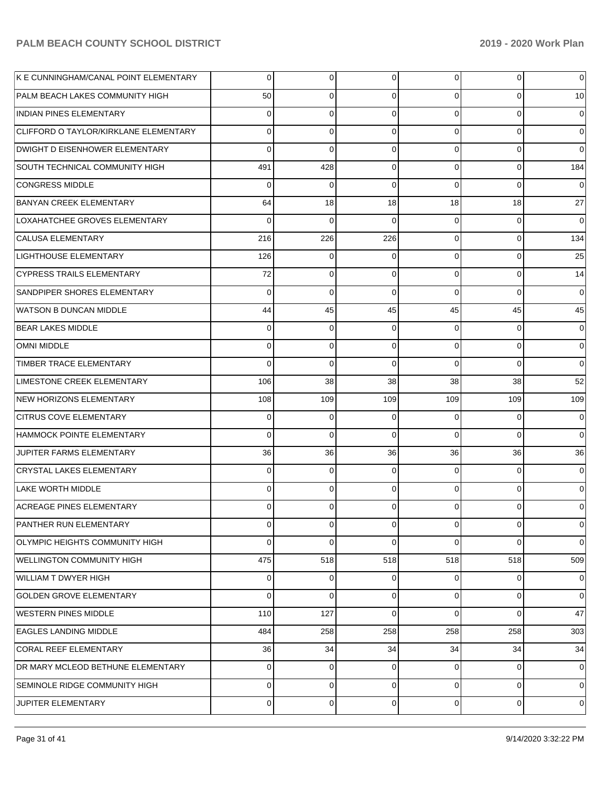| K E CUNNINGHAM/CANAL POINT ELEMENTARY | $\overline{0}$ | 0   | 0   | $\overline{0}$ | 0           | $\overline{0}$  |
|---------------------------------------|----------------|-----|-----|----------------|-------------|-----------------|
| PALM BEACH LAKES COMMUNITY HIGH       | 50             | 0   | 0   | 0              | 0           | 10 <sup>1</sup> |
| <b>INDIAN PINES ELEMENTARY</b>        | 0              | 0   | 0   | $\Omega$       | 0           | $\overline{0}$  |
| CLIFFORD O TAYLOR/KIRKLANE ELEMENTARY | 0              | 0   | 0   | $\Omega$       | 0           | $\overline{0}$  |
| DWIGHT D EISENHOWER ELEMENTARY        | $\Omega$       | 0   | 0   | $\Omega$       | 0           | $\Omega$        |
| SOUTH TECHNICAL COMMUNITY HIGH        | 491            | 428 | 0   | $\Omega$       | 0           | 184             |
| <b>CONGRESS MIDDLE</b>                | $\Omega$       | 0   | 0   | $\Omega$       | $\Omega$    | $\overline{0}$  |
| <b>BANYAN CREEK ELEMENTARY</b>        | 64             | 18  | 18  | 18             | 18          | 27              |
| LOXAHATCHEE GROVES ELEMENTARY         | $\Omega$       | 0   | 0   | $\Omega$       | $\Omega$    | $\overline{0}$  |
| <b>CALUSA ELEMENTARY</b>              | 216            | 226 | 226 | $\Omega$       | 0           | 134             |
| LIGHTHOUSE ELEMENTARY                 | 126            | 0   | 0   | $\Omega$       | 0           | 25              |
| <b>CYPRESS TRAILS ELEMENTARY</b>      | 72             | 0   | 0   | $\Omega$       | 0           | 14              |
| SANDPIPER SHORES ELEMENTARY           | $\Omega$       | 0   | 0   | $\Omega$       | $\Omega$    | $\overline{0}$  |
| <b>WATSON B DUNCAN MIDDLE</b>         | 44             | 45  | 45  | 45             | 45          | 45              |
| <b>BEAR LAKES MIDDLE</b>              | 0              | 0   | 0   | 0              | 0           | $\overline{0}$  |
| <b>OMNI MIDDLE</b>                    | 0              | 0   | 0   | $\Omega$       | 0           | $\overline{0}$  |
| TIMBER TRACE ELEMENTARY               | $\Omega$       | 0   | 0   | $\Omega$       | $\Omega$    | $\Omega$        |
| LIMESTONE CREEK ELEMENTARY            | 106            | 38  | 38  | 38             | 38          | 52              |
| NEW HORIZONS ELEMENTARY               | 108            | 109 | 109 | 109            | 109         | 109             |
| <b>CITRUS COVE ELEMENTARY</b>         | 0              | 0   | 0   | 0              | 0           | 0               |
| HAMMOCK POINTE ELEMENTARY             | $\Omega$       | 0   | 0   | $\Omega$       | $\Omega$    | $\Omega$        |
| JUPITER FARMS ELEMENTARY              | 36             | 36  | 36  | 36             | 36          | 36              |
| <b>CRYSTAL LAKES ELEMENTARY</b>       | $\Omega$       | 0   | 0   | 0              | 0           | $\overline{0}$  |
| LAKE WORTH MIDDLE                     | $\Omega$       | 0   | 0   | 0              | $\Omega$    | $\Omega$        |
| <b>ACREAGE PINES ELEMENTARY</b>       | 0              | 0   | 0   | 0              | 0           | 0               |
| PANTHER RUN ELEMENTARY                | $\overline{0}$ | 0   | 0   | $\overline{0}$ | 0           | $\overline{0}$  |
| OLYMPIC HEIGHTS COMMUNITY HIGH        | 0              | 0   | 0   | $\Omega$       | $\Omega$    | 0               |
| <b>WELLINGTON COMMUNITY HIGH</b>      | 475            | 518 | 518 | 518            | 518         | 509             |
| <b>WILLIAM T DWYER HIGH</b>           | $\overline{0}$ | 0   | 0   | $\Omega$       | 0           | 0               |
| <b>GOLDEN GROVE ELEMENTARY</b>        | 0              | 0   | 0   | $\overline{0}$ | 0           | $\overline{0}$  |
| <b>WESTERN PINES MIDDLE</b>           | 110            | 127 | 0   | $\Omega$       | $\Omega$    | 47              |
| <b>EAGLES LANDING MIDDLE</b>          | 484            | 258 | 258 | 258            | 258         | 303             |
| CORAL REEF ELEMENTARY                 | 36             | 34  | 34  | 34             | 34          | 34              |
| DR MARY MCLEOD BETHUNE ELEMENTARY     | $\overline{0}$ | 0   | 0   | $\Omega$       | 0           | 0               |
| SEMINOLE RIDGE COMMUNITY HIGH         | $\overline{0}$ | 0   | 0   | $\overline{0}$ | 0           | 0               |
| JUPITER ELEMENTARY                    | $\overline{0}$ | 0   | 0   | $\overline{0}$ | $\mathbf 0$ | 0               |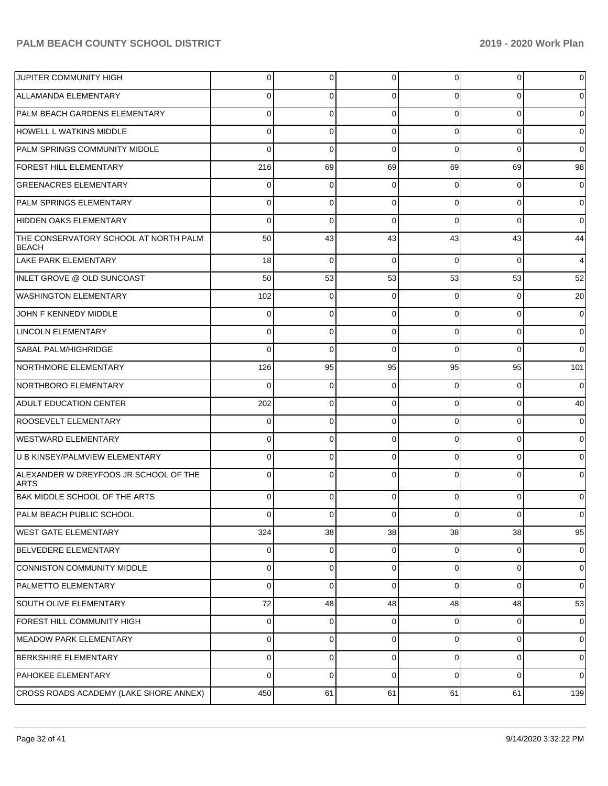| <b>JUPITER COMMUNITY HIGH</b>                         | 0            | $\overline{0}$ | 0        | 0           | $\overline{0}$ | $\mathbf 0$         |
|-------------------------------------------------------|--------------|----------------|----------|-------------|----------------|---------------------|
| ALLAMANDA ELEMENTARY                                  | 0            | 0              | 0        | 0           | 0              | $\overline{0}$      |
| PALM BEACH GARDENS ELEMENTARY                         | 0            | 0              | 0        | $\Omega$    | $\overline{0}$ | $\mathbf 0$         |
| <b>HOWELL L WATKINS MIDDLE</b>                        | 0            | 0              | 0        | $\Omega$    | $\overline{0}$ | $\overline{0}$      |
| PALM SPRINGS COMMUNITY MIDDLE                         | 0            | 0              | 0        | $\Omega$    | 0              | $\overline{0}$      |
| <b>FOREST HILL ELEMENTARY</b>                         | 216          | 69             | 69       | 69          | 69             | 98                  |
| <b>GREENACRES ELEMENTARY</b>                          | 0            | 0              | 0        | 0           | 0              | $\mathbf 0$         |
| PALM SPRINGS ELEMENTARY                               | 0            | 0              | 0        | $\Omega$    | $\overline{0}$ | $\overline{0}$      |
| HIDDEN OAKS ELEMENTARY                                | 0            | 0              | 0        | $\Omega$    | 0              | $\overline{0}$      |
| THE CONSERVATORY SCHOOL AT NORTH PALM<br><b>BEACH</b> | 50           | 43             | 43       | 43          | 43             | 44                  |
| LAKE PARK ELEMENTARY                                  | 18           | $\mathbf 0$    | $\Omega$ | $\Omega$    | $\Omega$       | $\overline{4}$      |
| INLET GROVE @ OLD SUNCOAST                            | 50           | 53             | 53       | 53          | 53             | 52                  |
| <b>WASHINGTON ELEMENTARY</b>                          | 102          | 0              | $\Omega$ | $\Omega$    | $\overline{0}$ | 20                  |
| JOHN F KENNEDY MIDDLE                                 | 0            | $\mathbf 0$    | $\Omega$ | $\Omega$    | $\overline{0}$ | $\mathbf 0$         |
| <b>LINCOLN ELEMENTARY</b>                             | 0            | 0              | $\Omega$ | $\Omega$    | $\overline{0}$ | $\overline{0}$      |
| <b>SABAL PALM/HIGHRIDGE</b>                           | $\Omega$     | $\mathbf 0$    | $\Omega$ | $\Omega$    | $\Omega$       | $\overline{0}$      |
| NORTHMORE ELEMENTARY                                  | 126          | 95             | 95       | 95          | 95             | 101                 |
| NORTHBORO ELEMENTARY                                  | $\Omega$     | 0              | $\Omega$ | $\Omega$    | $\overline{0}$ | $\overline{0}$      |
| <b>ADULT EDUCATION CENTER</b>                         | 202          | 0              | $\Omega$ | $\Omega$    | $\overline{0}$ | 40                  |
| ROOSEVELT ELEMENTARY                                  | 0            | 0              | $\Omega$ | $\Omega$    | $\overline{0}$ | $\overline{0}$      |
| <b>WESTWARD ELEMENTARY</b>                            | $\Omega$     | $\mathbf 0$    | $\Omega$ | $\Omega$    | $\overline{0}$ | $\mathbf 0$         |
| U B KINSEY/PALMVIEW ELEMENTARY                        | 0            | 0              | $\Omega$ | $\Omega$    | $\overline{0}$ | $\mathbf 0$         |
| ALEXANDER W DREYFOOS JR SCHOOL OF THE<br><b>ARTS</b>  | $\Omega$     | $\mathbf 0$    | $\Omega$ | $\Omega$    | $\overline{0}$ | $\mathbf 0$         |
| BAK MIDDLE SCHOOL OF THE ARTS                         | $\Omega$     | $\mathbf 0$    | $\Omega$ | $\Omega$    | $\Omega$       | $\overline{0}$      |
| <b>PALM BEACH PUBLIC SCHOOL</b>                       | <sup>n</sup> | $\Omega$       | $\Omega$ | $\Omega$    | $\Omega$       | $\Omega$            |
| <b>WEST GATE ELEMENTARY</b>                           | 324          | 38             | 38       | 38          | 38             | 95                  |
| <b>BELVEDERE ELEMENTARY</b>                           | $\mathbf 0$  | $\overline{0}$ | $\Omega$ | $\Omega$    | $\overline{0}$ | $\mathbf 0$         |
| CONNISTON COMMUNITY MIDDLE                            | $\mathbf 0$  | $\overline{0}$ | $\Omega$ | $\mathbf 0$ | $\overline{0}$ | $\mathbf 0$         |
| PALMETTO ELEMENTARY                                   | $\mathbf 0$  | $\mathbf 0$    | $\Omega$ | $\Omega$    | $\overline{0}$ | $\overline{0}$      |
| <b>SOUTH OLIVE ELEMENTARY</b>                         | 72           | 48             | 48       | 48          | 48             | 53                  |
| FOREST HILL COMMUNITY HIGH                            | $\mathbf 0$  | $\overline{0}$ | $\Omega$ | $\mathbf 0$ | $\overline{0}$ | $\mathbf 0$         |
| MEADOW PARK ELEMENTARY                                | $\mathbf 0$  | $\overline{0}$ | $\Omega$ | 0           | $\overline{0}$ | $\overline{0}$      |
| <b>BERKSHIRE ELEMENTARY</b>                           | $\Omega$     | $\mathbf 0$    | $\Omega$ | $\Omega$    | $\overline{0}$ | $\mathsf{O}\xspace$ |
| PAHOKEE ELEMENTARY                                    | $\Omega$     | $\overline{0}$ | $\Omega$ | $\Omega$    | $\overline{0}$ | $\overline{0}$      |
| CROSS ROADS ACADEMY (LAKE SHORE ANNEX)                | 450          | 61             | 61       | 61          | 61             | 139                 |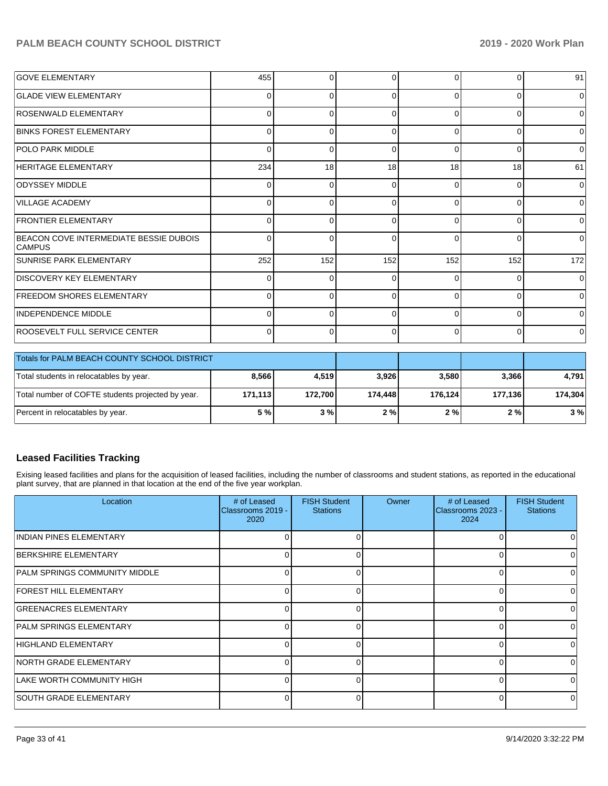| <b>GOVE ELEMENTARY</b>                                  | 455          |     | 0        | $\Omega$ |          | 91             |
|---------------------------------------------------------|--------------|-----|----------|----------|----------|----------------|
| <b>GLADE VIEW ELEMENTARY</b>                            | ŋ            |     | $\Omega$ | $\Omega$ | $\Omega$ | $\Omega$       |
| ROSENWALD ELEMENTARY                                    | 0            |     | 0        | $\Omega$ | 0        | $\overline{0}$ |
| <b>BINKS FOREST ELEMENTARY</b>                          | $\Omega$     |     | $\Omega$ | $\Omega$ | 0        | $\Omega$       |
| <b>POLO PARK MIDDLE</b>                                 | $\Omega$     |     | 0        | $\Omega$ | 0        | $\overline{0}$ |
| HERITAGE ELEMENTARY                                     | 234          | 18  | 18       | 18       | 18       | 61             |
| <b>ODYSSEY MIDDLE</b>                                   | $\Omega$     |     | $\Omega$ | $\Omega$ |          | $\Omega$       |
| VILLAGE ACADEMY                                         | $\Omega$     | n   | $\Omega$ | $\Omega$ | 0        | $\Omega$       |
| <b>FRONTIER ELEMENTARY</b>                              |              |     | $\Omega$ | $\Omega$ |          | $\Omega$       |
| BEACON COVE INTERMEDIATE BESSIE DUBOIS<br><b>CAMPUS</b> | 0            |     | $\Omega$ | $\Omega$ | ŋ        | $\Omega$       |
| <b>SUNRISE PARK ELEMENTARY</b>                          | 252          | 152 | 152      | 152      | 152      | 172            |
| <b>DISCOVERY KEY ELEMENTARY</b>                         | C            |     | $\Omega$ | $\Omega$ | $\Omega$ | $\Omega$       |
| <b>FREEDOM SHORES ELEMENTARY</b>                        | $\Omega$     | 0   | $\Omega$ | $\Omega$ | $\Omega$ | 0              |
| INDEPENDENCE MIDDLE                                     | <sup>0</sup> |     | $\Omega$ | $\Omega$ | $\Omega$ | $\Omega$       |
| ROOSEVELT FULL SERVICE CENTER                           | 0            |     | 0        | $\Omega$ | 0        | $\Omega$       |

| Totals for PALM BEACH COUNTY SCHOOL DISTRICT      |         |         |         |         |         |         |
|---------------------------------------------------|---------|---------|---------|---------|---------|---------|
| Total students in relocatables by year.           | 8.566   | 4.519   | 3,926   | 3.580   | 3,366   | 4,791   |
| Total number of COFTE students projected by year. | 171,113 | 172.700 | 174.448 | 176.124 | 177,136 | 174.304 |
| Percent in relocatables by year.                  | 5%      | 3%      | 2%      | 2 % I   | 2 % l   | 3%      |

#### **Leased Facilities Tracking**

Exising leased facilities and plans for the acquisition of leased facilities, including the number of classrooms and student stations, as reported in the educational plant survey, that are planned in that location at the end of the five year workplan.

| Location                       | # of Leased<br>Classrooms 2019 -<br>2020 | <b>FISH Student</b><br><b>Stations</b> | Owner | # of Leased<br>Classrooms 2023 -<br>2024 | <b>FISH Student</b><br><b>Stations</b> |
|--------------------------------|------------------------------------------|----------------------------------------|-------|------------------------------------------|----------------------------------------|
| <b>INDIAN PINES ELEMENTARY</b> |                                          | 0                                      |       | 0                                        | <sup>0</sup>                           |
| BERKSHIRE ELEMENTARY           |                                          | 0                                      |       | 0                                        |                                        |
| PALM SPRINGS COMMUNITY MIDDLE  |                                          | $\Omega$                               |       | $\Omega$                                 |                                        |
| FOREST HILL ELEMENTARY         |                                          | 0                                      |       | $\Omega$                                 |                                        |
| <b>GREENACRES ELEMENTARY</b>   | 0                                        | 0                                      |       | $\Omega$                                 |                                        |
| PALM SPRINGS ELEMENTARY        | 0                                        | 0                                      |       | $\Omega$                                 | 0                                      |
| HIGHLAND ELEMENTARY            |                                          | 0                                      |       | 0                                        | <sup>0</sup>                           |
| NORTH GRADE ELEMENTARY         | 0                                        | 0                                      |       | 0                                        | <sup>0</sup>                           |
| LAKE WORTH COMMUNITY HIGH      |                                          | 0                                      |       | $\Omega$                                 | ∩                                      |
| <b>SOUTH GRADE ELEMENTARY</b>  | <sup>n</sup>                             | U                                      |       | $\Omega$                                 | ∩                                      |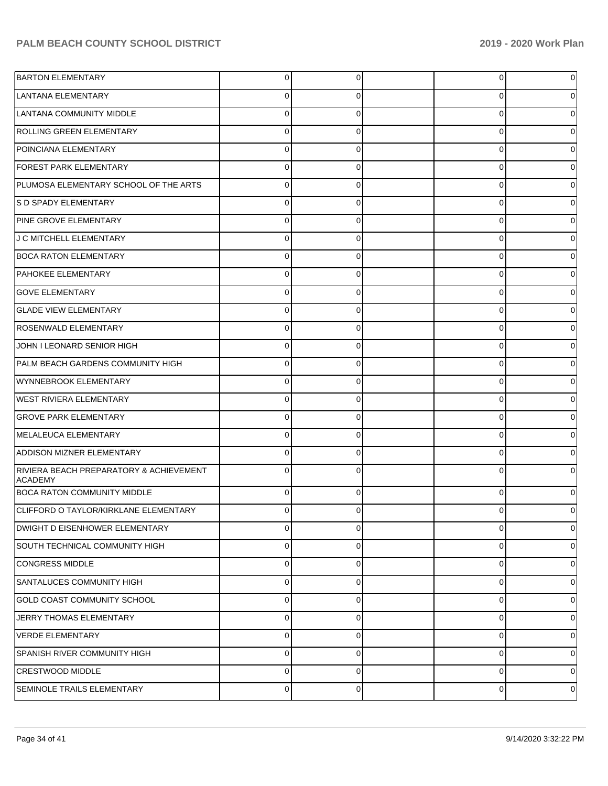| <b>BARTON ELEMENTARY</b>                                  | $\overline{0}$ | 0        | $\overline{0}$ | 0           |
|-----------------------------------------------------------|----------------|----------|----------------|-------------|
| LANTANA ELEMENTARY                                        | $\Omega$       | 0        | 0              | 0           |
| LANTANA COMMUNITY MIDDLE                                  | $\Omega$       | $\Omega$ | 0              | 0           |
| ROLLING GREEN ELEMENTARY                                  | $\Omega$       | 0        | 0              | 0           |
| POINCIANA ELEMENTARY                                      | $\Omega$       | $\Omega$ | 0              | 0           |
| <b>FOREST PARK ELEMENTARY</b>                             | $\Omega$       | 0        | 0              | 0           |
| PLUMOSA ELEMENTARY SCHOOL OF THE ARTS                     | $\Omega$       | $\Omega$ | 0              | 0           |
| S D SPADY ELEMENTARY                                      | $\Omega$       | 0        | 0              | 0           |
| PINE GROVE ELEMENTARY                                     | $\Omega$       | $\Omega$ | 0              | 0           |
| J C MITCHELL ELEMENTARY                                   | $\Omega$       | 0        | 0              | 0           |
| <b>BOCA RATON ELEMENTARY</b>                              | $\Omega$       | $\Omega$ | 0              | 0           |
| PAHOKEE ELEMENTARY                                        | $\Omega$       | 0        | 0              | 0           |
| <b>GOVE ELEMENTARY</b>                                    | $\Omega$       | $\Omega$ | 0              | 0           |
| <b>GLADE VIEW ELEMENTARY</b>                              | $\Omega$       | 0        | 0              | 0           |
| <b>ROSENWALD ELEMENTARY</b>                               | $\Omega$       | $\Omega$ | 0              | 0           |
| JOHN I LEONARD SENIOR HIGH                                | $\Omega$       | $\Omega$ | 0              | 0           |
| PALM BEACH GARDENS COMMUNITY HIGH                         | $\Omega$       | $\Omega$ | 0              | 0           |
| WYNNEBROOK ELEMENTARY                                     | $\Omega$       | $\Omega$ | 0              | 0           |
| WEST RIVIERA ELEMENTARY                                   | $\Omega$       | $\Omega$ | 0              | 0           |
| <b>GROVE PARK ELEMENTARY</b>                              | $\Omega$       | $\Omega$ | 0              | 0           |
| MELALEUCA ELEMENTARY                                      | $\Omega$       | $\Omega$ | 0              | 0           |
| <b>ADDISON MIZNER ELEMENTARY</b>                          | $\Omega$       | $\Omega$ | 0              | 0           |
| RIVIERA BEACH PREPARATORY & ACHIEVEMENT<br><b>ACADEMY</b> | $\Omega$       |          | $\Omega$       |             |
| <b>BOCA RATON COMMUNITY MIDDLE</b>                        | $\Omega$       | $\Omega$ | 0              |             |
| CLIFFORD O TAYLOR/KIRKLANE ELEMENTARY                     | 0              | $\Omega$ | 0              | 0           |
| <b>DWIGHT D EISENHOWER ELEMENTARY</b>                     | $\Omega$       | $\Omega$ | 0              | $\mathbf 0$ |
| SOUTH TECHNICAL COMMUNITY HIGH                            | $\Omega$       | $\Omega$ | $\Omega$       | 0           |
| CONGRESS MIDDLE                                           | $\Omega$       | $\Omega$ | $\mathbf 0$    | 0           |
| SANTALUCES COMMUNITY HIGH                                 | $\Omega$       | $\Omega$ | $\Omega$       | 0           |
| <b>GOLD COAST COMMUNITY SCHOOL</b>                        | $\Omega$       | $\Omega$ | $\mathbf 0$    | 0           |
| JERRY THOMAS ELEMENTARY                                   | $\Omega$       | $\Omega$ | $\Omega$       | 0           |
| <b>VERDE ELEMENTARY</b>                                   | $\Omega$       | $\Omega$ | 0              | 0           |
| SPANISH RIVER COMMUNITY HIGH                              | $\Omega$       | $\Omega$ | $\Omega$       | 0           |
| <b>CRESTWOOD MIDDLE</b>                                   | $\Omega$       | $\Omega$ | $\mathbf 0$    | 0           |
| SEMINOLE TRAILS ELEMENTARY                                | $\overline{0}$ | 0        | $\mathbf 0$    | 0           |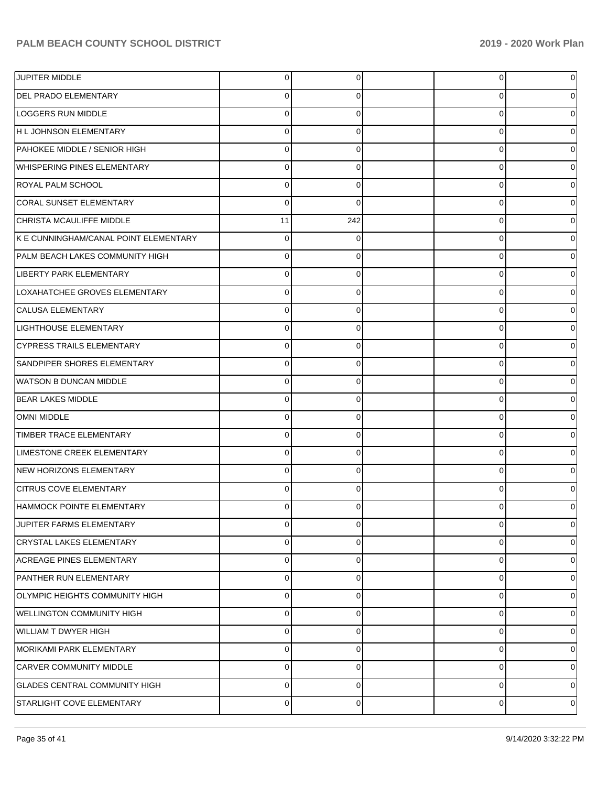| JUPITER MIDDLE                        | $\Omega$    | 0   | 0 | 0 |
|---------------------------------------|-------------|-----|---|---|
| <b>DEL PRADO ELEMENTARY</b>           |             | 0   | 0 |   |
| <b>LOGGERS RUN MIDDLE</b>             | $\Omega$    | 0   | 0 |   |
| H L JOHNSON ELEMENTARY                |             | 0   | 0 |   |
| PAHOKEE MIDDLE / SENIOR HIGH          | n           | 0   | 0 |   |
| WHISPERING PINES ELEMENTARY           | 0           | 0   | 0 |   |
| <b>ROYAL PALM SCHOOL</b>              | $\Omega$    | 0   | 0 |   |
| <b>CORAL SUNSET ELEMENTARY</b>        | 0           | 0   | 0 |   |
| CHRISTA MCAULIFFE MIDDLE              | 11          | 242 | 0 |   |
| K E CUNNINGHAM/CANAL POINT ELEMENTARY | $\Omega$    | 0   | 0 |   |
| PALM BEACH LAKES COMMUNITY HIGH       | O           | 0   | 0 |   |
| LIBERTY PARK ELEMENTARY               | ∩           | 0   | 0 |   |
| LOXAHATCHEE GROVES ELEMENTARY         |             | 0   | 0 |   |
| <b>CALUSA ELEMENTARY</b>              |             | 0   | 0 |   |
| LIGHTHOUSE ELEMENTARY                 |             | 0   | 0 |   |
| <b>CYPRESS TRAILS ELEMENTARY</b>      | 0           | 0   | 0 |   |
| SANDPIPER SHORES ELEMENTARY           |             | 0   | 0 |   |
| <b>WATSON B DUNCAN MIDDLE</b>         | C           | 0   | 0 |   |
| <b>BEAR LAKES MIDDLE</b>              |             | 0   | 0 |   |
| <b>OMNI MIDDLE</b>                    | ∩           | 0   | 0 |   |
| TIMBER TRACE ELEMENTARY               |             | 0   | 0 |   |
| LIMESTONE CREEK ELEMENTARY            | 0           | 0   | 0 |   |
| NEW HORIZONS ELEMENTARY               |             | 0   | 0 |   |
| <b>CITRUS COVE ELEMENTARY</b>         | ∩           | 0   | 0 |   |
| HAMMOCK POINTE ELEMENTARY             |             | 0   | 0 |   |
| JUPITER FARMS ELEMENTARY              | $\Omega$    | 0   | 0 |   |
| <b>CRYSTAL LAKES ELEMENTARY</b>       | $\Omega$    | 0   | 0 | 0 |
| <b>ACREAGE PINES ELEMENTARY</b>       | $\Omega$    | 0   | 0 | 0 |
| PANTHER RUN ELEMENTARY                | $\Omega$    | 0   | 0 | 0 |
| OLYMPIC HEIGHTS COMMUNITY HIGH        | $\Omega$    | 0   | 0 | 0 |
| <b>WELLINGTON COMMUNITY HIGH</b>      | $\Omega$    | 0   | 0 | 0 |
| <b>WILLIAM T DWYER HIGH</b>           | $\Omega$    | 0   | 0 | 0 |
| MORIKAMI PARK ELEMENTARY              | $\Omega$    | 0   | 0 | 0 |
| <b>CARVER COMMUNITY MIDDLE</b>        | $\Omega$    | 0   | 0 | 0 |
| <b>GLADES CENTRAL COMMUNITY HIGH</b>  | $\Omega$    | 0   | 0 | 0 |
| STARLIGHT COVE ELEMENTARY             | $\mathbf 0$ | 0   | 0 | 0 |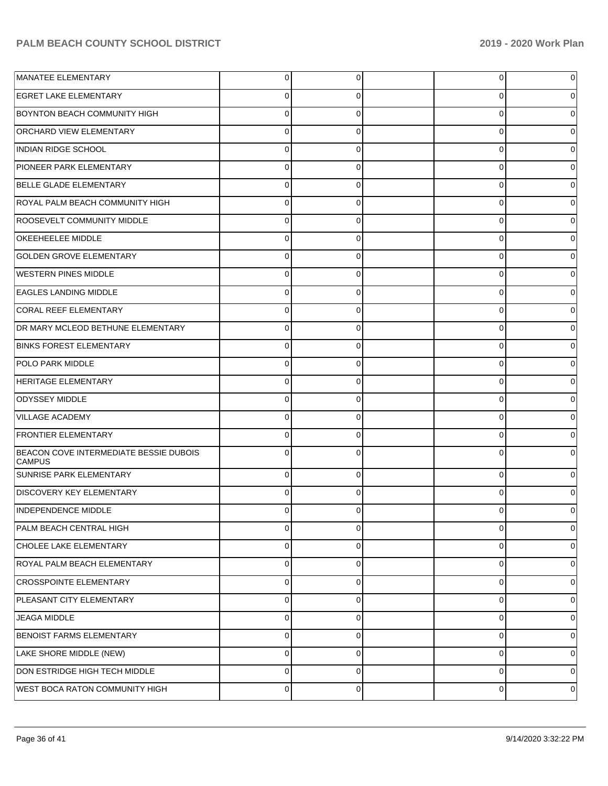| <b>MANATEE ELEMENTARY</b>                               | $\overline{0}$ | $\Omega$ | $\overline{0}$ | 0 |
|---------------------------------------------------------|----------------|----------|----------------|---|
| <b>EGRET LAKE ELEMENTARY</b>                            | $\Omega$       | 0        | 0              |   |
| <b>BOYNTON BEACH COMMUNITY HIGH</b>                     | $\Omega$       | $\Omega$ | 0              | 0 |
| <b>ORCHARD VIEW ELEMENTARY</b>                          | $\Omega$       | 0        | 0              | 0 |
| INDIAN RIDGE SCHOOL                                     | $\Omega$       | $\Omega$ | $\Omega$       |   |
| PIONEER PARK ELEMENTARY                                 | $\Omega$       | $\Omega$ | 0              | 0 |
| <b>BELLE GLADE ELEMENTARY</b>                           | $\Omega$       | $\Omega$ | 0              |   |
| ROYAL PALM BEACH COMMUNITY HIGH                         | $\Omega$       | 0        | 0              | 0 |
| <b>ROOSEVELT COMMUNITY MIDDLE</b>                       | $\Omega$       | $\Omega$ | $\Omega$       |   |
| <b>OKEEHEELEE MIDDLE</b>                                | $\Omega$       | $\Omega$ | 0              | 0 |
| <b>GOLDEN GROVE ELEMENTARY</b>                          | $\Omega$       | $\Omega$ | 0              |   |
| <b>WESTERN PINES MIDDLE</b>                             | $\Omega$       | $\Omega$ | 0              | 0 |
| <b>EAGLES LANDING MIDDLE</b>                            | $\Omega$       | $\Omega$ | 0              |   |
| CORAL REEF ELEMENTARY                                   | $\Omega$       | 0        | 0              | 0 |
| DR MARY MCLEOD BETHUNE ELEMENTARY                       | $\Omega$       | $\Omega$ | 0              |   |
| <b>BINKS FOREST ELEMENTARY</b>                          | $\Omega$       | $\Omega$ | 0              | 0 |
| <b>POLO PARK MIDDLE</b>                                 | $\Omega$       | $\Omega$ | 0              |   |
| <b>HERITAGE ELEMENTARY</b>                              | $\Omega$       | 0        | 0              | 0 |
| <b>ODYSSEY MIDDLE</b>                                   | $\Omega$       | $\Omega$ | 0              | O |
| VILLAGE ACADEMY                                         | $\Omega$       | $\Omega$ | 0              | 0 |
| <b>FRONTIER ELEMENTARY</b>                              | $\Omega$       | 0        | 0              |   |
| BEACON COVE INTERMEDIATE BESSIE DUBOIS<br><b>CAMPUS</b> | $\Omega$       | ∩        | 0              |   |
| <b>SUNRISE PARK ELEMENTARY</b>                          | $\Omega$       | $\Omega$ | 0              | 0 |
| <b>DISCOVERY KEY ELEMENTARY</b>                         | $\Omega$       |          | $\Omega$       |   |
| <b>INDEPENDENCE MIDDLE</b>                              | 0              | $\Omega$ | 0              | 0 |
| PALM BEACH CENTRAL HIGH                                 | 0              | $\Omega$ | 0              | 0 |
| CHOLEE LAKE ELEMENTARY                                  | $\mathbf 0$    | $\Omega$ | 0              | 0 |
| ROYAL PALM BEACH ELEMENTARY                             | 0              | $\Omega$ | 0              | 0 |
| <b>CROSSPOINTE ELEMENTARY</b>                           | $\mathbf 0$    | $\Omega$ | 0              | 0 |
| PLEASANT CITY ELEMENTARY                                | $\mathbf 0$    | $\Omega$ | 0              | 0 |
| <b>JEAGA MIDDLE</b>                                     | $\mathbf 0$    | $\Omega$ | 0              | 0 |
| <b>BENOIST FARMS ELEMENTARY</b>                         | 0              | $\Omega$ | 0              | 0 |
| LAKE SHORE MIDDLE (NEW)                                 | $\mathbf 0$    | $\Omega$ | 0              | 0 |
| DON ESTRIDGE HIGH TECH MIDDLE                           | 0              | $\Omega$ | 0              | 0 |
| WEST BOCA RATON COMMUNITY HIGH                          | 0              | $\Omega$ | 0              | 0 |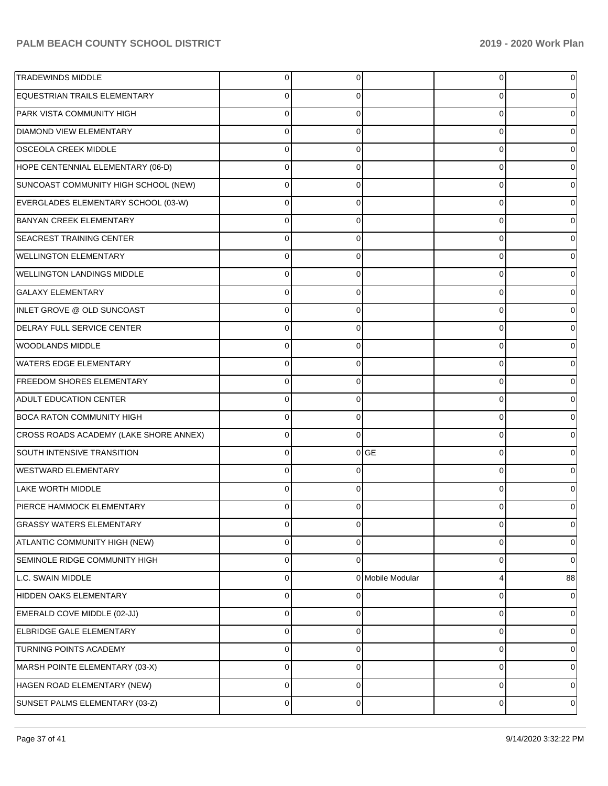| <b>TRADEWINDS MIDDLE</b>               | $\Omega$    | 0              |                  | 0 |    |
|----------------------------------------|-------------|----------------|------------------|---|----|
| EQUESTRIAN TRAILS ELEMENTARY           |             | 0              |                  | 0 |    |
| PARK VISTA COMMUNITY HIGH              | C           | 0              |                  | 0 |    |
| <b>DIAMOND VIEW ELEMENTARY</b>         |             | 0              |                  | 0 |    |
| <b>OSCEOLA CREEK MIDDLE</b>            |             | 0              |                  | 0 |    |
| HOPE CENTENNIAL ELEMENTARY (06-D)      | C           | 0              |                  | 0 |    |
| SUNCOAST COMMUNITY HIGH SCHOOL (NEW)   | C           | 0              |                  | 0 |    |
| EVERGLADES ELEMENTARY SCHOOL (03-W)    | C           | 0              |                  | 0 |    |
| <b>BANYAN CREEK ELEMENTARY</b>         |             | 0              |                  | 0 |    |
| <b>SEACREST TRAINING CENTER</b>        | C           | 0              |                  | 0 |    |
| <b>WELLINGTON ELEMENTARY</b>           |             | 0              |                  | 0 |    |
| <b>WELLINGTON LANDINGS MIDDLE</b>      | C           | 0              |                  | 0 |    |
| <b>GALAXY ELEMENTARY</b>               |             | 0              |                  | 0 |    |
| INLET GROVE @ OLD SUNCOAST             | C           | 0              |                  | 0 |    |
| DELRAY FULL SERVICE CENTER             |             | 0              |                  | 0 |    |
| WOODLANDS MIDDLE                       | 0           | 0              |                  | 0 |    |
| WATERS EDGE ELEMENTARY                 |             | 0              |                  | 0 |    |
| <b>FREEDOM SHORES ELEMENTARY</b>       | C           | 0              |                  | 0 |    |
| ADULT EDUCATION CENTER                 |             | 0              |                  | 0 |    |
| <b>BOCA RATON COMMUNITY HIGH</b>       | 0           | 0              |                  | 0 |    |
| CROSS ROADS ACADEMY (LAKE SHORE ANNEX) |             | 0              |                  | 0 |    |
| SOUTH INTENSIVE TRANSITION             | 0           | $\overline{0}$ | <b>GE</b>        | 0 |    |
| <b>WESTWARD ELEMENTARY</b>             |             | 0              |                  | 0 |    |
| <b>LAKE WORTH MIDDLE</b>               | ∩           | 0              |                  | 0 |    |
| PIERCE HAMMOCK ELEMENTARY              |             | 0              |                  | 0 |    |
| <b>GRASSY WATERS ELEMENTARY</b>        | $\Omega$    | 0              |                  | 0 | 0  |
| ATLANTIC COMMUNITY HIGH (NEW)          | $\Omega$    | 0              |                  | 0 | 0  |
| SEMINOLE RIDGE COMMUNITY HIGH          | $\Omega$    | 0              |                  | 0 | 0  |
| L.C. SWAIN MIDDLE                      | $\mathbf 0$ |                | 0 Mobile Modular | 4 | 88 |
| HIDDEN OAKS ELEMENTARY                 | $\Omega$    | 0              |                  | 0 | 0  |
| EMERALD COVE MIDDLE (02-JJ)            | 0           | 0              |                  | 0 | 0  |
| ELBRIDGE GALE ELEMENTARY               | $\Omega$    | 0              |                  | 0 | 0  |
| TURNING POINTS ACADEMY                 | $\Omega$    | 0              |                  | 0 | 0  |
| MARSH POINTE ELEMENTARY (03-X)         | $\Omega$    | 0              |                  | 0 | 0  |
| HAGEN ROAD ELEMENTARY (NEW)            | $\Omega$    | 0              |                  | 0 | 0  |
| SUNSET PALMS ELEMENTARY (03-Z)         | 0           | 0              |                  | 0 | 0  |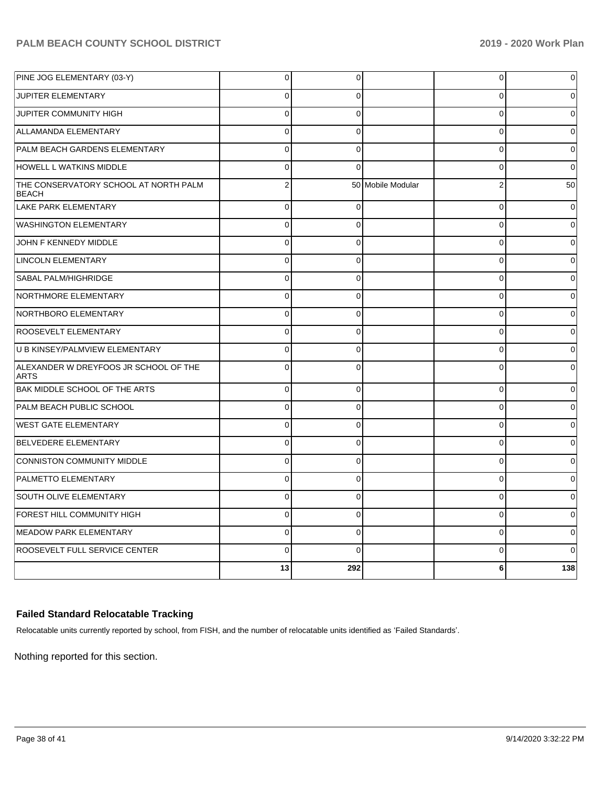| PINE JOG ELEMENTARY (03-Y)                            | $\overline{0}$ | 0        |                   | 0              | 0        |
|-------------------------------------------------------|----------------|----------|-------------------|----------------|----------|
| JUPITER ELEMENTARY                                    | $\Omega$       | $\Omega$ |                   | $\Omega$       | 0        |
| <b>JUPITER COMMUNITY HIGH</b>                         | $\Omega$       | $\Omega$ |                   | $\Omega$       | $\Omega$ |
| ALLAMANDA ELEMENTARY                                  | $\Omega$       | $\Omega$ |                   | $\Omega$       | $\Omega$ |
| PALM BEACH GARDENS ELEMENTARY                         | $\Omega$       | $\Omega$ |                   | $\Omega$       | $\Omega$ |
| <b>HOWELL L WATKINS MIDDLE</b>                        | $\Omega$       | $\Omega$ |                   | $\Omega$       | $\Omega$ |
| THE CONSERVATORY SCHOOL AT NORTH PALM<br><b>BEACH</b> | $\overline{2}$ |          | 50 Mobile Modular | $\overline{2}$ | 50       |
| LAKE PARK ELEMENTARY                                  | $\Omega$       | $\Omega$ |                   | $\mathbf 0$    | $\Omega$ |
| <b>WASHINGTON ELEMENTARY</b>                          | $\mathbf 0$    | $\Omega$ |                   | $\overline{0}$ | $\Omega$ |
| JOHN F KENNEDY MIDDLE                                 | $\Omega$       | $\Omega$ |                   | $\mathbf 0$    | 0        |
| <b>LINCOLN ELEMENTARY</b>                             | $\Omega$       | $\Omega$ |                   | 0              | 0        |
| <b>SABAL PALM/HIGHRIDGE</b>                           | $\mathbf 0$    | $\Omega$ |                   | 0              | 0        |
| NORTHMORE ELEMENTARY                                  | $\mathbf 0$    | $\Omega$ |                   | $\Omega$       | $\Omega$ |
| NORTHBORO ELEMENTARY                                  | $\Omega$       | $\Omega$ |                   | $\Omega$       | $\Omega$ |
| <b>ROOSEVELT ELEMENTARY</b>                           | $\Omega$       | $\Omega$ |                   | 0              | $\Omega$ |
| U B KINSEY/PALMVIEW ELEMENTARY                        | $\Omega$       | $\Omega$ |                   | $\Omega$       | 0        |
| ALEXANDER W DREYFOOS JR SCHOOL OF THE<br><b>ARTS</b>  | $\Omega$       | $\Omega$ |                   | $\Omega$       | 0        |
| <b>BAK MIDDLE SCHOOL OF THE ARTS</b>                  | $\Omega$       | $\Omega$ |                   | $\Omega$       | 0        |
| <b>PALM BEACH PUBLIC SCHOOL</b>                       | $\Omega$       | $\Omega$ |                   | $\Omega$       | 0        |
| <b>WEST GATE ELEMENTARY</b>                           | $\Omega$       | $\Omega$ |                   | $\Omega$       | 0        |
| BELVEDERE ELEMENTARY                                  | $\Omega$       | $\Omega$ |                   | $\Omega$       | $\Omega$ |
| CONNISTON COMMUNITY MIDDLE                            | $\Omega$       | $\Omega$ |                   | 0              | $\Omega$ |
| <b>PALMETTO ELEMENTARY</b>                            | $\Omega$       | $\Omega$ |                   | $\Omega$       | 0        |
| SOUTH OLIVE ELEMENTARY                                | $\mathbf 0$    | $\Omega$ |                   | $\mathbf 0$    | 0        |
| FOREST HILL COMMUNITY HIGH                            | $\Omega$       | $\Omega$ |                   | $\Omega$       | 0        |
| MEADOW PARK ELEMENTARY                                | $\mathbf 0$    | $\Omega$ |                   | 0              | 0        |
| ROOSEVELT FULL SERVICE CENTER                         | $\Omega$       | $\Omega$ |                   | $\Omega$       | 0        |
|                                                       | 13             | 292      |                   | 6              | 138      |

### **Failed Standard Relocatable Tracking**

Relocatable units currently reported by school, from FISH, and the number of relocatable units identified as 'Failed Standards'.

Nothing reported for this section.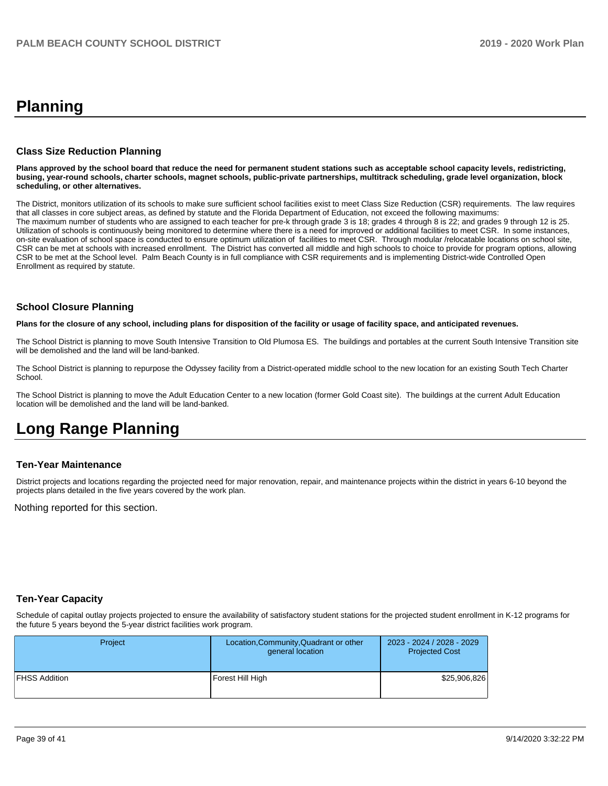# **Planning**

#### **Class Size Reduction Planning**

**Plans approved by the school board that reduce the need for permanent student stations such as acceptable school capacity levels, redistricting, busing, year-round schools, charter schools, magnet schools, public-private partnerships, multitrack scheduling, grade level organization, block scheduling, or other alternatives.**

The District, monitors utilization of its schools to make sure sufficient school facilities exist to meet Class Size Reduction (CSR) requirements. The law requires that all classes in core subject areas, as defined by statute and the Florida Department of Education, not exceed the following maximums: The maximum number of students who are assigned to each teacher for pre-k through grade 3 is 18; grades 4 through 8 is 22; and grades 9 through 12 is 25. Utilization of schools is continuously being monitored to determine where there is a need for improved or additional facilities to meet CSR. In some instances, on-site evaluation of school space is conducted to ensure optimum utilization of facilities to meet CSR. Through modular /relocatable locations on school site, CSR can be met at schools with increased enrollment. The District has converted all middle and high schools to choice to provide for program options, allowing CSR to be met at the School level. Palm Beach County is in full compliance with CSR requirements and is implementing District-wide Controlled Open Enrollment as required by statute.

#### **School Closure Planning**

**Plans for the closure of any school, including plans for disposition of the facility or usage of facility space, and anticipated revenues.** 

The School District is planning to move South Intensive Transition to Old Plumosa ES. The buildings and portables at the current South Intensive Transition site will be demolished and the land will be land-banked.

The School District is planning to repurpose the Odyssey facility from a District-operated middle school to the new location for an existing South Tech Charter School.

The School District is planning to move the Adult Education Center to a new location (former Gold Coast site). The buildings at the current Adult Education location will be demolished and the land will be land-banked.

# **Long Range Planning**

#### **Ten-Year Maintenance**

District projects and locations regarding the projected need for major renovation, repair, and maintenance projects within the district in years 6-10 beyond the projects plans detailed in the five years covered by the work plan.

Nothing reported for this section.

#### **Ten-Year Capacity**

Schedule of capital outlay projects projected to ensure the availability of satisfactory student stations for the projected student enrollment in K-12 programs for the future 5 years beyond the 5-year district facilities work program.

| <b>Project</b>       | Location, Community, Quadrant or other<br>general location | 2023 - 2024 / 2028 - 2029<br><b>Projected Cost</b> |
|----------------------|------------------------------------------------------------|----------------------------------------------------|
| <b>FHSS Addition</b> | Forest Hill High                                           | \$25,906,826                                       |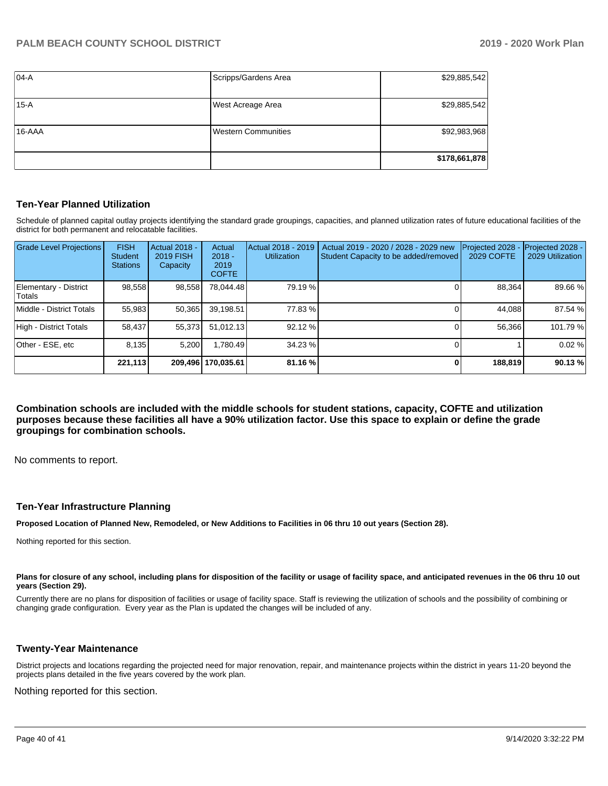| $ 04-A$    | Scripps/Gardens Area       | \$29,885,542  |
|------------|----------------------------|---------------|
| 15-A       | West Acreage Area          | \$29,885,542  |
| $16 - AAA$ | <b>Western Communities</b> | \$92,983,968  |
|            |                            | \$178,661,878 |

#### **Ten-Year Planned Utilization**

Schedule of planned capital outlay projects identifying the standard grade groupings, capacities, and planned utilization rates of future educational facilities of the district for both permanent and relocatable facilities.

| <b>Grade Level Projections</b>  | <b>FISH</b><br><b>Student</b><br><b>Stations</b> | Actual 2018 -<br><b>2019 FISH</b><br>Capacity | Actual<br>$2018 -$<br>2019<br><b>COFTE</b> | Actual 2018 - 2019<br><b>Utilization</b> | Actual 2019 - 2020 / 2028 - 2029 new<br>Student Capacity to be added/removed | Projected 2028<br>2029 COFTE | Projected 2028 -<br>2029 Utilization |
|---------------------------------|--------------------------------------------------|-----------------------------------------------|--------------------------------------------|------------------------------------------|------------------------------------------------------------------------------|------------------------------|--------------------------------------|
| Elementary - District<br>Totals | 98,558                                           | 98,558                                        | 78,044.48                                  | 79.19 %                                  |                                                                              | 88,364                       | 89.66 %                              |
| Middle - District Totals        | 55.983                                           | 50,365                                        | 39.198.51                                  | 77.83 %                                  |                                                                              | 44.088                       | 87.54 %                              |
| High - District Totals          | 58,437                                           | 55,373                                        | 51.012.13                                  | 92.12 %                                  |                                                                              | 56,366                       | 101.79%                              |
| Other - ESE. etc                | 8.135                                            | 5.200                                         | 1.780.49                                   | 34.23 %                                  |                                                                              |                              | 0.02%                                |
|                                 | 221,113                                          |                                               | 209,496   170,035.61                       | 81.16 %                                  |                                                                              | 188,819                      | 90.13%                               |

**Combination schools are included with the middle schools for student stations, capacity, COFTE and utilization purposes because these facilities all have a 90% utilization factor. Use this space to explain or define the grade groupings for combination schools.** 

No comments to report.

#### **Ten-Year Infrastructure Planning**

**Proposed Location of Planned New, Remodeled, or New Additions to Facilities in 06 thru 10 out years (Section 28).**

Nothing reported for this section.

#### Plans for closure of any school, including plans for disposition of the facility or usage of facility space, and anticipated revenues in the 06 thru 10 out **years (Section 29).**

Currently there are no plans for disposition of facilities or usage of facility space. Staff is reviewing the utilization of schools and the possibility of combining or changing grade configuration. Every year as the Plan is updated the changes will be included of any.

#### **Twenty-Year Maintenance**

District projects and locations regarding the projected need for major renovation, repair, and maintenance projects within the district in years 11-20 beyond the projects plans detailed in the five years covered by the work plan.

Nothing reported for this section.